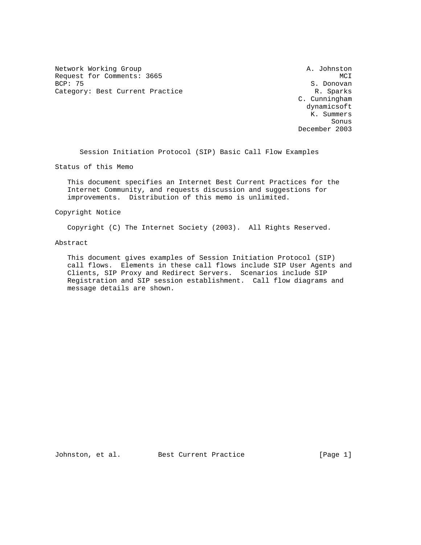Network Working Group and A. Johnston A. Johnston Request for Comments: 3665 MCI<br>BCP: 75 MCI Category: Best Current Practice and Category: Best Current Practice R. Sparks

S. Donovan C. Cunningham dynamicsoft K. Summers sonus de la contrata de la contrata de la contrata de la contrata de la contrata de la contrata de la contrata<br>Son la contrata de la contrata de la contrata de la contrata de la contrata de la contrata de la contrata del December 2003

Session Initiation Protocol (SIP) Basic Call Flow Examples

Status of this Memo

 This document specifies an Internet Best Current Practices for the Internet Community, and requests discussion and suggestions for improvements. Distribution of this memo is unlimited.

## Copyright Notice

Copyright (C) The Internet Society (2003). All Rights Reserved.

## Abstract

 This document gives examples of Session Initiation Protocol (SIP) call flows. Elements in these call flows include SIP User Agents and Clients, SIP Proxy and Redirect Servers. Scenarios include SIP Registration and SIP session establishment. Call flow diagrams and message details are shown.

Johnston, et al. Best Current Practice [Page 1]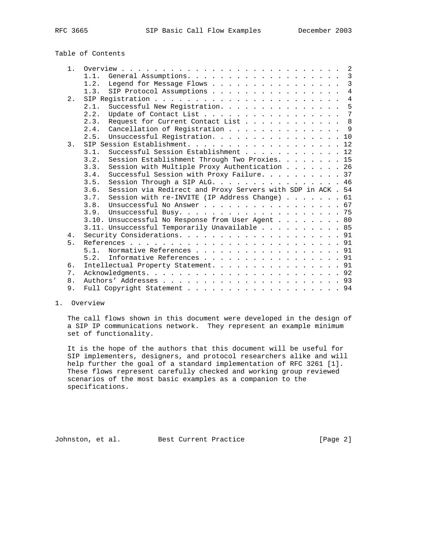# Table of Contents

| 1.    | $\overline{\phantom{0}}^2$                                          |
|-------|---------------------------------------------------------------------|
|       | $\overline{3}$<br>General Assumptions.<br>1.1.                      |
|       | $\mathbf{3}$<br>Legend for Message Flows<br>1.2.                    |
|       | $\overline{4}$<br>SIP Protocol Assumptions<br>1.3.                  |
| $2$ . | $\overline{4}$                                                      |
|       | 5<br>Successful New Registration.<br>2.1.                           |
|       | $7\phantom{.0}$<br>Update of Contact List<br>2.2.                   |
|       | 8<br>Request for Current Contact List<br>2.3.                       |
|       | Cancellation of Registration<br>- 9<br>2.4.                         |
|       | Unsuccessful Registration. 10<br>2.5.                               |
| 3.    | SIP Session Establishment. 12                                       |
|       | Successful Session Establishment 12<br>3.1.                         |
|       | Session Establishment Through Two Proxies. 15<br>3.2.               |
|       | Session with Multiple Proxy Authentication 26<br>3.3.               |
|       | Successful Session with Proxy Failure. 37<br>3.4.                   |
|       | Session Through a SIP ALG. 46<br>3.5.                               |
|       | Session via Redirect and Proxy Servers with SDP in ACK . 54<br>3.6. |
|       | Session with re-INVITE (IP Address Change) $\ldots$ , 61<br>3.7.    |
|       | 3.8.<br>Unsuccessful No Answer 67                                   |
|       | 3.9.                                                                |
|       | 3.10. Unsuccessful No Response from User Agent 80                   |
|       | 3.11. Unsuccessful Temporarily Unavailable 85                       |
| 4.    |                                                                     |
| 5.    |                                                                     |
|       | Normative References 91<br>5 1                                      |
|       | Informative References 91<br>5.2.                                   |
| б.    | Intellectual Property Statement. 91                                 |
| 7.    |                                                                     |
| 8.    |                                                                     |
| 9.    | Full Copyright Statement 94                                         |
|       |                                                                     |

## 1. Overview

 The call flows shown in this document were developed in the design of a SIP IP communications network. They represent an example minimum set of functionality.

 It is the hope of the authors that this document will be useful for SIP implementers, designers, and protocol researchers alike and will help further the goal of a standard implementation of RFC 3261 [1]. These flows represent carefully checked and working group reviewed scenarios of the most basic examples as a companion to the specifications.

Johnston, et al. Best Current Practice [Page 2]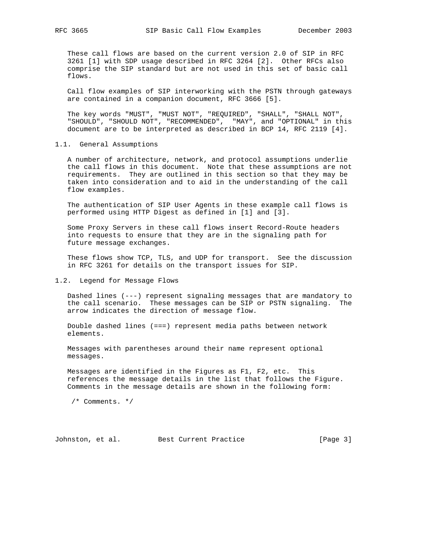These call flows are based on the current version 2.0 of SIP in RFC 3261 [1] with SDP usage described in RFC 3264 [2]. Other RFCs also comprise the SIP standard but are not used in this set of basic call flows.

 Call flow examples of SIP interworking with the PSTN through gateways are contained in a companion document, RFC 3666 [5].

 The key words "MUST", "MUST NOT", "REQUIRED", "SHALL", "SHALL NOT", "SHOULD", "SHOULD NOT", "RECOMMENDED", "MAY", and "OPTIONAL" in this document are to be interpreted as described in BCP 14, RFC 2119 [4].

1.1. General Assumptions

 A number of architecture, network, and protocol assumptions underlie the call flows in this document. Note that these assumptions are not requirements. They are outlined in this section so that they may be taken into consideration and to aid in the understanding of the call flow examples.

 The authentication of SIP User Agents in these example call flows is performed using HTTP Digest as defined in [1] and [3].

 Some Proxy Servers in these call flows insert Record-Route headers into requests to ensure that they are in the signaling path for future message exchanges.

 These flows show TCP, TLS, and UDP for transport. See the discussion in RFC 3261 for details on the transport issues for SIP.

## 1.2. Legend for Message Flows

 Dashed lines (---) represent signaling messages that are mandatory to the call scenario. These messages can be SIP or PSTN signaling. The arrow indicates the direction of message flow.

 Double dashed lines (===) represent media paths between network elements.

 Messages with parentheses around their name represent optional messages.

 Messages are identified in the Figures as F1, F2, etc. This references the message details in the list that follows the Figure. Comments in the message details are shown in the following form:

/\* Comments. \*/

Johnston, et al. Best Current Practice [Page 3]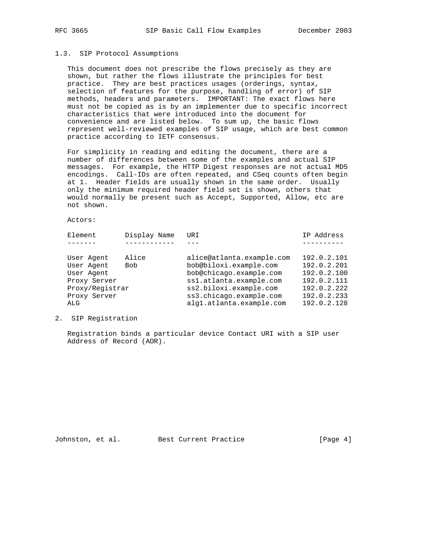## 1.3. SIP Protocol Assumptions

 This document does not prescribe the flows precisely as they are shown, but rather the flows illustrate the principles for best practice. They are best practices usages (orderings, syntax, selection of features for the purpose, handling of error) of SIP methods, headers and parameters. IMPORTANT: The exact flows here must not be copied as is by an implementer due to specific incorrect characteristics that were introduced into the document for convenience and are listed below. To sum up, the basic flows represent well-reviewed examples of SIP usage, which are best common practice according to IETF consensus.

 For simplicity in reading and editing the document, there are a number of differences between some of the examples and actual SIP messages. For example, the HTTP Digest responses are not actual MD5 encodings. Call-IDs are often repeated, and CSeq counts often begin at 1. Header fields are usually shown in the same order. Usually only the minimum required header field set is shown, others that would normally be present such as Accept, Supported, Allow, etc are not shown.

Actors:

| Element         | Display Name | URI                       | IP Address  |
|-----------------|--------------|---------------------------|-------------|
|                 |              |                           |             |
| User Agent      | Alice        | alice@atlanta.example.com | 192.0.2.101 |
| User Agent      | Bob          | bob@biloxi.example.com    | 192.0.2.201 |
| User Agent      |              | bob@chicago.example.com   | 192.0.2.100 |
| Proxy Server    |              | ss1.atlanta.example.com   | 192.0.2.111 |
| Proxy/Registrar |              | ss2.biloxi.example.com    | 192.0.2.222 |
| Proxy Server    |              | ss3.chicago.example.com   | 192.0.2.233 |
| ALG             |              | alg1.atlanta.example.com  | 192.0.2.128 |
|                 |              |                           |             |

2. SIP Registration

 Registration binds a particular device Contact URI with a SIP user Address of Record (AOR).

Johnston, et al. Best Current Practice [Page 4]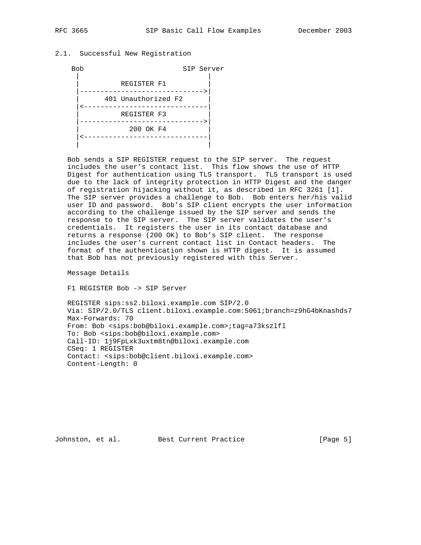## 2.1. Successful New Registration



 Bob sends a SIP REGISTER request to the SIP server. The request includes the user's contact list. This flow shows the use of HTTP Digest for authentication using TLS transport. TLS transport is used due to the lack of integrity protection in HTTP Digest and the danger of registration hijacking without it, as described in RFC 3261 [1]. The SIP server provides a challenge to Bob. Bob enters her/his valid user ID and password. Bob's SIP client encrypts the user information according to the challenge issued by the SIP server and sends the response to the SIP server. The SIP server validates the user's credentials. It registers the user in its contact database and returns a response (200 OK) to Bob's SIP client. The response includes the user's current contact list in Contact headers. The format of the authentication shown is HTTP digest. It is assumed that Bob has not previously registered with this Server.

Message Details

F1 REGISTER Bob -> SIP Server

 REGISTER sips:ss2.biloxi.example.com SIP/2.0 Via: SIP/2.0/TLS client.biloxi.example.com:5061;branch=z9hG4bKnashds7 Max-Forwards: 70 From: Bob <sips:bob@biloxi.example.com>;tag=a73kszlfl To: Bob <sips:bob@biloxi.example.com> Call-ID: 1j9FpLxk3uxtm8tn@biloxi.example.com CSeq: 1 REGISTER Contact: <sips:bob@client.biloxi.example.com> Content-Length: 0

Johnston, et al. Best Current Practice [Page 5]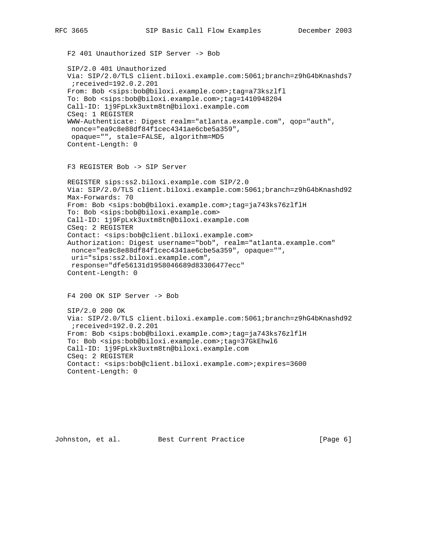F2 401 Unauthorized SIP Server -> Bob SIP/2.0 401 Unauthorized Via: SIP/2.0/TLS client.biloxi.example.com:5061;branch=z9hG4bKnashds7 ;received=192.0.2.201 From: Bob <sips:bob@biloxi.example.com>;tag=a73kszlfl To: Bob <sips:bob@biloxi.example.com>;tag=1410948204 Call-ID: 1j9FpLxk3uxtm8tn@biloxi.example.com CSeq: 1 REGISTER WWW-Authenticate: Digest realm="atlanta.example.com", qop="auth", nonce="ea9c8e88df84f1cec4341ae6cbe5a359", opaque="", stale=FALSE, algorithm=MD5 Content-Length: 0 F3 REGISTER Bob -> SIP Server REGISTER sips:ss2.biloxi.example.com SIP/2.0 Via: SIP/2.0/TLS client.biloxi.example.com:5061;branch=z9hG4bKnashd92 Max-Forwards: 70 From: Bob <sips:bob@biloxi.example.com>;tag=ja743ks76zlflH To: Bob <sips:bob@biloxi.example.com> Call-ID: 1j9FpLxk3uxtm8tn@biloxi.example.com CSeq: 2 REGISTER Contact: <sips:bob@client.biloxi.example.com> Authorization: Digest username="bob", realm="atlanta.example.com" nonce="ea9c8e88df84f1cec4341ae6cbe5a359", opaque="", uri="sips:ss2.biloxi.example.com", response="dfe56131d1958046689d83306477ecc" Content-Length: 0 F4 200 OK SIP Server -> Bob SIP/2.0 200 OK Via: SIP/2.0/TLS client.biloxi.example.com:5061;branch=z9hG4bKnashd92 ;received=192.0.2.201 From: Bob <sips:bob@biloxi.example.com>;tag=ja743ks76zlflH To: Bob <sips:bob@biloxi.example.com>;tag=37GkEhwl6 Call-ID: 1j9FpLxk3uxtm8tn@biloxi.example.com CSeq: 2 REGISTER Contact: <sips:bob@client.biloxi.example.com>;expires=3600 Content-Length: 0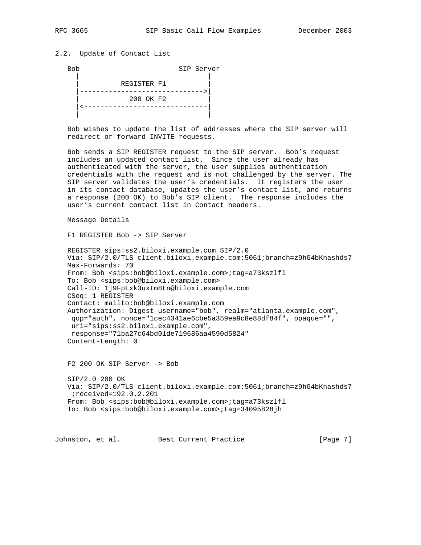# 2.2. Update of Contact List

Bob SIP Server

| REGISTER F1 |
|-------------|
|             |
| 200 OK F2   |
|             |
|             |

 Bob wishes to update the list of addresses where the SIP server will redirect or forward INVITE requests.

 Bob sends a SIP REGISTER request to the SIP server. Bob's request includes an updated contact list. Since the user already has authenticated with the server, the user supplies authentication credentials with the request and is not challenged by the server. The SIP server validates the user's credentials. It registers the user in its contact database, updates the user's contact list, and returns a response (200 OK) to Bob's SIP client. The response includes the user's current contact list in Contact headers.

Message Details

F1 REGISTER Bob -> SIP Server

```
 REGISTER sips:ss2.biloxi.example.com SIP/2.0
 Via: SIP/2.0/TLS client.biloxi.example.com:5061;branch=z9hG4bKnashds7
 Max-Forwards: 70
 From: Bob <sips:bob@biloxi.example.com>;tag=a73kszlfl
 To: Bob <sips:bob@biloxi.example.com>
 Call-ID: 1j9FpLxk3uxtm8tn@biloxi.example.com
 CSeq: 1 REGISTER
 Contact: mailto:bob@biloxi.example.com
 Authorization: Digest username="bob", realm="atlanta.example.com",
 qop="auth", nonce="1cec4341ae6cbe5a359ea9c8e88df84f", opaque="",
 uri="sips:ss2.biloxi.example.com",
  response="71ba27c64bd01de719686aa4590d5824"
 Content-Length: 0
```
F2 200 OK SIP Server -> Bob

 SIP/2.0 200 OK Via: SIP/2.0/TLS client.biloxi.example.com:5061;branch=z9hG4bKnashds7 ;received=192.0.2.201 From: Bob <sips:bob@biloxi.example.com>;tag=a73kszlfl To: Bob <sips:bob@biloxi.example.com>;tag=34095828jh

Johnston, et al. Best Current Practice [Page 7]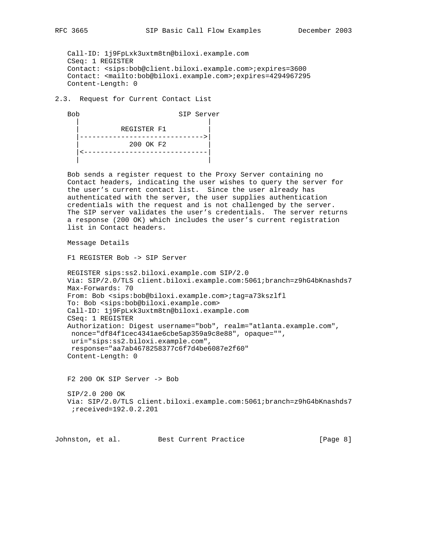Call-ID: 1j9FpLxk3uxtm8tn@biloxi.example.com CSeq: 1 REGISTER Contact: <sips:bob@client.biloxi.example.com>;expires=3600 Contact: <mailto:bob@biloxi.example.com>;expires=4294967295 Content-Length: 0

2.3. Request for Current Contact List

 Bob SIP Server | | REGISTER F1 |------------------------------>| | 200 OK F2 | |<------------------------------| | |

 Bob sends a register request to the Proxy Server containing no Contact headers, indicating the user wishes to query the server for the user's current contact list. Since the user already has authenticated with the server, the user supplies authentication credentials with the request and is not challenged by the server. The SIP server validates the user's credentials. The server returns a response (200 OK) which includes the user's current registration list in Contact headers.

Message Details

F1 REGISTER Bob -> SIP Server

```
 REGISTER sips:ss2.biloxi.example.com SIP/2.0
 Via: SIP/2.0/TLS client.biloxi.example.com:5061;branch=z9hG4bKnashds7
 Max-Forwards: 70
 From: Bob <sips:bob@biloxi.example.com>;tag=a73kszlfl
 To: Bob <sips:bob@biloxi.example.com>
 Call-ID: 1j9FpLxk3uxtm8tn@biloxi.example.com
 CSeq: 1 REGISTER
 Authorization: Digest username="bob", realm="atlanta.example.com",
 nonce="df84f1cec4341ae6cbe5ap359a9c8e88", opaque="",
  uri="sips:ss2.biloxi.example.com",
 response="aa7ab4678258377c6f7d4be6087e2f60"
 Content-Length: 0
```
F2 200 OK SIP Server -> Bob

 SIP/2.0 200 OK Via: SIP/2.0/TLS client.biloxi.example.com:5061;branch=z9hG4bKnashds7 ;received=192.0.2.201

Johnston, et al. Best Current Practice [Page 8]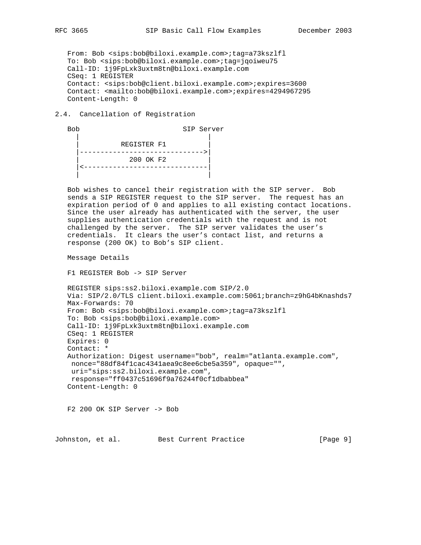From: Bob <sips:bob@biloxi.example.com>;tag=a73kszlfl To: Bob <sips:bob@biloxi.example.com>;tag=jqoiweu75 Call-ID: 1j9FpLxk3uxtm8tn@biloxi.example.com CSeq: 1 REGISTER Contact: <sips:bob@client.biloxi.example.com>;expires=3600 Contact: <mailto:bob@biloxi.example.com>;expires=4294967295 Content-Length: 0

#### 2.4. Cancellation of Registration

 Bob SIP Server | | REGISTER F1 |------------------------------>| | 200 OK F2 | |<------------------------------| | |

 Bob wishes to cancel their registration with the SIP server. Bob sends a SIP REGISTER request to the SIP server. The request has an expiration period of 0 and applies to all existing contact locations. Since the user already has authenticated with the server, the user supplies authentication credentials with the request and is not challenged by the server. The SIP server validates the user's credentials. It clears the user's contact list, and returns a response (200 OK) to Bob's SIP client.

Message Details

F1 REGISTER Bob -> SIP Server

 REGISTER sips:ss2.biloxi.example.com SIP/2.0 Via: SIP/2.0/TLS client.biloxi.example.com:5061;branch=z9hG4bKnashds7 Max-Forwards: 70 From: Bob <sips:bob@biloxi.example.com>;tag=a73kszlfl To: Bob <sips:bob@biloxi.example.com> Call-ID: 1j9FpLxk3uxtm8tn@biloxi.example.com CSeq: 1 REGISTER Expires: 0 Contact: \* Authorization: Digest username="bob", realm="atlanta.example.com", nonce="88df84f1cac4341aea9c8ee6cbe5a359", opaque="", uri="sips:ss2.biloxi.example.com", response="ff0437c51696f9a76244f0cf1dbabbea" Content-Length: 0

F2 200 OK SIP Server -> Bob

Johnston, et al. Best Current Practice [Page 9]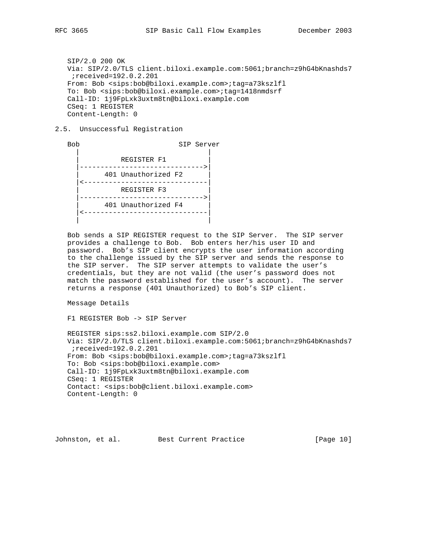SIP/2.0 200 OK Via: SIP/2.0/TLS client.biloxi.example.com:5061;branch=z9hG4bKnashds7 ;received=192.0.2.201 From: Bob <sips:bob@biloxi.example.com>;tag=a73kszlfl To: Bob <sips:bob@biloxi.example.com>;tag=1418nmdsrf Call-ID: 1j9FpLxk3uxtm8tn@biloxi.example.com CSeq: 1 REGISTER Content-Length: 0

## 2.5. Unsuccessful Registration

 Bob SIP Server | | REGISTER F1 |------------------------------>| | 401 Unauthorized F2 | |<------------------------------| | REGISTER F3 | |------------------------------>| | 401 Unauthorized F4 | |<------------------------------| | |

 Bob sends a SIP REGISTER request to the SIP Server. The SIP server provides a challenge to Bob. Bob enters her/his user ID and password. Bob's SIP client encrypts the user information according to the challenge issued by the SIP server and sends the response to the SIP server. The SIP server attempts to validate the user's credentials, but they are not valid (the user's password does not match the password established for the user's account). The server returns a response (401 Unauthorized) to Bob's SIP client.

Message Details

F1 REGISTER Bob -> SIP Server

 REGISTER sips:ss2.biloxi.example.com SIP/2.0 Via: SIP/2.0/TLS client.biloxi.example.com:5061;branch=z9hG4bKnashds7 ;received=192.0.2.201 From: Bob <sips:bob@biloxi.example.com>;tag=a73kszlfl To: Bob <sips:bob@biloxi.example.com> Call-ID: 1j9FpLxk3uxtm8tn@biloxi.example.com CSeq: 1 REGISTER Contact: <sips:bob@client.biloxi.example.com> Content-Length: 0

Johnston, et al. Best Current Practice [Page 10]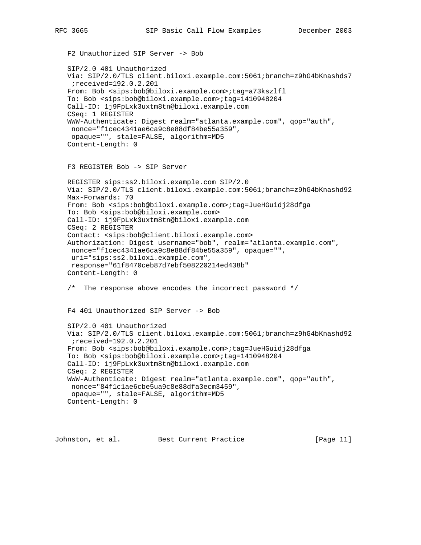```
 F2 Unauthorized SIP Server -> Bob
 SIP/2.0 401 Unauthorized
 Via: SIP/2.0/TLS client.biloxi.example.com:5061;branch=z9hG4bKnashds7
 ;received=192.0.2.201
 From: Bob <sips:bob@biloxi.example.com>;tag=a73kszlfl
 To: Bob <sips:bob@biloxi.example.com>;tag=1410948204
 Call-ID: 1j9FpLxk3uxtm8tn@biloxi.example.com
 CSeq: 1 REGISTER
 WWW-Authenticate: Digest realm="atlanta.example.com", qop="auth",
 nonce="f1cec4341ae6ca9c8e88df84be55a359",
 opaque="", stale=FALSE, algorithm=MD5
 Content-Length: 0
 F3 REGISTER Bob -> SIP Server
 REGISTER sips:ss2.biloxi.example.com SIP/2.0
 Via: SIP/2.0/TLS client.biloxi.example.com:5061;branch=z9hG4bKnashd92
 Max-Forwards: 70
 From: Bob <sips:bob@biloxi.example.com>;tag=JueHGuidj28dfga
 To: Bob <sips:bob@biloxi.example.com>
 Call-ID: 1j9FpLxk3uxtm8tn@biloxi.example.com
 CSeq: 2 REGISTER
 Contact: <sips:bob@client.biloxi.example.com>
 Authorization: Digest username="bob", realm="atlanta.example.com",
 nonce="f1cec4341ae6ca9c8e88df84be55a359", opaque="",
 uri="sips:ss2.biloxi.example.com",
 response="61f8470ceb87d7ebf508220214ed438b"
 Content-Length: 0
 /* The response above encodes the incorrect password */
 F4 401 Unauthorized SIP Server -> Bob
 SIP/2.0 401 Unauthorized
 Via: SIP/2.0/TLS client.biloxi.example.com:5061;branch=z9hG4bKnashd92
  ;received=192.0.2.201
 From: Bob <sips:bob@biloxi.example.com>;tag=JueHGuidj28dfga
 To: Bob <sips:bob@biloxi.example.com>;tag=1410948204
 Call-ID: 1j9FpLxk3uxtm8tn@biloxi.example.com
 CSeq: 2 REGISTER
 WWW-Authenticate: Digest realm="atlanta.example.com", qop="auth",
 nonce="84f1c1ae6cbe5ua9c8e88dfa3ecm3459",
 opaque="", stale=FALSE, algorithm=MD5
 Content-Length: 0
```
Johnston, et al. Best Current Practice [Page 11]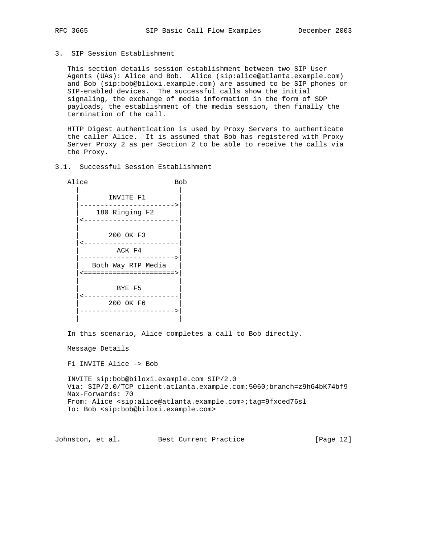3. SIP Session Establishment

 This section details session establishment between two SIP User Agents (UAs): Alice and Bob. Alice (sip:alice@atlanta.example.com) and Bob (sip:bob@biloxi.example.com) are assumed to be SIP phones or SIP-enabled devices. The successful calls show the initial signaling, the exchange of media information in the form of SDP payloads, the establishment of the media session, then finally the termination of the call.

 HTTP Digest authentication is used by Proxy Servers to authenticate the caller Alice. It is assumed that Bob has registered with Proxy Server Proxy 2 as per Section 2 to be able to receive the calls via the Proxy.

3.1. Successful Session Establishment

Alice Bob | | INVITE F1 |----------------------->| 180 Ringing F2 |<-----------------------| | | | 200 OK F3 | |<-----------------------| ACK F4 |----------------------->| | Both Way RTP Media | |<======================>| | | BYE F5 |<-----------------------| | 200 OK F6 | |----------------------->| | |

In this scenario, Alice completes a call to Bob directly.

Message Details

F1 INVITE Alice -> Bob

 INVITE sip:bob@biloxi.example.com SIP/2.0 Via: SIP/2.0/TCP client.atlanta.example.com:5060;branch=z9hG4bK74bf9 Max-Forwards: 70 From: Alice <sip:alice@atlanta.example.com>;tag=9fxced76sl To: Bob <sip:bob@biloxi.example.com>

Johnston, et al. Best Current Practice [Page 12]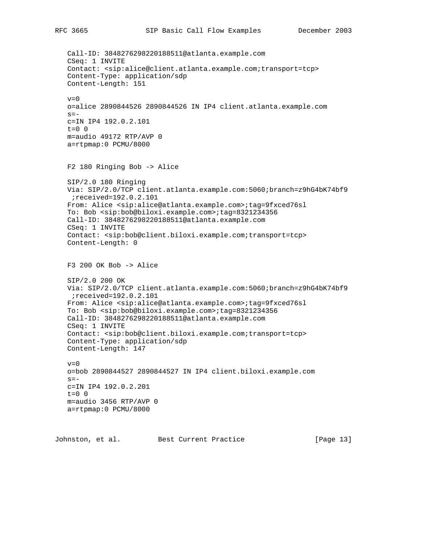Call-ID: 3848276298220188511@atlanta.example.com CSeq: 1 INVITE Contact: <sip:alice@client.atlanta.example.com;transport=tcp> Content-Type: application/sdp Content-Length: 151  $v=0$  o=alice 2890844526 2890844526 IN IP4 client.atlanta.example.com  $s=$  c=IN IP4 192.0.2.101 t=0 0 m=audio 49172 RTP/AVP 0 a=rtpmap:0 PCMU/8000 F2 180 Ringing Bob -> Alice SIP/2.0 180 Ringing Via: SIP/2.0/TCP client.atlanta.example.com:5060;branch=z9hG4bK74bf9 ;received=192.0.2.101 From: Alice <sip:alice@atlanta.example.com>;tag=9fxced76sl To: Bob <sip:bob@biloxi.example.com>;tag=8321234356 Call-ID: 3848276298220188511@atlanta.example.com CSeq: 1 INVITE Contact: <sip:bob@client.biloxi.example.com;transport=tcp> Content-Length: 0 F3 200 OK Bob -> Alice SIP/2.0 200 OK Via: SIP/2.0/TCP client.atlanta.example.com:5060;branch=z9hG4bK74bf9 ;received=192.0.2.101 From: Alice <sip:alice@atlanta.example.com>;tag=9fxced76sl To: Bob <sip:bob@biloxi.example.com>;tag=8321234356 Call-ID: 3848276298220188511@atlanta.example.com CSeq: 1 INVITE Contact: <sip:bob@client.biloxi.example.com;transport=tcp> Content-Type: application/sdp Content-Length: 147  $v=0$  o=bob 2890844527 2890844527 IN IP4 client.biloxi.example.com  $s =$  c=IN IP4 192.0.2.201  $t=0$  0 m=audio 3456 RTP/AVP 0 a=rtpmap:0 PCMU/8000

Johnston, et al. Best Current Practice [Page 13]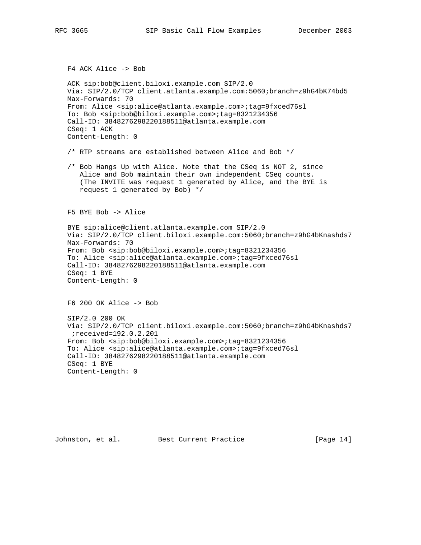F4 ACK Alice -> Bob

```
 ACK sip:bob@client.biloxi.example.com SIP/2.0
 Via: SIP/2.0/TCP client.atlanta.example.com:5060;branch=z9hG4bK74bd5
 Max-Forwards: 70
 From: Alice <sip:alice@atlanta.example.com>;tag=9fxced76sl
 To: Bob <sip:bob@biloxi.example.com>;tag=8321234356
 Call-ID: 3848276298220188511@atlanta.example.com
 CSeq: 1 ACK
 Content-Length: 0
```
/\* RTP streams are established between Alice and Bob \*/

 /\* Bob Hangs Up with Alice. Note that the CSeq is NOT 2, since Alice and Bob maintain their own independent CSeq counts. (The INVITE was request 1 generated by Alice, and the BYE is request 1 generated by Bob) \*/

F5 BYE Bob -> Alice

 BYE sip:alice@client.atlanta.example.com SIP/2.0 Via: SIP/2.0/TCP client.biloxi.example.com:5060;branch=z9hG4bKnashds7 Max-Forwards: 70 From: Bob <sip:bob@biloxi.example.com>;tag=8321234356 To: Alice <sip:alice@atlanta.example.com>;tag=9fxced76sl Call-ID: 3848276298220188511@atlanta.example.com CSeq: 1 BYE Content-Length: 0

F6 200 OK Alice -> Bob

 SIP/2.0 200 OK Via: SIP/2.0/TCP client.biloxi.example.com:5060;branch=z9hG4bKnashds7 ;received=192.0.2.201 From: Bob <sip:bob@biloxi.example.com>;tag=8321234356 To: Alice <sip:alice@atlanta.example.com>;tag=9fxced76sl Call-ID: 3848276298220188511@atlanta.example.com CSeq: 1 BYE Content-Length: 0

Johnston, et al. Best Current Practice [Page 14]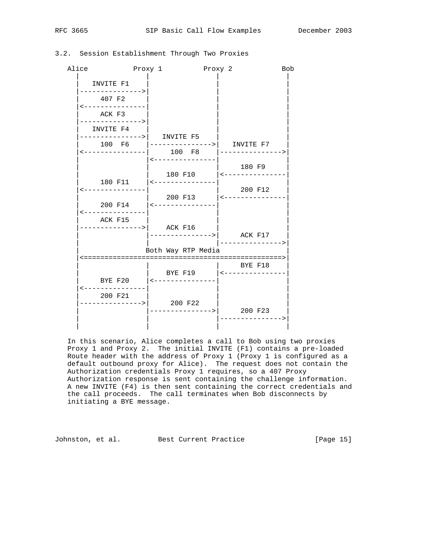| Alice<br>Proxy 1                             |                             | Proxy 2                                   | <b>Bob</b> |  |  |  |  |  |
|----------------------------------------------|-----------------------------|-------------------------------------------|------------|--|--|--|--|--|
| INVITE F1                                    |                             |                                           |            |  |  |  |  |  |
| -------------><br>407 F2<br>---------------- |                             |                                           |            |  |  |  |  |  |
| ACK F3<br>------------>                      |                             |                                           |            |  |  |  |  |  |
| INVITE F4                                    | --------------->  INVITE F5 |                                           |            |  |  |  |  |  |
|                                              |                             | <---------------  100 F8  --------------> |            |  |  |  |  |  |
|                                              |                             | 180 F9                                    |            |  |  |  |  |  |
| ---------------                              | 180 F11   <---------------  | 200 F12                                   |            |  |  |  |  |  |
|                                              |                             | 200 F13 $ $ <---------------              |            |  |  |  |  |  |
| ACK F15                                      |                             |                                           |            |  |  |  |  |  |
|                                              |                             | $--------->  $ ACK F17                    |            |  |  |  |  |  |
|                                              | Both Way RTP Media          |                                           |            |  |  |  |  |  |
|                                              |                             | BYE F18                                   |            |  |  |  |  |  |
| <---------------                             | BYE F20   <---------------  |                                           |            |  |  |  |  |  |
| 200 F21                                      | --------------->  200 F22   |                                           |            |  |  |  |  |  |
|                                              |                             |                                           |            |  |  |  |  |  |

# 3.2. Session Establishment Through Two Proxies

 In this scenario, Alice completes a call to Bob using two proxies Proxy 1 and Proxy 2. The initial INVITE (F1) contains a pre-loaded Route header with the address of Proxy 1 (Proxy 1 is configured as a default outbound proxy for Alice). The request does not contain the Authorization credentials Proxy 1 requires, so a 407 Proxy Authorization response is sent containing the challenge information. A new INVITE (F4) is then sent containing the correct credentials and the call proceeds. The call terminates when Bob disconnects by initiating a BYE message.

Johnston, et al. Best Current Practice [Page 15]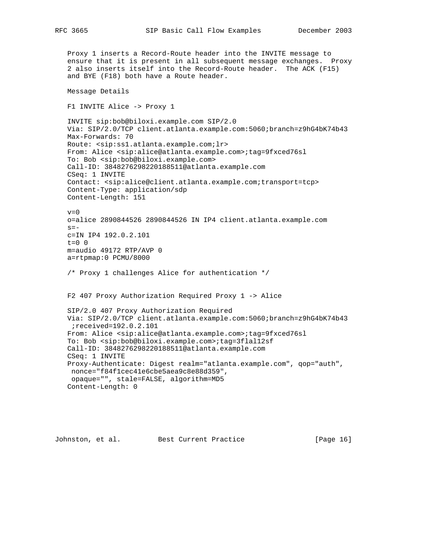Proxy 1 inserts a Record-Route header into the INVITE message to ensure that it is present in all subsequent message exchanges. Proxy 2 also inserts itself into the Record-Route header. The ACK (F15) and BYE (F18) both have a Route header. Message Details F1 INVITE Alice -> Proxy 1 INVITE sip:bob@biloxi.example.com SIP/2.0 Via: SIP/2.0/TCP client.atlanta.example.com:5060;branch=z9hG4bK74b43 Max-Forwards: 70 Route: <sip:ss1.atlanta.example.com;lr> From: Alice <sip:alice@atlanta.example.com>;tag=9fxced76sl To: Bob <sip:bob@biloxi.example.com> Call-ID: 3848276298220188511@atlanta.example.com CSeq: 1 INVITE Contact: <sip:alice@client.atlanta.example.com;transport=tcp> Content-Type: application/sdp Content-Length: 151  $v=0$  o=alice 2890844526 2890844526 IN IP4 client.atlanta.example.com  $s=$  c=IN IP4 192.0.2.101 t=0 0 m=audio 49172 RTP/AVP 0 a=rtpmap:0 PCMU/8000 /\* Proxy 1 challenges Alice for authentication \*/ F2 407 Proxy Authorization Required Proxy 1 -> Alice SIP/2.0 407 Proxy Authorization Required Via: SIP/2.0/TCP client.atlanta.example.com:5060;branch=z9hG4bK74b43 ;received=192.0.2.101 From: Alice <sip:alice@atlanta.example.com>;tag=9fxced76sl To: Bob <sip:bob@biloxi.example.com>;tag=3flal12sf Call-ID: 3848276298220188511@atlanta.example.com CSeq: 1 INVITE Proxy-Authenticate: Digest realm="atlanta.example.com", qop="auth", nonce="f84f1cec41e6cbe5aea9c8e88d359", opaque="", stale=FALSE, algorithm=MD5 Content-Length: 0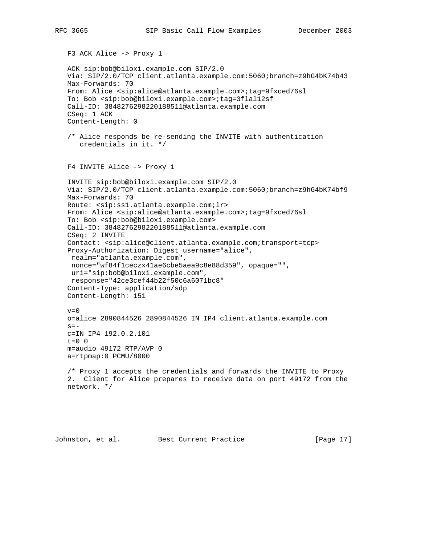F3 ACK Alice -> Proxy 1 ACK sip:bob@biloxi.example.com SIP/2.0 Via: SIP/2.0/TCP client.atlanta.example.com:5060;branch=z9hG4bK74b43 Max-Forwards: 70 From: Alice <sip:alice@atlanta.example.com>;tag=9fxced76sl To: Bob <sip:bob@biloxi.example.com>;tag=3flal12sf Call-ID: 3848276298220188511@atlanta.example.com CSeq: 1 ACK Content-Length: 0 /\* Alice responds be re-sending the INVITE with authentication credentials in it. \*/ F4 INVITE Alice -> Proxy 1 INVITE sip:bob@biloxi.example.com SIP/2.0 Via: SIP/2.0/TCP client.atlanta.example.com:5060;branch=z9hG4bK74bf9 Max-Forwards: 70 Route: <sip:ss1.atlanta.example.com;lr> From: Alice <sip:alice@atlanta.example.com>;tag=9fxced76sl To: Bob <sip:bob@biloxi.example.com> Call-ID: 3848276298220188511@atlanta.example.com CSeq: 2 INVITE Contact: <sip:alice@client.atlanta.example.com;transport=tcp> Proxy-Authorization: Digest username="alice", realm="atlanta.example.com", nonce="wf84f1ceczx41ae6cbe5aea9c8e88d359", opaque="", uri="sip:bob@biloxi.example.com", response="42ce3cef44b22f50c6a6071bc8" Content-Type: application/sdp Content-Length: 151  $v=0$  o=alice 2890844526 2890844526 IN IP4 client.atlanta.example.com  $s=$  c=IN IP4 192.0.2.101  $t=0$  0 m=audio 49172 RTP/AVP 0 a=rtpmap:0 PCMU/8000 /\* Proxy 1 accepts the credentials and forwards the INVITE to Proxy 2. Client for Alice prepares to receive data on port 49172 from the network. \*/

Johnston, et al. Best Current Practice [Page 17]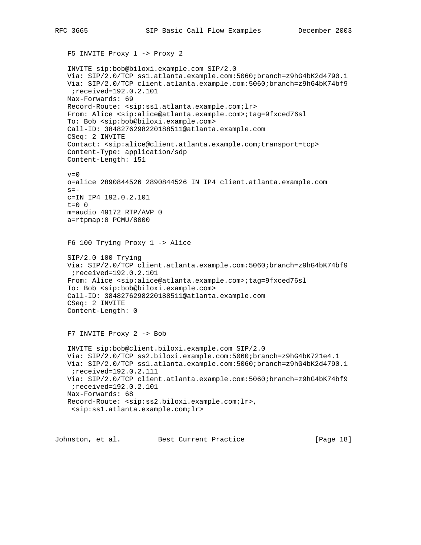F5 INVITE Proxy 1 -> Proxy 2 INVITE sip:bob@biloxi.example.com SIP/2.0 Via: SIP/2.0/TCP ss1.atlanta.example.com:5060;branch=z9hG4bK2d4790.1 Via: SIP/2.0/TCP client.atlanta.example.com:5060;branch=z9hG4bK74bf9 ;received=192.0.2.101 Max-Forwards: 69 Record-Route: <sip:ss1.atlanta.example.com;lr> From: Alice <sip:alice@atlanta.example.com>;tag=9fxced76sl To: Bob <sip:bob@biloxi.example.com> Call-ID: 3848276298220188511@atlanta.example.com CSeq: 2 INVITE Contact: <sip:alice@client.atlanta.example.com;transport=tcp> Content-Type: application/sdp Content-Length: 151  $v=0$  o=alice 2890844526 2890844526 IN IP4 client.atlanta.example.com  $s =$  c=IN IP4 192.0.2.101  $t=0$  0 m=audio 49172 RTP/AVP 0 a=rtpmap:0 PCMU/8000 F6 100 Trying Proxy 1 -> Alice SIP/2.0 100 Trying Via: SIP/2.0/TCP client.atlanta.example.com:5060;branch=z9hG4bK74bf9 ;received=192.0.2.101 From: Alice <sip:alice@atlanta.example.com>;tag=9fxced76sl To: Bob <sip:bob@biloxi.example.com> Call-ID: 3848276298220188511@atlanta.example.com CSeq: 2 INVITE Content-Length: 0 F7 INVITE Proxy 2 -> Bob INVITE sip:bob@client.biloxi.example.com SIP/2.0 Via: SIP/2.0/TCP ss2.biloxi.example.com:5060;branch=z9hG4bK721e4.1 Via: SIP/2.0/TCP ss1.atlanta.example.com:5060;branch=z9hG4bK2d4790.1 ;received=192.0.2.111 Via: SIP/2.0/TCP client.atlanta.example.com:5060;branch=z9hG4bK74bf9 ;received=192.0.2.101 Max-Forwards: 68 Record-Route: <sip:ss2.biloxi.example.com;lr>, <sip:ss1.atlanta.example.com;lr>

Johnston, et al. Best Current Practice [Page 18]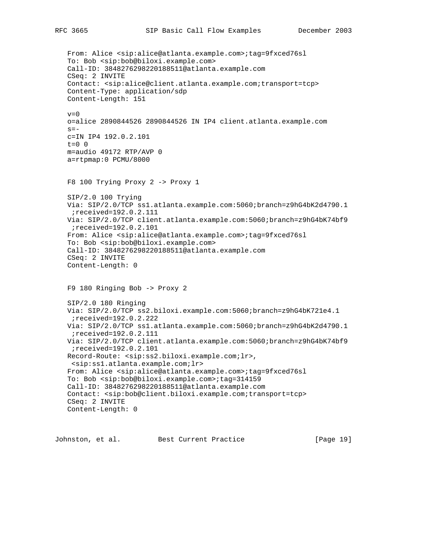From: Alice <sip:alice@atlanta.example.com>;tag=9fxced76sl To: Bob <sip:bob@biloxi.example.com> Call-ID: 3848276298220188511@atlanta.example.com CSeq: 2 INVITE Contact: <sip:alice@client.atlanta.example.com;transport=tcp> Content-Type: application/sdp Content-Length: 151  $v=0$  o=alice 2890844526 2890844526 IN IP4 client.atlanta.example.com  $s =$  c=IN IP4 192.0.2.101  $t=0$  0 m=audio 49172 RTP/AVP 0 a=rtpmap:0 PCMU/8000 F8 100 Trying Proxy 2 -> Proxy 1 SIP/2.0 100 Trying Via: SIP/2.0/TCP ss1.atlanta.example.com:5060;branch=z9hG4bK2d4790.1 ;received=192.0.2.111 Via: SIP/2.0/TCP client.atlanta.example.com:5060;branch=z9hG4bK74bf9 ;received=192.0.2.101 From: Alice <sip:alice@atlanta.example.com>;tag=9fxced76sl To: Bob <sip:bob@biloxi.example.com> Call-ID: 3848276298220188511@atlanta.example.com CSeq: 2 INVITE Content-Length: 0 F9 180 Ringing Bob -> Proxy 2 SIP/2.0 180 Ringing Via: SIP/2.0/TCP ss2.biloxi.example.com:5060;branch=z9hG4bK721e4.1 ;received=192.0.2.222 Via: SIP/2.0/TCP ss1.atlanta.example.com:5060;branch=z9hG4bK2d4790.1 ;received=192.0.2.111 Via: SIP/2.0/TCP client.atlanta.example.com:5060;branch=z9hG4bK74bf9 ;received=192.0.2.101 Record-Route: <sip:ss2.biloxi.example.com;lr>, <sip:ss1.atlanta.example.com;lr> From: Alice <sip:alice@atlanta.example.com>;tag=9fxced76sl To: Bob <sip:bob@biloxi.example.com>;tag=314159 Call-ID: 3848276298220188511@atlanta.example.com Contact: <sip:bob@client.biloxi.example.com;transport=tcp> CSeq: 2 INVITE Content-Length: 0

Johnston, et al. Best Current Practice [Page 19]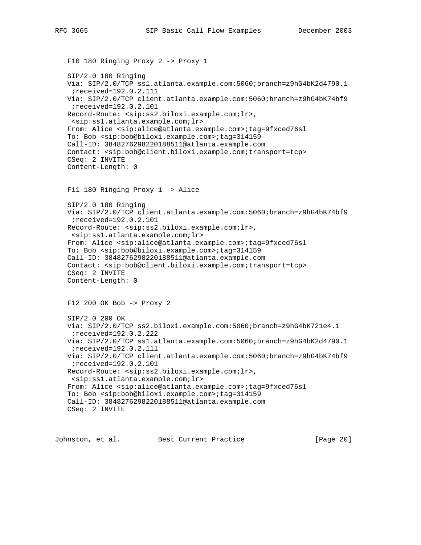```
 F10 180 Ringing Proxy 2 -> Proxy 1
 SIP/2.0 180 Ringing
 Via: SIP/2.0/TCP ss1.atlanta.example.com:5060;branch=z9hG4bK2d4790.1
  ;received=192.0.2.111
 Via: SIP/2.0/TCP client.atlanta.example.com:5060;branch=z9hG4bK74bf9
  ;received=192.0.2.101
 Record-Route: <sip:ss2.biloxi.example.com;lr>,
 <sip:ss1.atlanta.example.com;lr>
 From: Alice <sip:alice@atlanta.example.com>;tag=9fxced76sl
 To: Bob <sip:bob@biloxi.example.com>;tag=314159
 Call-ID: 3848276298220188511@atlanta.example.com
 Contact: <sip:bob@client.biloxi.example.com;transport=tcp>
 CSeq: 2 INVITE
 Content-Length: 0
 F11 180 Ringing Proxy 1 -> Alice
 SIP/2.0 180 Ringing
 Via: SIP/2.0/TCP client.atlanta.example.com:5060;branch=z9hG4bK74bf9
 ;received=192.0.2.101
 Record-Route: <sip:ss2.biloxi.example.com;lr>,
 <sip:ss1.atlanta.example.com;lr>
 From: Alice <sip:alice@atlanta.example.com>;tag=9fxced76sl
 To: Bob <sip:bob@biloxi.example.com>;tag=314159
 Call-ID: 3848276298220188511@atlanta.example.com
 Contact: <sip:bob@client.biloxi.example.com;transport=tcp>
 CSeq: 2 INVITE
 Content-Length: 0
 F12 200 OK Bob -> Proxy 2
 SIP/2.0 200 OK
 Via: SIP/2.0/TCP ss2.biloxi.example.com:5060;branch=z9hG4bK721e4.1
  ;received=192.0.2.222
 Via: SIP/2.0/TCP ss1.atlanta.example.com:5060;branch=z9hG4bK2d4790.1
  ;received=192.0.2.111
 Via: SIP/2.0/TCP client.atlanta.example.com:5060;branch=z9hG4bK74bf9
  ;received=192.0.2.101
 Record-Route: <sip:ss2.biloxi.example.com;lr>,
 <sip:ss1.atlanta.example.com;lr>
 From: Alice <sip:alice@atlanta.example.com>;tag=9fxced76sl
 To: Bob <sip:bob@biloxi.example.com>;tag=314159
 Call-ID: 3848276298220188511@atlanta.example.com
 CSeq: 2 INVITE
```
Johnston, et al. Best Current Practice [Page 20]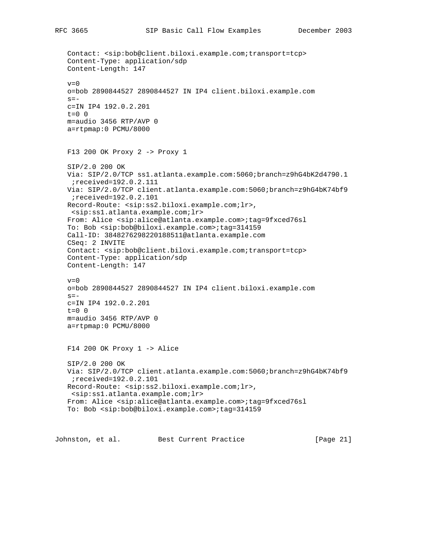```
 Contact: <sip:bob@client.biloxi.example.com;transport=tcp>
 Content-Type: application/sdp
 Content-Length: 147
v=0 o=bob 2890844527 2890844527 IN IP4 client.biloxi.example.com
s = - c=IN IP4 192.0.2.201
t=0 0
 m=audio 3456 RTP/AVP 0
 a=rtpmap:0 PCMU/8000
 F13 200 OK Proxy 2 -> Proxy 1
 SIP/2.0 200 OK
 Via: SIP/2.0/TCP ss1.atlanta.example.com:5060;branch=z9hG4bK2d4790.1
 ;received=192.0.2.111
 Via: SIP/2.0/TCP client.atlanta.example.com:5060;branch=z9hG4bK74bf9
  ;received=192.0.2.101
 Record-Route: <sip:ss2.biloxi.example.com;lr>,
 <sip:ss1.atlanta.example.com;lr>
 From: Alice <sip:alice@atlanta.example.com>;tag=9fxced76sl
 To: Bob <sip:bob@biloxi.example.com>;tag=314159
 Call-ID: 3848276298220188511@atlanta.example.com
 CSeq: 2 INVITE
 Contact: <sip:bob@client.biloxi.example.com;transport=tcp>
 Content-Type: application/sdp
 Content-Length: 147
v=0 o=bob 2890844527 2890844527 IN IP4 client.biloxi.example.com
s=- c=IN IP4 192.0.2.201
t=0 0
 m=audio 3456 RTP/AVP 0
 a=rtpmap:0 PCMU/8000
 F14 200 OK Proxy 1 -> Alice
 SIP/2.0 200 OK
 Via: SIP/2.0/TCP client.atlanta.example.com:5060;branch=z9hG4bK74bf9
 ;received=192.0.2.101
 Record-Route: <sip:ss2.biloxi.example.com;lr>,
 <sip:ss1.atlanta.example.com;lr>
 From: Alice <sip:alice@atlanta.example.com>;tag=9fxced76sl
 To: Bob <sip:bob@biloxi.example.com>;tag=314159
```
Johnston, et al. Best Current Practice [Page 21]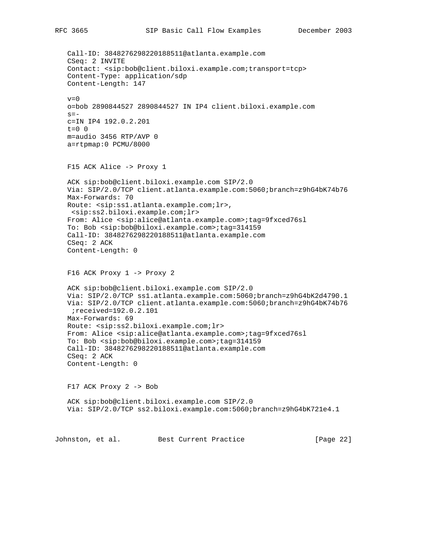Call-ID: 3848276298220188511@atlanta.example.com CSeq: 2 INVITE Contact: <sip:bob@client.biloxi.example.com;transport=tcp> Content-Type: application/sdp Content-Length: 147  $v=0$  o=bob 2890844527 2890844527 IN IP4 client.biloxi.example.com  $s =$  c=IN IP4 192.0.2.201  $t=0$  0 m=audio 3456 RTP/AVP 0 a=rtpmap:0 PCMU/8000 F15 ACK Alice -> Proxy 1 ACK sip:bob@client.biloxi.example.com SIP/2.0 Via: SIP/2.0/TCP client.atlanta.example.com:5060;branch=z9hG4bK74b76 Max-Forwards: 70 Route: <sip:ss1.atlanta.example.com;lr>, <sip:ss2.biloxi.example.com;lr> From: Alice <sip:alice@atlanta.example.com>;tag=9fxced76sl To: Bob <sip:bob@biloxi.example.com>;tag=314159 Call-ID: 3848276298220188511@atlanta.example.com CSeq: 2 ACK Content-Length: 0 F16 ACK Proxy 1 -> Proxy 2 ACK sip:bob@client.biloxi.example.com SIP/2.0 Via: SIP/2.0/TCP ss1.atlanta.example.com:5060;branch=z9hG4bK2d4790.1 Via: SIP/2.0/TCP client.atlanta.example.com:5060;branch=z9hG4bK74b76 ;received=192.0.2.101 Max-Forwards: 69 Route: <sip:ss2.biloxi.example.com;lr> From: Alice <sip:alice@atlanta.example.com>;tag=9fxced76sl To: Bob <sip:bob@biloxi.example.com>;tag=314159 Call-ID: 3848276298220188511@atlanta.example.com CSeq: 2 ACK Content-Length: 0 F17 ACK Proxy 2 -> Bob ACK sip:bob@client.biloxi.example.com SIP/2.0 Via: SIP/2.0/TCP ss2.biloxi.example.com:5060;branch=z9hG4bK721e4.1 Johnston, et al. Best Current Practice [Page 22]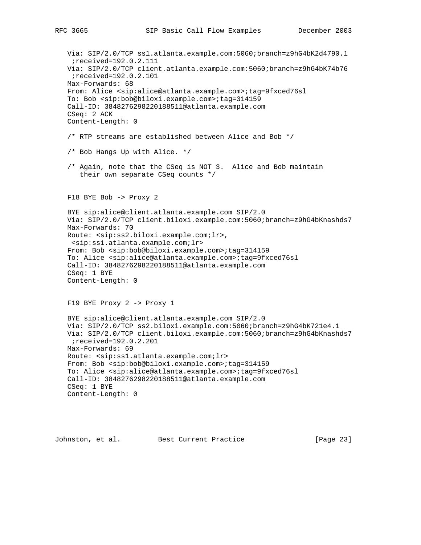Via: SIP/2.0/TCP ss1.atlanta.example.com:5060;branch=z9hG4bK2d4790.1 ;received=192.0.2.111 Via: SIP/2.0/TCP client.atlanta.example.com:5060;branch=z9hG4bK74b76 ;received=192.0.2.101 Max-Forwards: 68 From: Alice <sip:alice@atlanta.example.com>;tag=9fxced76sl To: Bob <sip:bob@biloxi.example.com>;tag=314159 Call-ID: 3848276298220188511@atlanta.example.com CSeq: 2 ACK Content-Length: 0 /\* RTP streams are established between Alice and Bob \*/ /\* Bob Hangs Up with Alice. \*/ /\* Again, note that the CSeq is NOT 3. Alice and Bob maintain their own separate CSeq counts \*/ F18 BYE Bob -> Proxy 2 BYE sip:alice@client.atlanta.example.com SIP/2.0 Via: SIP/2.0/TCP client.biloxi.example.com:5060;branch=z9hG4bKnashds7 Max-Forwards: 70 Route: <sip:ss2.biloxi.example.com;lr>, <sip:ss1.atlanta.example.com;lr> From: Bob <sip:bob@biloxi.example.com>;tag=314159 To: Alice <sip:alice@atlanta.example.com>;tag=9fxced76sl Call-ID: 3848276298220188511@atlanta.example.com CSeq: 1 BYE Content-Length: 0 F19 BYE Proxy 2 -> Proxy 1 BYE sip:alice@client.atlanta.example.com SIP/2.0 Via: SIP/2.0/TCP ss2.biloxi.example.com:5060;branch=z9hG4bK721e4.1 Via: SIP/2.0/TCP client.biloxi.example.com:5060;branch=z9hG4bKnashds7 ;received=192.0.2.201 Max-Forwards: 69 Route: <sip:ss1.atlanta.example.com;lr> From: Bob <sip:bob@biloxi.example.com>;tag=314159 To: Alice <sip:alice@atlanta.example.com>;tag=9fxced76sl Call-ID: 3848276298220188511@atlanta.example.com CSeq: 1 BYE Content-Length: 0

Johnston, et al. Best Current Practice [Page 23]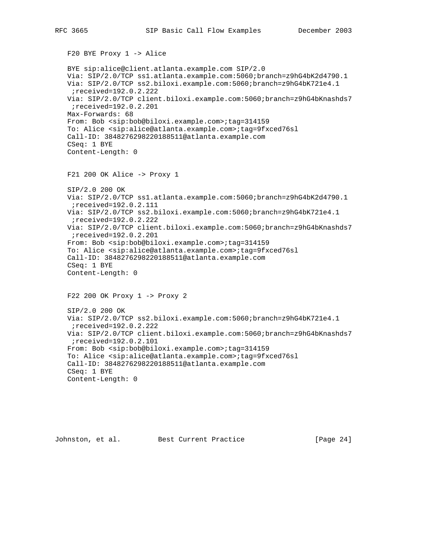```
 F20 BYE Proxy 1 -> Alice
 BYE sip:alice@client.atlanta.example.com SIP/2.0
 Via: SIP/2.0/TCP ss1.atlanta.example.com:5060;branch=z9hG4bK2d4790.1
 Via: SIP/2.0/TCP ss2.biloxi.example.com:5060;branch=z9hG4bK721e4.1
  ;received=192.0.2.222
 Via: SIP/2.0/TCP client.biloxi.example.com:5060;branch=z9hG4bKnashds7
  ;received=192.0.2.201
 Max-Forwards: 68
 From: Bob <sip:bob@biloxi.example.com>;tag=314159
 To: Alice <sip:alice@atlanta.example.com>;tag=9fxced76sl
 Call-ID: 3848276298220188511@atlanta.example.com
 CSeq: 1 BYE
 Content-Length: 0
 F21 200 OK Alice -> Proxy 1
 SIP/2.0 200 OK
 Via: SIP/2.0/TCP ss1.atlanta.example.com:5060;branch=z9hG4bK2d4790.1
 ;received=192.0.2.111
 Via: SIP/2.0/TCP ss2.biloxi.example.com:5060;branch=z9hG4bK721e4.1
 ;received=192.0.2.222
 Via: SIP/2.0/TCP client.biloxi.example.com:5060;branch=z9hG4bKnashds7
  ;received=192.0.2.201
 From: Bob <sip:bob@biloxi.example.com>;tag=314159
 To: Alice <sip:alice@atlanta.example.com>;tag=9fxced76sl
 Call-ID: 3848276298220188511@atlanta.example.com
 CSeq: 1 BYE
 Content-Length: 0
 F22 200 OK Proxy 1 -> Proxy 2
 SIP/2.0 200 OK
 Via: SIP/2.0/TCP ss2.biloxi.example.com:5060;branch=z9hG4bK721e4.1
  ;received=192.0.2.222
 Via: SIP/2.0/TCP client.biloxi.example.com:5060;branch=z9hG4bKnashds7
  ;received=192.0.2.101
 From: Bob <sip:bob@biloxi.example.com>;tag=314159
 To: Alice <sip:alice@atlanta.example.com>;tag=9fxced76sl
 Call-ID: 3848276298220188511@atlanta.example.com
 CSeq: 1 BYE
 Content-Length: 0
```
Johnston, et al. Best Current Practice [Page 24]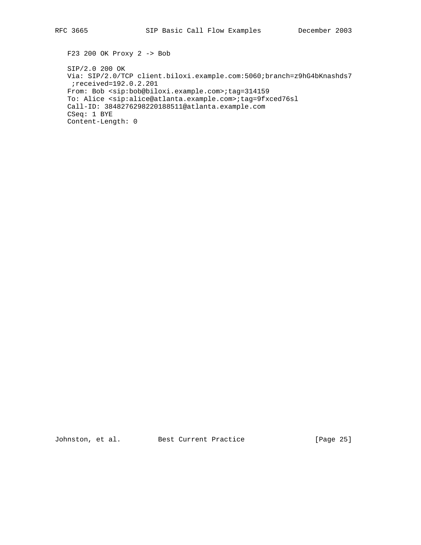F23 200 OK Proxy 2 -> Bob

 SIP/2.0 200 OK Via: SIP/2.0/TCP client.biloxi.example.com:5060;branch=z9hG4bKnashds7 ;received=192.0.2.201 From: Bob <sip:bob@biloxi.example.com>;tag=314159 To: Alice <sip:alice@atlanta.example.com>;tag=9fxced76sl Call-ID: 3848276298220188511@atlanta.example.com CSeq: 1 BYE Content-Length: 0

Johnston, et al. Best Current Practice [Page 25]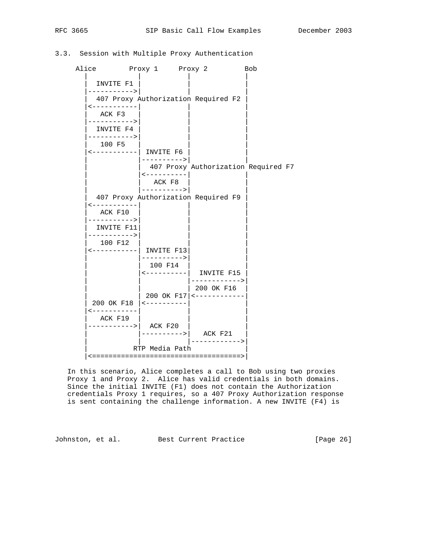# 3.3. Session with Multiple Proxy Authentication

Alice Proxy 1 Proxy 2 Bob | | | | INVITE F1 |----------->| | | | 407 Proxy Authorization Required F2 | |<-----------| | | ACK F3 |----------->| | | INVITE F4 |----------->| | | | 100 F5 | | | |<-----------| INVITE F6 | | | |---------->| | 407 Proxy Authorization Required F7 | <---------- | | ACK F8 | |---------->| | | 407 Proxy Authorization Required F9 | |<-----------| | | ACK F10 |----------->| | | | INVITE F11| | | |----------->| | | 100 F12 |<-----------| INVITE F13| | | |---------->| | 100 F14 | <----------| INVITE F15 | | |------------>| | 200 OK F16 | 200 OK F17|<------------ | 200 OK F18 |<----------| |  $|$  < - - - - - - - - - - -  $|$ ACK F19 |----------->| ACK F20 | | | |---------->| ACK F21 | | | |------------>| RTP Media Path |<====================================>|

 In this scenario, Alice completes a call to Bob using two proxies Proxy 1 and Proxy 2. Alice has valid credentials in both domains. Since the initial INVITE (F1) does not contain the Authorization credentials Proxy 1 requires, so a 407 Proxy Authorization response is sent containing the challenge information. A new INVITE (F4) is

Johnston, et al. Best Current Practice [Page 26]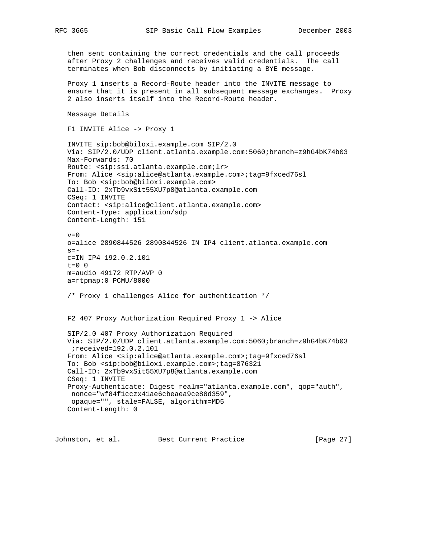then sent containing the correct credentials and the call proceeds after Proxy 2 challenges and receives valid credentials. The call terminates when Bob disconnects by initiating a BYE message. Proxy 1 inserts a Record-Route header into the INVITE message to ensure that it is present in all subsequent message exchanges. Proxy 2 also inserts itself into the Record-Route header. Message Details F1 INVITE Alice -> Proxy 1 INVITE sip:bob@biloxi.example.com SIP/2.0 Via: SIP/2.0/UDP client.atlanta.example.com:5060;branch=z9hG4bK74b03 Max-Forwards: 70 Route: <sip:ss1.atlanta.example.com;lr> From: Alice <sip:alice@atlanta.example.com>;tag=9fxced76sl To: Bob <sip:bob@biloxi.example.com> Call-ID: 2xTb9vxSit55XU7p8@atlanta.example.com CSeq: 1 INVITE Contact: <sip:alice@client.atlanta.example.com> Content-Type: application/sdp Content-Length: 151  $v=0$  o=alice 2890844526 2890844526 IN IP4 client.atlanta.example.com  $s=$  c=IN IP4 192.0.2.101 t=0 0 m=audio 49172 RTP/AVP 0 a=rtpmap:0 PCMU/8000 /\* Proxy 1 challenges Alice for authentication \*/ F2 407 Proxy Authorization Required Proxy 1 -> Alice SIP/2.0 407 Proxy Authorization Required Via: SIP/2.0/UDP client.atlanta.example.com:5060;branch=z9hG4bK74b03 ;received=192.0.2.101 From: Alice <sip:alice@atlanta.example.com>;tag=9fxced76sl To: Bob <sip:bob@biloxi.example.com>;tag=876321 Call-ID: 2xTb9vxSit55XU7p8@atlanta.example.com CSeq: 1 INVITE Proxy-Authenticate: Digest realm="atlanta.example.com", qop="auth", nonce="wf84f1cczx41ae6cbeaea9ce88d359", opaque="", stale=FALSE, algorithm=MD5 Content-Length: 0

Johnston, et al. Best Current Practice [Page 27]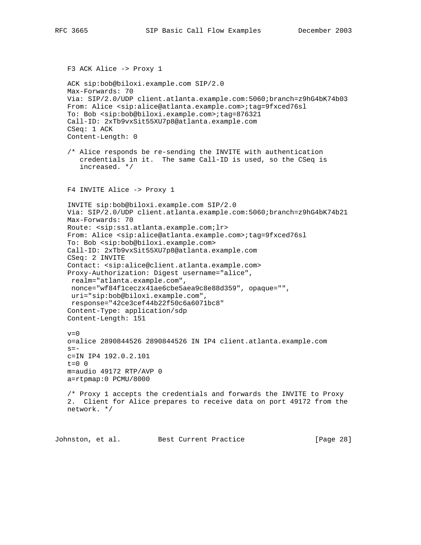```
 F3 ACK Alice -> Proxy 1
   ACK sip:bob@biloxi.example.com SIP/2.0
   Max-Forwards: 70
   Via: SIP/2.0/UDP client.atlanta.example.com:5060;branch=z9hG4bK74b03
   From: Alice <sip:alice@atlanta.example.com>;tag=9fxced76sl
   To: Bob <sip:bob@biloxi.example.com>;tag=876321
   Call-ID: 2xTb9vxSit55XU7p8@atlanta.example.com
   CSeq: 1 ACK
   Content-Length: 0
    /* Alice responds be re-sending the INVITE with authentication
      credentials in it. The same Call-ID is used, so the CSeq is
       increased. */
   F4 INVITE Alice -> Proxy 1
    INVITE sip:bob@biloxi.example.com SIP/2.0
   Via: SIP/2.0/UDP client.atlanta.example.com:5060;branch=z9hG4bK74b21
   Max-Forwards: 70
   Route: <sip:ss1.atlanta.example.com;lr>
   From: Alice <sip:alice@atlanta.example.com>;tag=9fxced76sl
   To: Bob <sip:bob@biloxi.example.com>
   Call-ID: 2xTb9vxSit55XU7p8@atlanta.example.com
   CSeq: 2 INVITE
   Contact: <sip:alice@client.atlanta.example.com>
   Proxy-Authorization: Digest username="alice",
    realm="atlanta.example.com",
    nonce="wf84f1ceczx41ae6cbe5aea9c8e88d359", opaque="",
    uri="sip:bob@biloxi.example.com",
    response="42ce3cef44b22f50c6a6071bc8"
   Content-Type: application/sdp
   Content-Length: 151
  v=0 o=alice 2890844526 2890844526 IN IP4 client.atlanta.example.com
   s=- c=IN IP4 192.0.2.101
   t=0 0
   m=audio 49172 RTP/AVP 0
   a=rtpmap:0 PCMU/8000
   /* Proxy 1 accepts the credentials and forwards the INVITE to Proxy
   2. Client for Alice prepares to receive data on port 49172 from the
   network. */
Johnston, et al. Best Current Practice [Page 28]
```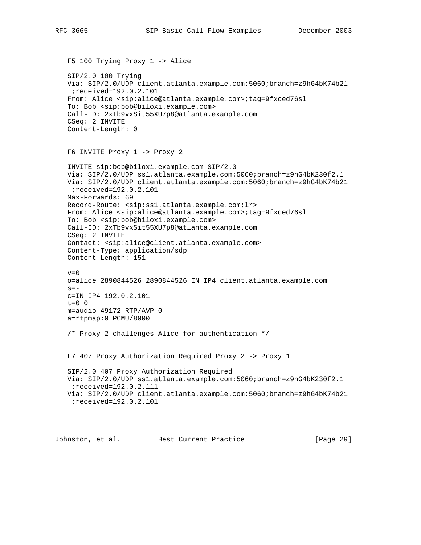```
 F5 100 Trying Proxy 1 -> Alice
 SIP/2.0 100 Trying
 Via: SIP/2.0/UDP client.atlanta.example.com:5060;branch=z9hG4bK74b21
 ;received=192.0.2.101
 From: Alice <sip:alice@atlanta.example.com>;tag=9fxced76sl
 To: Bob <sip:bob@biloxi.example.com>
 Call-ID: 2xTb9vxSit55XU7p8@atlanta.example.com
 CSeq: 2 INVITE
 Content-Length: 0
 F6 INVITE Proxy 1 -> Proxy 2
 INVITE sip:bob@biloxi.example.com SIP/2.0
 Via: SIP/2.0/UDP ss1.atlanta.example.com:5060;branch=z9hG4bK230f2.1
 Via: SIP/2.0/UDP client.atlanta.example.com:5060;branch=z9hG4bK74b21
  ;received=192.0.2.101
 Max-Forwards: 69
 Record-Route: <sip:ss1.atlanta.example.com;lr>
 From: Alice <sip:alice@atlanta.example.com>;tag=9fxced76sl
 To: Bob <sip:bob@biloxi.example.com>
 Call-ID: 2xTb9vxSit55XU7p8@atlanta.example.com
 CSeq: 2 INVITE
 Contact: <sip:alice@client.atlanta.example.com>
 Content-Type: application/sdp
 Content-Length: 151
v=0 o=alice 2890844526 2890844526 IN IP4 client.atlanta.example.com
s = - c=IN IP4 192.0.2.101
t=0 0
 m=audio 49172 RTP/AVP 0
 a=rtpmap:0 PCMU/8000
 /* Proxy 2 challenges Alice for authentication */
 F7 407 Proxy Authorization Required Proxy 2 -> Proxy 1
 SIP/2.0 407 Proxy Authorization Required
 Via: SIP/2.0/UDP ss1.atlanta.example.com:5060;branch=z9hG4bK230f2.1
  ;received=192.0.2.111
 Via: SIP/2.0/UDP client.atlanta.example.com:5060;branch=z9hG4bK74b21
  ;received=192.0.2.101
```
Johnston, et al. Best Current Practice [Page 29]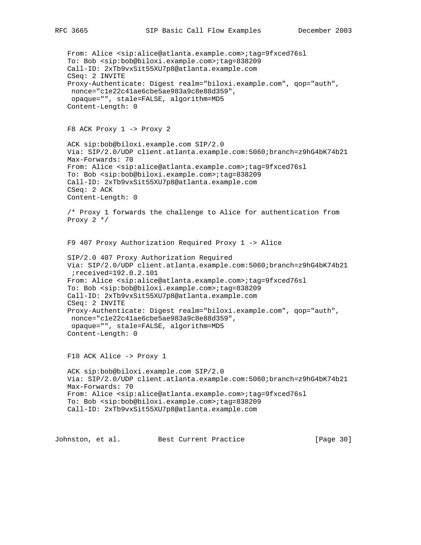```
 From: Alice <sip:alice@atlanta.example.com>;tag=9fxced76sl
 To: Bob <sip:bob@biloxi.example.com>;tag=838209
 Call-ID: 2xTb9vxSit55XU7p8@atlanta.example.com
 CSeq: 2 INVITE
 Proxy-Authenticate: Digest realm="biloxi.example.com", qop="auth",
 nonce="c1e22c41ae6cbe5ae983a9c8e88d359",
 opaque="", stale=FALSE, algorithm=MD5
 Content-Length: 0
 F8 ACK Proxy 1 -> Proxy 2
 ACK sip:bob@biloxi.example.com SIP/2.0
 Via: SIP/2.0/UDP client.atlanta.example.com:5060;branch=z9hG4bK74b21
 Max-Forwards: 70
 From: Alice <sip:alice@atlanta.example.com>;tag=9fxced76sl
 To: Bob <sip:bob@biloxi.example.com>;tag=838209
 Call-ID: 2xTb9vxSit55XU7p8@atlanta.example.com
 CSeq: 2 ACK
 Content-Length: 0
 /* Proxy 1 forwards the challenge to Alice for authentication from
 Proxy 2 */
 F9 407 Proxy Authorization Required Proxy 1 -> Alice
 SIP/2.0 407 Proxy Authorization Required
 Via: SIP/2.0/UDP client.atlanta.example.com:5060;branch=z9hG4bK74b21
  ;received=192.0.2.101
 From: Alice <sip:alice@atlanta.example.com>;tag=9fxced76sl
 To: Bob <sip:bob@biloxi.example.com>;tag=838209
 Call-ID: 2xTb9vxSit55XU7p8@atlanta.example.com
 CSeq: 2 INVITE
 Proxy-Authenticate: Digest realm="biloxi.example.com", qop="auth",
 nonce="c1e22c41ae6cbe5ae983a9c8e88d359",
 opaque="", stale=FALSE, algorithm=MD5
 Content-Length: 0
 F10 ACK Alice -> Proxy 1
 ACK sip:bob@biloxi.example.com SIP/2.0
 Via: SIP/2.0/UDP client.atlanta.example.com:5060;branch=z9hG4bK74b21
 Max-Forwards: 70
 From: Alice <sip:alice@atlanta.example.com>;tag=9fxced76sl
 To: Bob <sip:bob@biloxi.example.com>;tag=838209
 Call-ID: 2xTb9vxSit55XU7p8@atlanta.example.com
```
Johnston, et al. Best Current Practice [Page 30]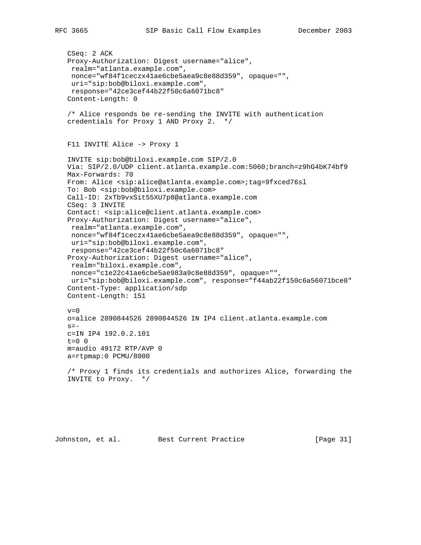```
 CSeq: 2 ACK
 Proxy-Authorization: Digest username="alice",
  realm="atlanta.example.com",
 nonce="wf84f1ceczx41ae6cbe5aea9c8e88d359", opaque="",
 uri="sip:bob@biloxi.example.com",
  response="42ce3cef44b22f50c6a6071bc8"
 Content-Length: 0
 /* Alice responds be re-sending the INVITE with authentication
 credentials for Proxy 1 AND Proxy 2. */
 F11 INVITE Alice -> Proxy 1
 INVITE sip:bob@biloxi.example.com SIP/2.0
 Via: SIP/2.0/UDP client.atlanta.example.com:5060;branch=z9hG4bK74bf9
 Max-Forwards: 70
 From: Alice <sip:alice@atlanta.example.com>;tag=9fxced76sl
 To: Bob <sip:bob@biloxi.example.com>
 Call-ID: 2xTb9vxSit55XU7p8@atlanta.example.com
 CSeq: 3 INVITE
 Contact: <sip:alice@client.atlanta.example.com>
 Proxy-Authorization: Digest username="alice",
 realm="atlanta.example.com",
 nonce="wf84f1ceczx41ae6cbe5aea9c8e88d359", opaque="",
 uri="sip:bob@biloxi.example.com",
  response="42ce3cef44b22f50c6a6071bc8"
 Proxy-Authorization: Digest username="alice",
 realm="biloxi.example.com",
 nonce="c1e22c41ae6cbe5ae983a9c8e88d359", opaque="",
 uri="sip:bob@biloxi.example.com", response="f44ab22f150c6a56071bce8"
 Content-Type: application/sdp
 Content-Length: 151
v=0 o=alice 2890844526 2890844526 IN IP4 client.atlanta.example.com
s=- c=IN IP4 192.0.2.101
t=0 0
 m=audio 49172 RTP/AVP 0
 a=rtpmap:0 PCMU/8000
 /* Proxy 1 finds its credentials and authorizes Alice, forwarding the
 INVITE to Proxy. */
```
Johnston, et al. Best Current Practice [Page 31]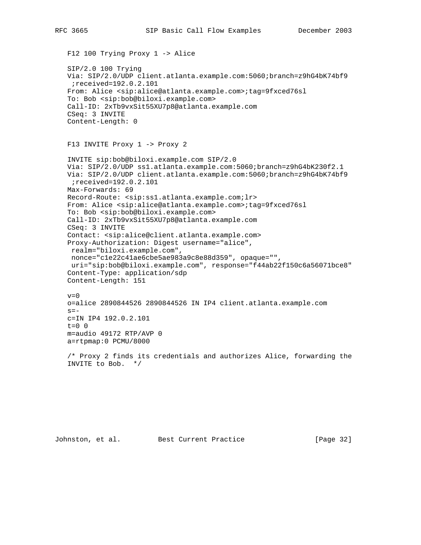```
 F12 100 Trying Proxy 1 -> Alice
 SIP/2.0 100 Trying
 Via: SIP/2.0/UDP client.atlanta.example.com:5060;branch=z9hG4bK74bf9
 ;received=192.0.2.101
 From: Alice <sip:alice@atlanta.example.com>;tag=9fxced76sl
 To: Bob <sip:bob@biloxi.example.com>
 Call-ID: 2xTb9vxSit55XU7p8@atlanta.example.com
 CSeq: 3 INVITE
 Content-Length: 0
 F13 INVITE Proxy 1 -> Proxy 2
 INVITE sip:bob@biloxi.example.com SIP/2.0
 Via: SIP/2.0/UDP ss1.atlanta.example.com:5060;branch=z9hG4bK230f2.1
 Via: SIP/2.0/UDP client.atlanta.example.com:5060;branch=z9hG4bK74bf9
 ;received=192.0.2.101
 Max-Forwards: 69
 Record-Route: <sip:ss1.atlanta.example.com;lr>
 From: Alice <sip:alice@atlanta.example.com>;tag=9fxced76sl
 To: Bob <sip:bob@biloxi.example.com>
 Call-ID: 2xTb9vxSit55XU7p8@atlanta.example.com
 CSeq: 3 INVITE
 Contact: <sip:alice@client.atlanta.example.com>
 Proxy-Authorization: Digest username="alice",
 realm="biloxi.example.com",
 nonce="c1e22c41ae6cbe5ae983a9c8e88d359", opaque="",
 uri="sip:bob@biloxi.example.com", response="f44ab22f150c6a56071bce8"
 Content-Type: application/sdp
 Content-Length: 151
v=0 o=alice 2890844526 2890844526 IN IP4 client.atlanta.example.com
s=- c=IN IP4 192.0.2.101
t=0 0
 m=audio 49172 RTP/AVP 0
 a=rtpmap:0 PCMU/8000
 /* Proxy 2 finds its credentials and authorizes Alice, forwarding the
 INVITE to Bob. */
```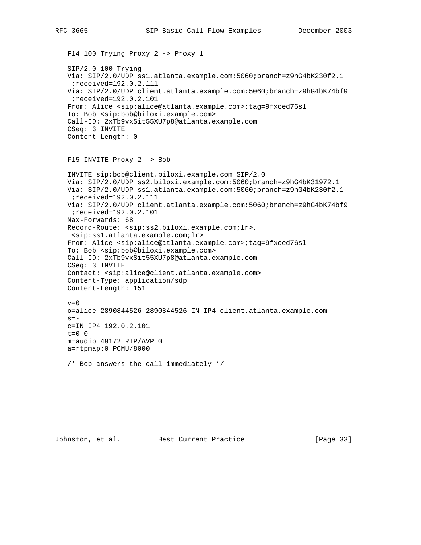F14 100 Trying Proxy 2 -> Proxy 1 SIP/2.0 100 Trying Via: SIP/2.0/UDP ss1.atlanta.example.com:5060;branch=z9hG4bK230f2.1 ;received=192.0.2.111 Via: SIP/2.0/UDP client.atlanta.example.com:5060;branch=z9hG4bK74bf9 ;received=192.0.2.101 From: Alice <sip:alice@atlanta.example.com>;tag=9fxced76sl To: Bob <sip:bob@biloxi.example.com> Call-ID: 2xTb9vxSit55XU7p8@atlanta.example.com CSeq: 3 INVITE Content-Length: 0 F15 INVITE Proxy 2 -> Bob INVITE sip:bob@client.biloxi.example.com SIP/2.0 Via: SIP/2.0/UDP ss2.biloxi.example.com:5060;branch=z9hG4bK31972.1 Via: SIP/2.0/UDP ss1.atlanta.example.com:5060;branch=z9hG4bK230f2.1 ;received=192.0.2.111 Via: SIP/2.0/UDP client.atlanta.example.com:5060;branch=z9hG4bK74bf9 ;received=192.0.2.101 Max-Forwards: 68 Record-Route: <sip:ss2.biloxi.example.com;lr>, <sip:ss1.atlanta.example.com;lr> From: Alice <sip:alice@atlanta.example.com>;tag=9fxced76sl To: Bob <sip:bob@biloxi.example.com> Call-ID: 2xTb9vxSit55XU7p8@atlanta.example.com CSeq: 3 INVITE Contact: <sip:alice@client.atlanta.example.com> Content-Type: application/sdp Content-Length: 151  $v=0$  o=alice 2890844526 2890844526 IN IP4 client.atlanta.example.com  $s=$  c=IN IP4 192.0.2.101 t=0 0 m=audio 49172 RTP/AVP 0

/\* Bob answers the call immediately \*/

a=rtpmap:0 PCMU/8000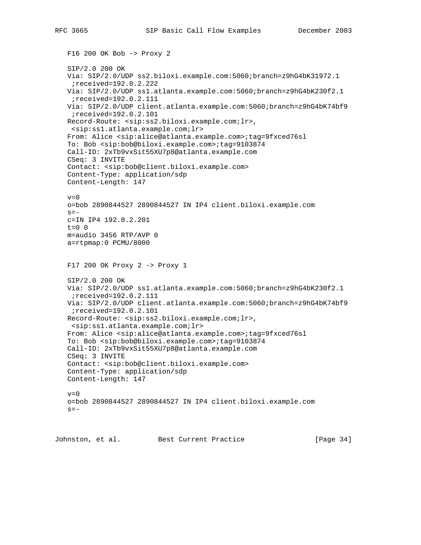```
 F16 200 OK Bob -> Proxy 2
 SIP/2.0 200 OK
 Via: SIP/2.0/UDP ss2.biloxi.example.com:5060;branch=z9hG4bK31972.1
  ;received=192.0.2.222
 Via: SIP/2.0/UDP ss1.atlanta.example.com:5060;branch=z9hG4bK230f2.1
  ;received=192.0.2.111
 Via: SIP/2.0/UDP client.atlanta.example.com:5060;branch=z9hG4bK74bf9
  ;received=192.0.2.101
 Record-Route: <sip:ss2.biloxi.example.com;lr>,
 <sip:ss1.atlanta.example.com;lr>
 From: Alice <sip:alice@atlanta.example.com>;tag=9fxced76sl
 To: Bob <sip:bob@biloxi.example.com>;tag=9103874
 Call-ID: 2xTb9vxSit55XU7p8@atlanta.example.com
 CSeq: 3 INVITE
 Contact: <sip:bob@client.biloxi.example.com>
 Content-Type: application/sdp
 Content-Length: 147
v=0 o=bob 2890844527 2890844527 IN IP4 client.biloxi.example.com
s=- c=IN IP4 192.0.2.201
t=0 0
 m=audio 3456 RTP/AVP 0
 a=rtpmap:0 PCMU/8000
 F17 200 OK Proxy 2 -> Proxy 1
 SIP/2.0 200 OK
 Via: SIP/2.0/UDP ss1.atlanta.example.com:5060;branch=z9hG4bK230f2.1
  ;received=192.0.2.111
 Via: SIP/2.0/UDP client.atlanta.example.com:5060;branch=z9hG4bK74bf9
  ;received=192.0.2.101
 Record-Route: <sip:ss2.biloxi.example.com;lr>,
  <sip:ss1.atlanta.example.com;lr>
 From: Alice <sip:alice@atlanta.example.com>;tag=9fxced76sl
 To: Bob <sip:bob@biloxi.example.com>;tag=9103874
 Call-ID: 2xTb9vxSit55XU7p8@atlanta.example.com
 CSeq: 3 INVITE
 Contact: <sip:bob@client.biloxi.example.com>
 Content-Type: application/sdp
 Content-Length: 147
v=0 o=bob 2890844527 2890844527 IN IP4 client.biloxi.example.com
s=-
```
Johnston, et al. Best Current Practice [Page 34]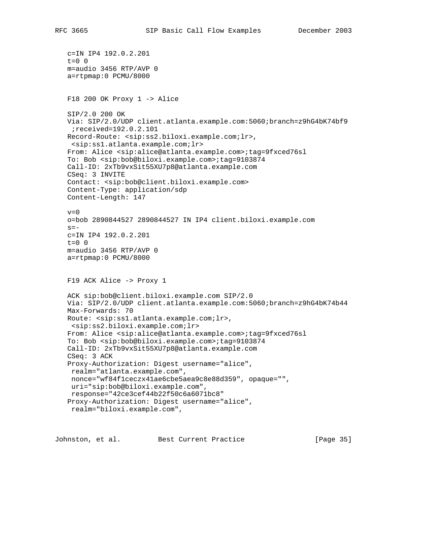```
 c=IN IP4 192.0.2.201
 t=0 0
 m=audio 3456 RTP/AVP 0
 a=rtpmap:0 PCMU/8000
 F18 200 OK Proxy 1 -> Alice
 SIP/2.0 200 OK
 Via: SIP/2.0/UDP client.atlanta.example.com:5060;branch=z9hG4bK74bf9
 ;received=192.0.2.101
 Record-Route: <sip:ss2.biloxi.example.com;lr>,
 <sip:ss1.atlanta.example.com;lr>
 From: Alice <sip:alice@atlanta.example.com>;tag=9fxced76sl
 To: Bob <sip:bob@biloxi.example.com>;tag=9103874
 Call-ID: 2xTb9vxSit55XU7p8@atlanta.example.com
 CSeq: 3 INVITE
 Contact: <sip:bob@client.biloxi.example.com>
 Content-Type: application/sdp
 Content-Length: 147
v=0 o=bob 2890844527 2890844527 IN IP4 client.biloxi.example.com
s=- c=IN IP4 192.0.2.201
 t=0 0
 m=audio 3456 RTP/AVP 0
 a=rtpmap:0 PCMU/8000
 F19 ACK Alice -> Proxy 1
 ACK sip:bob@client.biloxi.example.com SIP/2.0
 Via: SIP/2.0/UDP client.atlanta.example.com:5060;branch=z9hG4bK74b44
 Max-Forwards: 70
 Route: <sip:ss1.atlanta.example.com;lr>,
 <sip:ss2.biloxi.example.com;lr>
 From: Alice <sip:alice@atlanta.example.com>;tag=9fxced76sl
 To: Bob <sip:bob@biloxi.example.com>;tag=9103874
 Call-ID: 2xTb9vxSit55XU7p8@atlanta.example.com
 CSeq: 3 ACK
 Proxy-Authorization: Digest username="alice",
 realm="atlanta.example.com",
 nonce="wf84f1ceczx41ae6cbe5aea9c8e88d359", opaque="",
 uri="sip:bob@biloxi.example.com",
 response="42ce3cef44b22f50c6a6071bc8"
 Proxy-Authorization: Digest username="alice",
 realm="biloxi.example.com",
```
Johnston, et al. Best Current Practice [Page 35]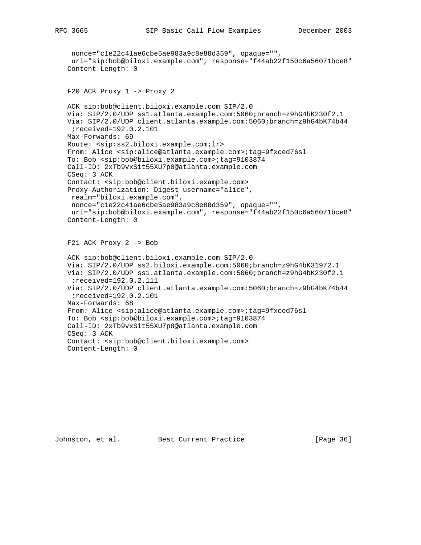```
 nonce="c1e22c41ae6cbe5ae983a9c8e88d359", opaque="",
  uri="sip:bob@biloxi.example.com", response="f44ab22f150c6a56071bce8"
 Content-Length: 0
 F20 ACK Proxy 1 -> Proxy 2
 ACK sip:bob@client.biloxi.example.com SIP/2.0
 Via: SIP/2.0/UDP ss1.atlanta.example.com:5060;branch=z9hG4bK230f2.1
 Via: SIP/2.0/UDP client.atlanta.example.com:5060;branch=z9hG4bK74b44
 ;received=192.0.2.101
 Max-Forwards: 69
 Route: <sip:ss2.biloxi.example.com;lr>
 From: Alice <sip:alice@atlanta.example.com>;tag=9fxced76sl
 To: Bob <sip:bob@biloxi.example.com>;tag=9103874
 Call-ID: 2xTb9vxSit55XU7p8@atlanta.example.com
 CSeq: 3 ACK
 Contact: <sip:bob@client.biloxi.example.com>
 Proxy-Authorization: Digest username="alice",
 realm="biloxi.example.com",
 nonce="c1e22c41ae6cbe5ae983a9c8e88d359", opaque="",
 uri="sip:bob@biloxi.example.com", response="f44ab22f150c6a56071bce8"
 Content-Length: 0
 F21 ACK Proxy 2 -> Bob
 ACK sip:bob@client.biloxi.example.com SIP/2.0
 Via: SIP/2.0/UDP ss2.biloxi.example.com:5060;branch=z9hG4bK31972.1
 Via: SIP/2.0/UDP ss1.atlanta.example.com:5060;branch=z9hG4bK230f2.1
  ;received=192.0.2.111
 Via: SIP/2.0/UDP client.atlanta.example.com:5060;branch=z9hG4bK74b44
  ;received=192.0.2.101
 Max-Forwards: 68
 From: Alice <sip:alice@atlanta.example.com>;tag=9fxced76sl
 To: Bob <sip:bob@biloxi.example.com>;tag=9103874
 Call-ID: 2xTb9vxSit55XU7p8@atlanta.example.com
 CSeq: 3 ACK
 Contact: <sip:bob@client.biloxi.example.com>
 Content-Length: 0
```
Johnston, et al. Best Current Practice [Page 36]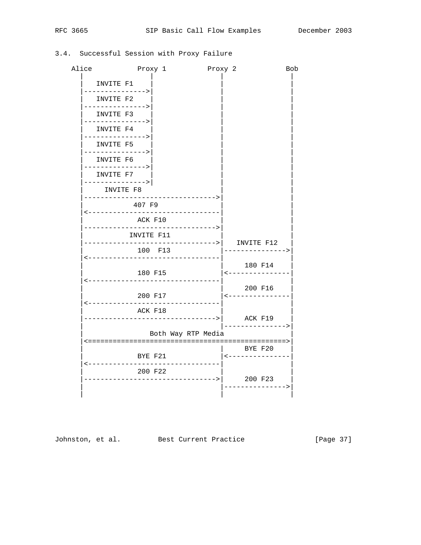# 3.4. Successful Session with Proxy Failure

| Alice |                               | Proxy 1                                  | Proxy 2 |                               | <b>Bob</b> |
|-------|-------------------------------|------------------------------------------|---------|-------------------------------|------------|
|       | INVITE F1                     |                                          |         |                               |            |
|       | --------------><br>INVITE F2  |                                          |         |                               |            |
|       | ----------><br>INVITE F3      |                                          |         |                               |            |
|       | ------------><br>INVITE F4    |                                          |         |                               |            |
|       | -------------><br>INVITE F5   |                                          |         |                               |            |
|       | --------------><br>INVITE F6  |                                          |         |                               |            |
|       | ----------><br>INVITE F7      |                                          |         |                               |            |
|       | --------------> <br>INVITE F8 |                                          |         |                               |            |
|       | 407 F9                        |                                          |         |                               |            |
|       | ACK F10                       | .                                        |         |                               |            |
|       | ---------<br>INVITE F11       | . - - - - - - - - - - - >                |         |                               |            |
|       | ------------                  | -----------> <br>100 F13                 |         | INVITE F12<br>----------->    |            |
|       |                               | ------------                             |         | 180 F14                       |            |
|       |                               | 180 F15<br>----------------              |         | <-------------                |            |
|       |                               | 200 F17                                  |         | 200 F16<br>  <--------------- |            |
|       |                               | . _ _ _ _ _ _ _ _ _ _ _ _ _ _<br>ACK F18 |         |                               |            |
|       |                               | --------------------->  ACK F19          |         | -------------->               |            |
|       |                               | Both Way RTP Media                       |         |                               |            |
|       |                               | BYE F21                                  |         | BYE F20<br>  <--------------  |            |
|       |                               | --------<br>200 F22                      |         |                               |            |
|       |                               | --------------->                         |         | 200 F23<br>----->             |            |
|       |                               |                                          |         |                               |            |

Johnston, et al. Best Current Practice [Page 37]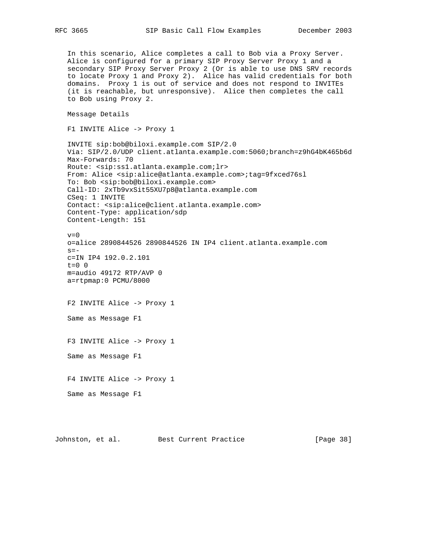In this scenario, Alice completes a call to Bob via a Proxy Server. Alice is configured for a primary SIP Proxy Server Proxy 1 and a secondary SIP Proxy Server Proxy 2 (Or is able to use DNS SRV records to locate Proxy 1 and Proxy 2). Alice has valid credentials for both domains. Proxy 1 is out of service and does not respond to INVITEs (it is reachable, but unresponsive). Alice then completes the call to Bob using Proxy 2. Message Details F1 INVITE Alice -> Proxy 1 INVITE sip:bob@biloxi.example.com SIP/2.0 Via: SIP/2.0/UDP client.atlanta.example.com:5060;branch=z9hG4bK465b6d Max-Forwards: 70 Route: <sip:ss1.atlanta.example.com;lr> From: Alice <sip:alice@atlanta.example.com>;tag=9fxced76sl To: Bob <sip:bob@biloxi.example.com> Call-ID: 2xTb9vxSit55XU7p8@atlanta.example.com CSeq: 1 INVITE Contact: <sip:alice@client.atlanta.example.com> Content-Type: application/sdp Content-Length: 151  $v=0$  o=alice 2890844526 2890844526 IN IP4 client.atlanta.example.com  $s=$  c=IN IP4 192.0.2.101 t=0 0 m=audio 49172 RTP/AVP 0 a=rtpmap:0 PCMU/8000 F2 INVITE Alice -> Proxy 1 Same as Message F1 F3 INVITE Alice -> Proxy 1 Same as Message F1 F4 INVITE Alice -> Proxy 1 Same as Message F1

Johnston, et al. Best Current Practice [Page 38]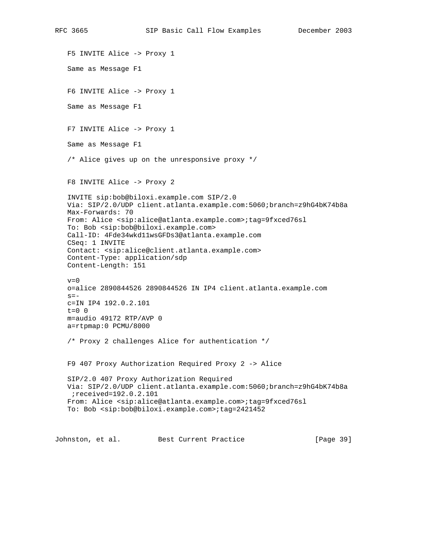F5 INVITE Alice -> Proxy 1 Same as Message F1 F6 INVITE Alice -> Proxy 1 Same as Message F1 F7 INVITE Alice -> Proxy 1 Same as Message F1 /\* Alice gives up on the unresponsive proxy \*/ F8 INVITE Alice -> Proxy 2 INVITE sip:bob@biloxi.example.com SIP/2.0 Via: SIP/2.0/UDP client.atlanta.example.com:5060;branch=z9hG4bK74b8a Max-Forwards: 70 From: Alice <sip:alice@atlanta.example.com>;tag=9fxced76sl To: Bob <sip:bob@biloxi.example.com> Call-ID: 4Fde34wkd11wsGFDs3@atlanta.example.com CSeq: 1 INVITE Contact: <sip:alice@client.atlanta.example.com> Content-Type: application/sdp Content-Length: 151  $v=0$  o=alice 2890844526 2890844526 IN IP4 client.atlanta.example.com  $s=$  c=IN IP4 192.0.2.101  $t=0$  0 m=audio 49172 RTP/AVP 0 a=rtpmap:0 PCMU/8000 /\* Proxy 2 challenges Alice for authentication \*/ F9 407 Proxy Authorization Required Proxy 2 -> Alice SIP/2.0 407 Proxy Authorization Required Via: SIP/2.0/UDP client.atlanta.example.com:5060;branch=z9hG4bK74b8a ;received=192.0.2.101 From: Alice <sip:alice@atlanta.example.com>;tag=9fxced76sl To: Bob <sip:bob@biloxi.example.com>;tag=2421452 Johnston, et al. Best Current Practice [Page 39]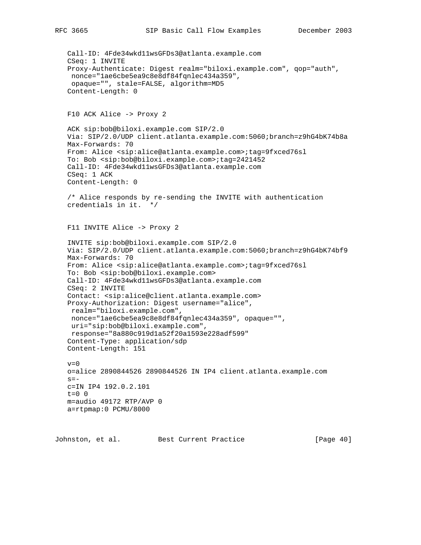```
 Call-ID: 4Fde34wkd11wsGFDs3@atlanta.example.com
 CSeq: 1 INVITE
 Proxy-Authenticate: Digest realm="biloxi.example.com", qop="auth",
 nonce="1ae6cbe5ea9c8e8df84fqnlec434a359",
 opaque="", stale=FALSE, algorithm=MD5
 Content-Length: 0
 F10 ACK Alice -> Proxy 2
 ACK sip:bob@biloxi.example.com SIP/2.0
 Via: SIP/2.0/UDP client.atlanta.example.com:5060;branch=z9hG4bK74b8a
 Max-Forwards: 70
 From: Alice <sip:alice@atlanta.example.com>;tag=9fxced76sl
 To: Bob <sip:bob@biloxi.example.com>;tag=2421452
 Call-ID: 4Fde34wkd11wsGFDs3@atlanta.example.com
 CSeq: 1 ACK
 Content-Length: 0
 /* Alice responds by re-sending the INVITE with authentication
 credentials in it. */
 F11 INVITE Alice -> Proxy 2
 INVITE sip:bob@biloxi.example.com SIP/2.0
 Via: SIP/2.0/UDP client.atlanta.example.com:5060;branch=z9hG4bK74bf9
 Max-Forwards: 70
 From: Alice <sip:alice@atlanta.example.com>;tag=9fxced76sl
 To: Bob <sip:bob@biloxi.example.com>
 Call-ID: 4Fde34wkd11wsGFDs3@atlanta.example.com
 CSeq: 2 INVITE
 Contact: <sip:alice@client.atlanta.example.com>
 Proxy-Authorization: Digest username="alice",
 realm="biloxi.example.com",
 nonce="1ae6cbe5ea9c8e8df84fqnlec434a359", opaque="",
 uri="sip:bob@biloxi.example.com",
  response="8a880c919d1a52f20a1593e228adf599"
 Content-Type: application/sdp
 Content-Length: 151
v=0 o=alice 2890844526 2890844526 IN IP4 client.atlanta.example.com
s = - c=IN IP4 192.0.2.101
t=0 0
 m=audio 49172 RTP/AVP 0
 a=rtpmap:0 PCMU/8000
```
Johnston, et al. Best Current Practice [Page 40]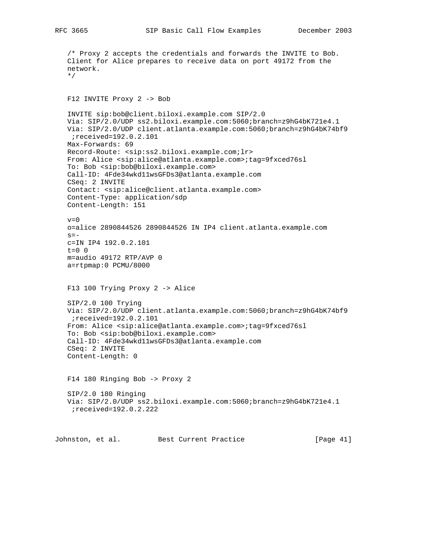/\* Proxy 2 accepts the credentials and forwards the INVITE to Bob. Client for Alice prepares to receive data on port 49172 from the network. \*/ F12 INVITE Proxy 2 -> Bob INVITE sip:bob@client.biloxi.example.com SIP/2.0 Via: SIP/2.0/UDP ss2.biloxi.example.com:5060;branch=z9hG4bK721e4.1 Via: SIP/2.0/UDP client.atlanta.example.com:5060;branch=z9hG4bK74bf9 ;received=192.0.2.101 Max-Forwards: 69 Record-Route: <sip:ss2.biloxi.example.com;lr> From: Alice <sip:alice@atlanta.example.com>;tag=9fxced76sl To: Bob <sip:bob@biloxi.example.com> Call-ID: 4Fde34wkd11wsGFDs3@atlanta.example.com CSeq: 2 INVITE Contact: <sip:alice@client.atlanta.example.com> Content-Type: application/sdp Content-Length: 151  $v=0$  o=alice 2890844526 2890844526 IN IP4 client.atlanta.example.com  $s=$  c=IN IP4 192.0.2.101  $t=0$  0 m=audio 49172 RTP/AVP 0 a=rtpmap:0 PCMU/8000 F13 100 Trying Proxy 2 -> Alice SIP/2.0 100 Trying Via: SIP/2.0/UDP client.atlanta.example.com:5060;branch=z9hG4bK74bf9 ;received=192.0.2.101 From: Alice <sip:alice@atlanta.example.com>;tag=9fxced76sl To: Bob <sip:bob@biloxi.example.com> Call-ID: 4Fde34wkd11wsGFDs3@atlanta.example.com CSeq: 2 INVITE Content-Length: 0 F14 180 Ringing Bob -> Proxy 2 SIP/2.0 180 Ringing Via: SIP/2.0/UDP ss2.biloxi.example.com:5060;branch=z9hG4bK721e4.1 ;received=192.0.2.222 Johnston, et al. Best Current Practice [Page 41]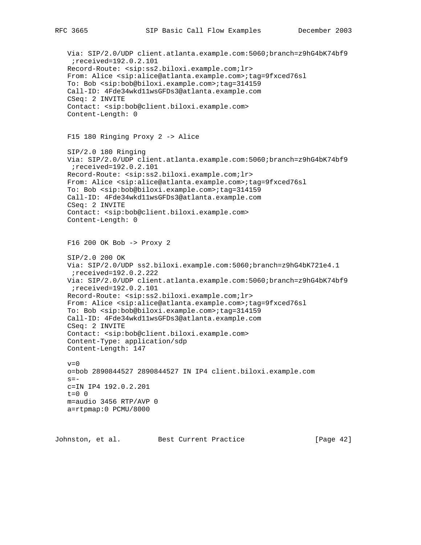```
 Via: SIP/2.0/UDP client.atlanta.example.com:5060;branch=z9hG4bK74bf9
  ;received=192.0.2.101
 Record-Route: <sip:ss2.biloxi.example.com;lr>
 From: Alice <sip:alice@atlanta.example.com>;tag=9fxced76sl
 To: Bob <sip:bob@biloxi.example.com>;tag=314159
 Call-ID: 4Fde34wkd11wsGFDs3@atlanta.example.com
 CSeq: 2 INVITE
 Contact: <sip:bob@client.biloxi.example.com>
 Content-Length: 0
 F15 180 Ringing Proxy 2 -> Alice
 SIP/2.0 180 Ringing
 Via: SIP/2.0/UDP client.atlanta.example.com:5060;branch=z9hG4bK74bf9
  ;received=192.0.2.101
 Record-Route: <sip:ss2.biloxi.example.com;lr>
 From: Alice <sip:alice@atlanta.example.com>;tag=9fxced76sl
 To: Bob <sip:bob@biloxi.example.com>;tag=314159
 Call-ID: 4Fde34wkd11wsGFDs3@atlanta.example.com
 CSeq: 2 INVITE
 Contact: <sip:bob@client.biloxi.example.com>
 Content-Length: 0
 F16 200 OK Bob -> Proxy 2
 SIP/2.0 200 OK
 Via: SIP/2.0/UDP ss2.biloxi.example.com:5060;branch=z9hG4bK721e4.1
  ;received=192.0.2.222
 Via: SIP/2.0/UDP client.atlanta.example.com:5060;branch=z9hG4bK74bf9
  ;received=192.0.2.101
 Record-Route: <sip:ss2.biloxi.example.com;lr>
 From: Alice <sip:alice@atlanta.example.com>;tag=9fxced76sl
 To: Bob <sip:bob@biloxi.example.com>;tag=314159
 Call-ID: 4Fde34wkd11wsGFDs3@atlanta.example.com
 CSeq: 2 INVITE
 Contact: <sip:bob@client.biloxi.example.com>
 Content-Type: application/sdp
 Content-Length: 147
v=0 o=bob 2890844527 2890844527 IN IP4 client.biloxi.example.com
s = - c=IN IP4 192.0.2.201
t=0 0
 m=audio 3456 RTP/AVP 0
 a=rtpmap:0 PCMU/8000
```
Johnston, et al. Best Current Practice [Page 42]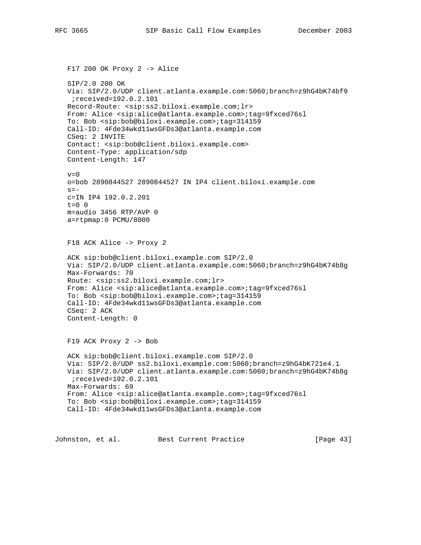```
 F17 200 OK Proxy 2 -> Alice
 SIP/2.0 200 OK
 Via: SIP/2.0/UDP client.atlanta.example.com:5060;branch=z9hG4bK74bf9
 ;received=192.0.2.101
 Record-Route: <sip:ss2.biloxi.example.com;lr>
 From: Alice <sip:alice@atlanta.example.com>;tag=9fxced76sl
 To: Bob <sip:bob@biloxi.example.com>;tag=314159
 Call-ID: 4Fde34wkd11wsGFDs3@atlanta.example.com
 CSeq: 2 INVITE
 Contact: <sip:bob@client.biloxi.example.com>
 Content-Type: application/sdp
 Content-Length: 147
v=0 o=bob 2890844527 2890844527 IN IP4 client.biloxi.example.com
s = - c=IN IP4 192.0.2.201
t=0 0
 m=audio 3456 RTP/AVP 0
 a=rtpmap:0 PCMU/8000
 F18 ACK Alice -> Proxy 2
 ACK sip:bob@client.biloxi.example.com SIP/2.0
 Via: SIP/2.0/UDP client.atlanta.example.com:5060;branch=z9hG4bK74b8g
 Max-Forwards: 70
 Route: <sip:ss2.biloxi.example.com;lr>
 From: Alice <sip:alice@atlanta.example.com>;tag=9fxced76sl
 To: Bob <sip:bob@biloxi.example.com>;tag=314159
 Call-ID: 4Fde34wkd11wsGFDs3@atlanta.example.com
 CSeq: 2 ACK
 Content-Length: 0
 F19 ACK Proxy 2 -> Bob
 ACK sip:bob@client.biloxi.example.com SIP/2.0
 Via: SIP/2.0/UDP ss2.biloxi.example.com:5060;branch=z9hG4bK721e4.1
 Via: SIP/2.0/UDP client.atlanta.example.com:5060;branch=z9hG4bK74b8g
  ;received=192.0.2.101
 Max-Forwards: 69
 From: Alice <sip:alice@atlanta.example.com>;tag=9fxced76sl
 To: Bob <sip:bob@biloxi.example.com>;tag=314159
 Call-ID: 4Fde34wkd11wsGFDs3@atlanta.example.com
```
Johnston, et al. Best Current Practice [Page 43]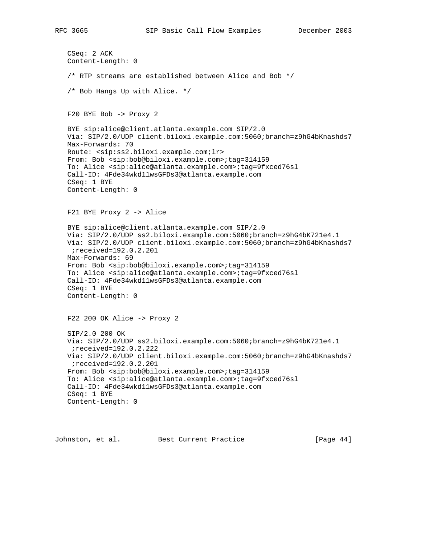```
 CSeq: 2 ACK
 Content-Length: 0
 /* RTP streams are established between Alice and Bob */
 /* Bob Hangs Up with Alice. */
 F20 BYE Bob -> Proxy 2
 BYE sip:alice@client.atlanta.example.com SIP/2.0
 Via: SIP/2.0/UDP client.biloxi.example.com:5060;branch=z9hG4bKnashds7
 Max-Forwards: 70
 Route: <sip:ss2.biloxi.example.com;lr>
 From: Bob <sip:bob@biloxi.example.com>;tag=314159
 To: Alice <sip:alice@atlanta.example.com>;tag=9fxced76sl
 Call-ID: 4Fde34wkd11wsGFDs3@atlanta.example.com
 CSeq: 1 BYE
 Content-Length: 0
 F21 BYE Proxy 2 -> Alice
 BYE sip:alice@client.atlanta.example.com SIP/2.0
 Via: SIP/2.0/UDP ss2.biloxi.example.com:5060;branch=z9hG4bK721e4.1
 Via: SIP/2.0/UDP client.biloxi.example.com:5060;branch=z9hG4bKnashds7
  ;received=192.0.2.201
 Max-Forwards: 69
 From: Bob <sip:bob@biloxi.example.com>;tag=314159
 To: Alice <sip:alice@atlanta.example.com>;tag=9fxced76sl
 Call-ID: 4Fde34wkd11wsGFDs3@atlanta.example.com
 CSeq: 1 BYE
 Content-Length: 0
 F22 200 OK Alice -> Proxy 2
 SIP/2.0 200 OK
 Via: SIP/2.0/UDP ss2.biloxi.example.com:5060;branch=z9hG4bK721e4.1
  ;received=192.0.2.222
 Via: SIP/2.0/UDP client.biloxi.example.com:5060;branch=z9hG4bKnashds7
 ;received=192.0.2.201
 From: Bob <sip:bob@biloxi.example.com>;tag=314159
 To: Alice <sip:alice@atlanta.example.com>;tag=9fxced76sl
 Call-ID: 4Fde34wkd11wsGFDs3@atlanta.example.com
 CSeq: 1 BYE
 Content-Length: 0
```
Johnston, et al. Best Current Practice [Page 44]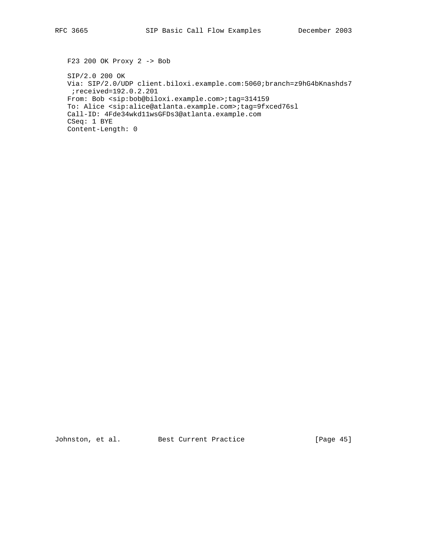F23 200 OK Proxy 2 -> Bob SIP/2.0 200 OK Via: SIP/2.0/UDP client.biloxi.example.com:5060;branch=z9hG4bKnashds7 ;received=192.0.2.201 From: Bob <sip:bob@biloxi.example.com>;tag=314159 To: Alice <sip:alice@atlanta.example.com>;tag=9fxced76sl Call-ID: 4Fde34wkd11wsGFDs3@atlanta.example.com CSeq: 1 BYE Content-Length: 0

Johnston, et al. Best Current Practice [Page 45]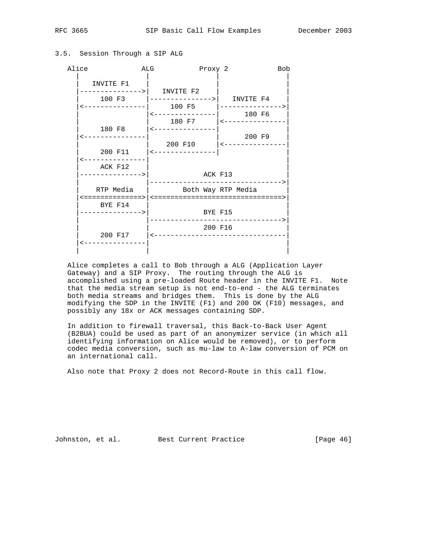## 3.5. Session Through a SIP ALG



 Alice completes a call to Bob through a ALG (Application Layer Gateway) and a SIP Proxy. The routing through the ALG is accomplished using a pre-loaded Route header in the INVITE F1. Note that the media stream setup is not end-to-end - the ALG terminates both media streams and bridges them. This is done by the ALG modifying the SDP in the INVITE (F1) and 200 OK (F10) messages, and possibly any 18x or ACK messages containing SDP.

 In addition to firewall traversal, this Back-to-Back User Agent (B2BUA) could be used as part of an anonymizer service (in which all identifying information on Alice would be removed), or to perform codec media conversion, such as mu-law to A-law conversion of PCM on an international call.

Also note that Proxy 2 does not Record-Route in this call flow.

Johnston, et al. Best Current Practice [Page 46]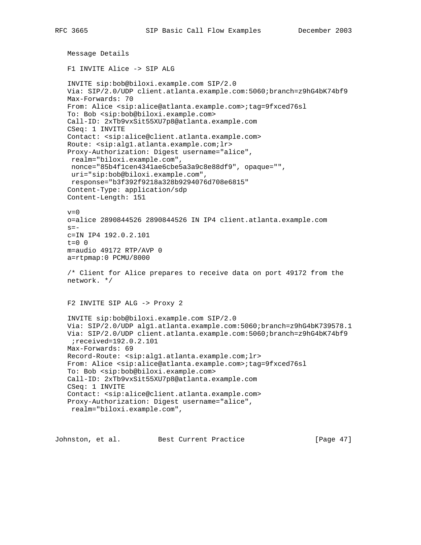```
 Message Details
 F1 INVITE Alice -> SIP ALG
 INVITE sip:bob@biloxi.example.com SIP/2.0
 Via: SIP/2.0/UDP client.atlanta.example.com:5060;branch=z9hG4bK74bf9
 Max-Forwards: 70
 From: Alice <sip:alice@atlanta.example.com>;tag=9fxced76sl
 To: Bob <sip:bob@biloxi.example.com>
 Call-ID: 2xTb9vxSit55XU7p8@atlanta.example.com
 CSeq: 1 INVITE
 Contact: <sip:alice@client.atlanta.example.com>
 Route: <sip:alg1.atlanta.example.com;lr>
 Proxy-Authorization: Digest username="alice",
  realm="biloxi.example.com",
 nonce="85b4f1cen4341ae6cbe5a3a9c8e88df9", opaque="",
 uri="sip:bob@biloxi.example.com",
  response="b3f392f9218a328b9294076d708e6815"
 Content-Type: application/sdp
 Content-Length: 151
v=0 o=alice 2890844526 2890844526 IN IP4 client.atlanta.example.com
s=- c=IN IP4 192.0.2.101
 t=0 0
 m=audio 49172 RTP/AVP 0
 a=rtpmap:0 PCMU/8000
 /* Client for Alice prepares to receive data on port 49172 from the
 network. */
 F2 INVITE SIP ALG -> Proxy 2
 INVITE sip:bob@biloxi.example.com SIP/2.0
 Via: SIP/2.0/UDP alg1.atlanta.example.com:5060;branch=z9hG4bK739578.1
 Via: SIP/2.0/UDP client.atlanta.example.com:5060;branch=z9hG4bK74bf9
  ;received=192.0.2.101
 Max-Forwards: 69
 Record-Route: <sip:alg1.atlanta.example.com;lr>
 From: Alice <sip:alice@atlanta.example.com>;tag=9fxced76sl
 To: Bob <sip:bob@biloxi.example.com>
 Call-ID: 2xTb9vxSit55XU7p8@atlanta.example.com
 CSeq: 1 INVITE
 Contact: <sip:alice@client.atlanta.example.com>
 Proxy-Authorization: Digest username="alice",
 realm="biloxi.example.com",
```
Johnston, et al. Best Current Practice [Page 47]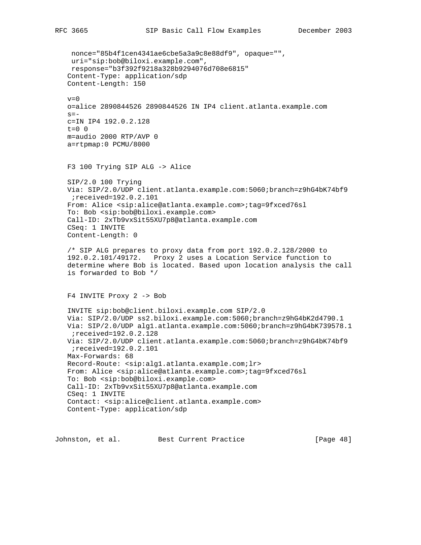nonce="85b4f1cen4341ae6cbe5a3a9c8e88df9", opaque="", uri="sip:bob@biloxi.example.com", response="b3f392f9218a328b9294076d708e6815" Content-Type: application/sdp Content-Length: 150  $v=0$  o=alice 2890844526 2890844526 IN IP4 client.atlanta.example.com  $s =$  c=IN IP4 192.0.2.128  $t=0$  0 m=audio 2000 RTP/AVP 0 a=rtpmap:0 PCMU/8000 F3 100 Trying SIP ALG -> Alice SIP/2.0 100 Trying Via: SIP/2.0/UDP client.atlanta.example.com:5060;branch=z9hG4bK74bf9 ;received=192.0.2.101 From: Alice <sip:alice@atlanta.example.com>;tag=9fxced76sl To: Bob <sip:bob@biloxi.example.com> Call-ID: 2xTb9vxSit55XU7p8@atlanta.example.com CSeq: 1 INVITE Content-Length: 0 /\* SIP ALG prepares to proxy data from port 192.0.2.128/2000 to 192.0.2.101/49172. Proxy 2 uses a Location Service function to determine where Bob is located. Based upon location analysis the call is forwarded to Bob \*/ F4 INVITE Proxy 2 -> Bob INVITE sip:bob@client.biloxi.example.com SIP/2.0 Via: SIP/2.0/UDP ss2.biloxi.example.com:5060;branch=z9hG4bK2d4790.1 Via: SIP/2.0/UDP alg1.atlanta.example.com:5060;branch=z9hG4bK739578.1 ;received=192.0.2.128 Via: SIP/2.0/UDP client.atlanta.example.com:5060;branch=z9hG4bK74bf9 ;received=192.0.2.101 Max-Forwards: 68 Record-Route: <sip:alg1.atlanta.example.com;lr> From: Alice <sip:alice@atlanta.example.com>;tag=9fxced76sl To: Bob <sip:bob@biloxi.example.com> Call-ID: 2xTb9vxSit55XU7p8@atlanta.example.com CSeq: 1 INVITE Contact: <sip:alice@client.atlanta.example.com> Content-Type: application/sdp

Johnston, et al. Best Current Practice [Page 48]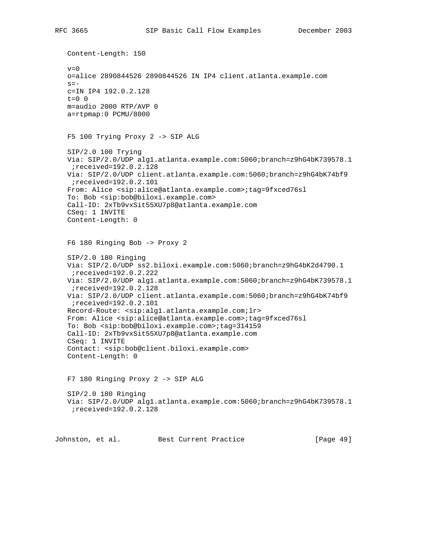Content-Length: 150  $v=0$  o=alice 2890844526 2890844526 IN IP4 client.atlanta.example.com  $s =$  c=IN IP4 192.0.2.128  $t=0$  0 m=audio 2000 RTP/AVP 0 a=rtpmap:0 PCMU/8000 F5 100 Trying Proxy 2 -> SIP ALG SIP/2.0 100 Trying Via: SIP/2.0/UDP alg1.atlanta.example.com:5060;branch=z9hG4bK739578.1 ;received=192.0.2.128 Via: SIP/2.0/UDP client.atlanta.example.com:5060;branch=z9hG4bK74bf9 ;received=192.0.2.101 From: Alice <sip:alice@atlanta.example.com>;tag=9fxced76sl To: Bob <sip:bob@biloxi.example.com> Call-ID: 2xTb9vxSit55XU7p8@atlanta.example.com CSeq: 1 INVITE Content-Length: 0 F6 180 Ringing Bob -> Proxy 2 SIP/2.0 180 Ringing Via: SIP/2.0/UDP ss2.biloxi.example.com:5060;branch=z9hG4bK2d4790.1 ;received=192.0.2.222 Via: SIP/2.0/UDP alg1.atlanta.example.com:5060;branch=z9hG4bK739578.1 ;received=192.0.2.128 Via: SIP/2.0/UDP client.atlanta.example.com:5060;branch=z9hG4bK74bf9 ;received=192.0.2.101 Record-Route: <sip:alg1.atlanta.example.com;lr> From: Alice <sip:alice@atlanta.example.com>;tag=9fxced76sl To: Bob <sip:bob@biloxi.example.com>;tag=314159 Call-ID: 2xTb9vxSit55XU7p8@atlanta.example.com CSeq: 1 INVITE Contact: <sip:bob@client.biloxi.example.com> Content-Length: 0 F7 180 Ringing Proxy 2 -> SIP ALG SIP/2.0 180 Ringing Via: SIP/2.0/UDP alg1.atlanta.example.com:5060;branch=z9hG4bK739578.1 ;received=192.0.2.128 Johnston, et al. Best Current Practice [Page 49]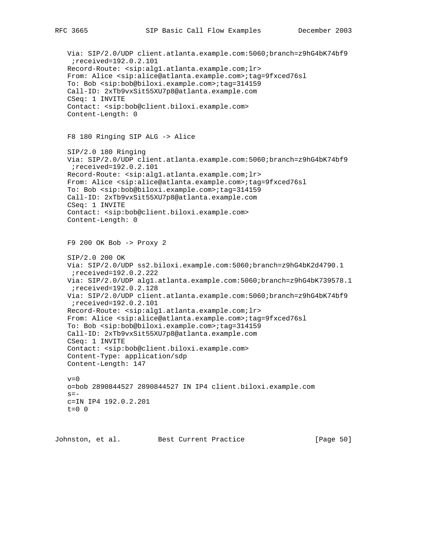```
 Via: SIP/2.0/UDP client.atlanta.example.com:5060;branch=z9hG4bK74bf9
  ;received=192.0.2.101
 Record-Route: <sip:alg1.atlanta.example.com;lr>
 From: Alice <sip:alice@atlanta.example.com>;tag=9fxced76sl
 To: Bob <sip:bob@biloxi.example.com>;tag=314159
 Call-ID: 2xTb9vxSit55XU7p8@atlanta.example.com
 CSeq: 1 INVITE
 Contact: <sip:bob@client.biloxi.example.com>
 Content-Length: 0
 F8 180 Ringing SIP ALG -> Alice
 SIP/2.0 180 Ringing
 Via: SIP/2.0/UDP client.atlanta.example.com:5060;branch=z9hG4bK74bf9
  ;received=192.0.2.101
 Record-Route: <sip:alg1.atlanta.example.com;lr>
 From: Alice <sip:alice@atlanta.example.com>;tag=9fxced76sl
 To: Bob <sip:bob@biloxi.example.com>;tag=314159
 Call-ID: 2xTb9vxSit55XU7p8@atlanta.example.com
 CSeq: 1 INVITE
 Contact: <sip:bob@client.biloxi.example.com>
 Content-Length: 0
 F9 200 OK Bob -> Proxy 2
 SIP/2.0 200 OK
 Via: SIP/2.0/UDP ss2.biloxi.example.com:5060;branch=z9hG4bK2d4790.1
  ;received=192.0.2.222
 Via: SIP/2.0/UDP alg1.atlanta.example.com:5060;branch=z9hG4bK739578.1
  ;received=192.0.2.128
 Via: SIP/2.0/UDP client.atlanta.example.com:5060;branch=z9hG4bK74bf9
  ;received=192.0.2.101
 Record-Route: <sip:alg1.atlanta.example.com;lr>
 From: Alice <sip:alice@atlanta.example.com>;tag=9fxced76sl
 To: Bob <sip:bob@biloxi.example.com>;tag=314159
 Call-ID: 2xTb9vxSit55XU7p8@atlanta.example.com
 CSeq: 1 INVITE
 Contact: <sip:bob@client.biloxi.example.com>
 Content-Type: application/sdp
 Content-Length: 147
v=0 o=bob 2890844527 2890844527 IN IP4 client.biloxi.example.com
s=- c=IN IP4 192.0.2.201
t=0 0
```
Johnston, et al. Best Current Practice [Page 50]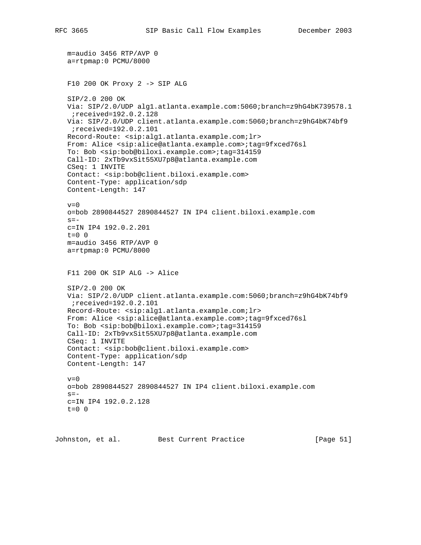```
 m=audio 3456 RTP/AVP 0
 a=rtpmap:0 PCMU/8000
 F10 200 OK Proxy 2 -> SIP ALG
 SIP/2.0 200 OK
 Via: SIP/2.0/UDP alg1.atlanta.example.com:5060;branch=z9hG4bK739578.1
  ;received=192.0.2.128
 Via: SIP/2.0/UDP client.atlanta.example.com:5060;branch=z9hG4bK74bf9
 ;received=192.0.2.101
 Record-Route: <sip:alg1.atlanta.example.com;lr>
 From: Alice <sip:alice@atlanta.example.com>;tag=9fxced76sl
 To: Bob <sip:bob@biloxi.example.com>;tag=314159
 Call-ID: 2xTb9vxSit55XU7p8@atlanta.example.com
 CSeq: 1 INVITE
 Contact: <sip:bob@client.biloxi.example.com>
 Content-Type: application/sdp
 Content-Length: 147
v=0 o=bob 2890844527 2890844527 IN IP4 client.biloxi.example.com
s=- c=IN IP4 192.0.2.201
t=0 0
 m=audio 3456 RTP/AVP 0
 a=rtpmap:0 PCMU/8000
 F11 200 OK SIP ALG -> Alice
 SIP/2.0 200 OK
 Via: SIP/2.0/UDP client.atlanta.example.com:5060;branch=z9hG4bK74bf9
 ;received=192.0.2.101
 Record-Route: <sip:alg1.atlanta.example.com;lr>
 From: Alice <sip:alice@atlanta.example.com>;tag=9fxced76sl
 To: Bob <sip:bob@biloxi.example.com>;tag=314159
 Call-ID: 2xTb9vxSit55XU7p8@atlanta.example.com
 CSeq: 1 INVITE
 Contact: <sip:bob@client.biloxi.example.com>
 Content-Type: application/sdp
 Content-Length: 147
v=0 o=bob 2890844527 2890844527 IN IP4 client.biloxi.example.com
s=- c=IN IP4 192.0.2.128
t=0 0
```
Johnston, et al. Best Current Practice [Page 51]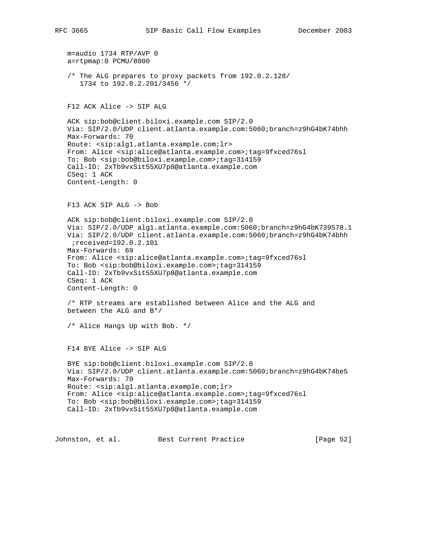```
 m=audio 1734 RTP/AVP 0
 a=rtpmap:0 PCMU/8000
 /* The ALG prepares to proxy packets from 192.0.2.128/
    1734 to 192.0.2.201/3456 */
 F12 ACK Alice -> SIP ALG
 ACK sip:bob@client.biloxi.example.com SIP/2.0
 Via: SIP/2.0/UDP client.atlanta.example.com:5060;branch=z9hG4bK74bhh
 Max-Forwards: 70
 Route: <sip:alg1.atlanta.example.com;lr>
 From: Alice <sip:alice@atlanta.example.com>;tag=9fxced76sl
 To: Bob <sip:bob@biloxi.example.com>;tag=314159
 Call-ID: 2xTb9vxSit55XU7p8@atlanta.example.com
 CSeq: 1 ACK
 Content-Length: 0
 F13 ACK SIP ALG -> Bob
 ACK sip:bob@client.biloxi.example.com SIP/2.0
 Via: SIP/2.0/UDP alg1.atlanta.example.com:5060;branch=z9hG4bK739578.1
 Via: SIP/2.0/UDP client.atlanta.example.com:5060;branch=z9hG4bK74bhh
  ;received=192.0.2.101
 Max-Forwards: 69
 From: Alice <sip:alice@atlanta.example.com>;tag=9fxced76sl
 To: Bob <sip:bob@biloxi.example.com>;tag=314159
 Call-ID: 2xTb9vxSit55XU7p8@atlanta.example.com
 CSeq: 1 ACK
 Content-Length: 0
 /* RTP streams are established between Alice and the ALG and
 between the ALG and B*/
 /* Alice Hangs Up with Bob. */
 F14 BYE Alice -> SIP ALG
 BYE sip:bob@client.biloxi.example.com SIP/2.0
 Via: SIP/2.0/UDP client.atlanta.example.com:5060;branch=z9hG4bK74be5
 Max-Forwards: 70
 Route: <sip:alg1.atlanta.example.com;lr>
 From: Alice <sip:alice@atlanta.example.com>;tag=9fxced76sl
 To: Bob <sip:bob@biloxi.example.com>;tag=314159
 Call-ID: 2xTb9vxSit55XU7p8@atlanta.example.com
```
Johnston, et al. Best Current Practice [Page 52]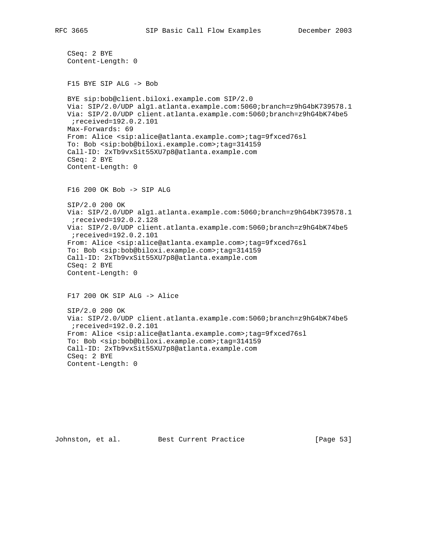```
 CSeq: 2 BYE
 Content-Length: 0
 F15 BYE SIP ALG -> Bob
 BYE sip:bob@client.biloxi.example.com SIP/2.0
 Via: SIP/2.0/UDP alg1.atlanta.example.com:5060;branch=z9hG4bK739578.1
 Via: SIP/2.0/UDP client.atlanta.example.com:5060;branch=z9hG4bK74be5
 ;received=192.0.2.101
 Max-Forwards: 69
 From: Alice <sip:alice@atlanta.example.com>;tag=9fxced76sl
 To: Bob <sip:bob@biloxi.example.com>;tag=314159
 Call-ID: 2xTb9vxSit55XU7p8@atlanta.example.com
 CSeq: 2 BYE
 Content-Length: 0
 F16 200 OK Bob -> SIP ALG
 SIP/2.0 200 OK
 Via: SIP/2.0/UDP alg1.atlanta.example.com:5060;branch=z9hG4bK739578.1
 ;received=192.0.2.128
 Via: SIP/2.0/UDP client.atlanta.example.com:5060;branch=z9hG4bK74be5
 ;received=192.0.2.101
 From: Alice <sip:alice@atlanta.example.com>;tag=9fxced76sl
 To: Bob <sip:bob@biloxi.example.com>;tag=314159
 Call-ID: 2xTb9vxSit55XU7p8@atlanta.example.com
 CSeq: 2 BYE
 Content-Length: 0
 F17 200 OK SIP ALG -> Alice
 SIP/2.0 200 OK
 Via: SIP/2.0/UDP client.atlanta.example.com:5060;branch=z9hG4bK74be5
 ;received=192.0.2.101
 From: Alice <sip:alice@atlanta.example.com>;tag=9fxced76sl
 To: Bob <sip:bob@biloxi.example.com>;tag=314159
 Call-ID: 2xTb9vxSit55XU7p8@atlanta.example.com
 CSeq: 2 BYE
 Content-Length: 0
```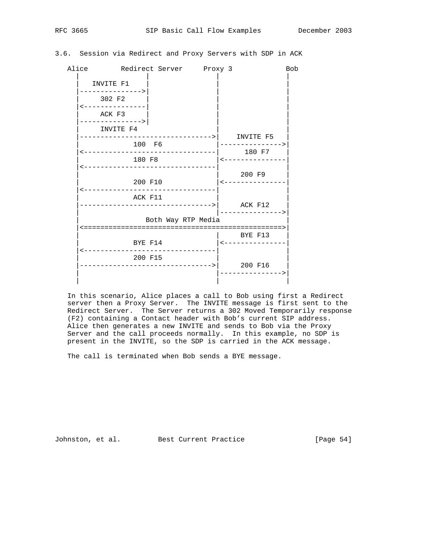### 3.6. Session via Redirect and Proxy Servers with SDP in ACK

|                           | Alice Redirect Server Proxy 3              |                              | <b>Bob</b> |
|---------------------------|--------------------------------------------|------------------------------|------------|
| INVITE F1                 |                                            |                              |            |
| 302 F2<br>--------------- |                                            |                              |            |
| ACK F3<br>--------------> |                                            |                              |            |
| INVITE F4                 | --------------------------->     INVITE F5 |                              |            |
| 100 F6                    |                                            | ---------------><br>180 F7   |            |
| 180 F8                    |                                            | <---------------             |            |
|                           | 200 F10                                    | 200 F9<br>  <--------------- |            |
| __________<br>ACK F11     |                                            |                              |            |
|                           | Both Way RTP Media                         |                              |            |
| BYE F14                   |                                            | BYE F13                      |            |
| 200 F15                   | ------------------------------>            | 200 F16                      |            |
|                           |                                            |                              |            |

 In this scenario, Alice places a call to Bob using first a Redirect server then a Proxy Server. The INVITE message is first sent to the Redirect Server. The Server returns a 302 Moved Temporarily response (F2) containing a Contact header with Bob's current SIP address. Alice then generates a new INVITE and sends to Bob via the Proxy Server and the call proceeds normally. In this example, no SDP is present in the INVITE, so the SDP is carried in the ACK message.

The call is terminated when Bob sends a BYE message.

Johnston, et al. Best Current Practice [Page 54]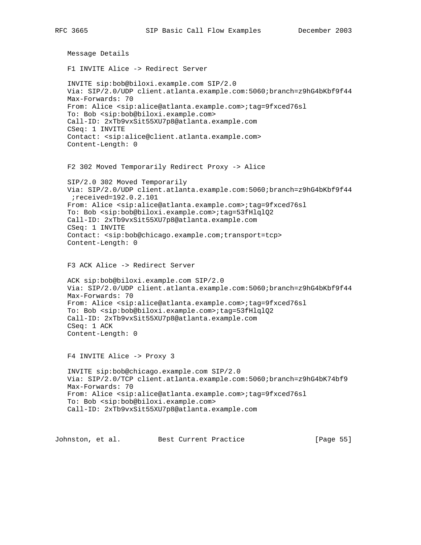```
 Message Details
 F1 INVITE Alice -> Redirect Server
 INVITE sip:bob@biloxi.example.com SIP/2.0
 Via: SIP/2.0/UDP client.atlanta.example.com:5060;branch=z9hG4bKbf9f44
 Max-Forwards: 70
 From: Alice <sip:alice@atlanta.example.com>;tag=9fxced76sl
 To: Bob <sip:bob@biloxi.example.com>
 Call-ID: 2xTb9vxSit55XU7p8@atlanta.example.com
 CSeq: 1 INVITE
 Contact: <sip:alice@client.atlanta.example.com>
 Content-Length: 0
 F2 302 Moved Temporarily Redirect Proxy -> Alice
 SIP/2.0 302 Moved Temporarily
 Via: SIP/2.0/UDP client.atlanta.example.com:5060;branch=z9hG4bKbf9f44
 ;received=192.0.2.101
 From: Alice <sip:alice@atlanta.example.com>;tag=9fxced76sl
 To: Bob <sip:bob@biloxi.example.com>;tag=53fHlqlQ2
 Call-ID: 2xTb9vxSit55XU7p8@atlanta.example.com
 CSeq: 1 INVITE
 Contact: <sip:bob@chicago.example.com;transport=tcp>
 Content-Length: 0
 F3 ACK Alice -> Redirect Server
 ACK sip:bob@biloxi.example.com SIP/2.0
 Via: SIP/2.0/UDP client.atlanta.example.com:5060;branch=z9hG4bKbf9f44
 Max-Forwards: 70
 From: Alice <sip:alice@atlanta.example.com>;tag=9fxced76sl
 To: Bob <sip:bob@biloxi.example.com>;tag=53fHlqlQ2
 Call-ID: 2xTb9vxSit55XU7p8@atlanta.example.com
 CSeq: 1 ACK
 Content-Length: 0
 F4 INVITE Alice -> Proxy 3
 INVITE sip:bob@chicago.example.com SIP/2.0
 Via: SIP/2.0/TCP client.atlanta.example.com:5060;branch=z9hG4bK74bf9
 Max-Forwards: 70
 From: Alice <sip:alice@atlanta.example.com>;tag=9fxced76sl
 To: Bob <sip:bob@biloxi.example.com>
 Call-ID: 2xTb9vxSit55XU7p8@atlanta.example.com
```
Johnston, et al. Best Current Practice [Page 55]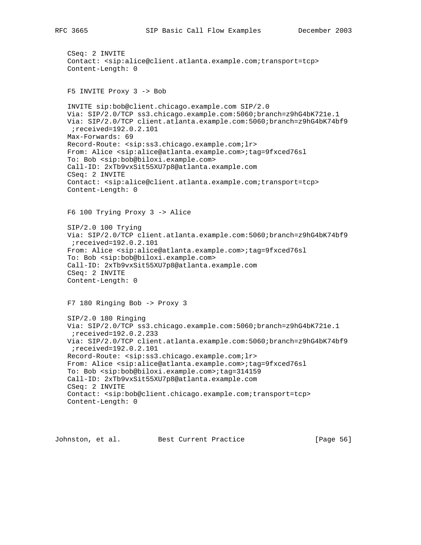CSeq: 2 INVITE Contact: <sip:alice@client.atlanta.example.com;transport=tcp> Content-Length: 0

F5 INVITE Proxy 3 -> Bob

 INVITE sip:bob@client.chicago.example.com SIP/2.0 Via: SIP/2.0/TCP ss3.chicago.example.com:5060;branch=z9hG4bK721e.1 Via: SIP/2.0/TCP client.atlanta.example.com:5060;branch=z9hG4bK74bf9 ;received=192.0.2.101 Max-Forwards: 69 Record-Route: <sip:ss3.chicago.example.com;lr> From: Alice <sip:alice@atlanta.example.com>;tag=9fxced76sl To: Bob <sip:bob@biloxi.example.com> Call-ID: 2xTb9vxSit55XU7p8@atlanta.example.com CSeq: 2 INVITE Contact: <sip:alice@client.atlanta.example.com;transport=tcp> Content-Length: 0

F6 100 Trying Proxy 3 -> Alice

 SIP/2.0 100 Trying Via: SIP/2.0/TCP client.atlanta.example.com:5060;branch=z9hG4bK74bf9 ;received=192.0.2.101 From: Alice <sip:alice@atlanta.example.com>;tag=9fxced76sl To: Bob <sip:bob@biloxi.example.com> Call-ID: 2xTb9vxSit55XU7p8@atlanta.example.com CSeq: 2 INVITE Content-Length: 0

F7 180 Ringing Bob -> Proxy 3

 SIP/2.0 180 Ringing Via: SIP/2.0/TCP ss3.chicago.example.com:5060;branch=z9hG4bK721e.1 ;received=192.0.2.233 Via: SIP/2.0/TCP client.atlanta.example.com:5060;branch=z9hG4bK74bf9 ;received=192.0.2.101 Record-Route: <sip:ss3.chicago.example.com;lr> From: Alice <sip:alice@atlanta.example.com>;tag=9fxced76sl To: Bob <sip:bob@biloxi.example.com>;tag=314159 Call-ID: 2xTb9vxSit55XU7p8@atlanta.example.com CSeq: 2 INVITE Contact: <sip:bob@client.chicago.example.com;transport=tcp> Content-Length: 0

Johnston, et al. Best Current Practice [Page 56]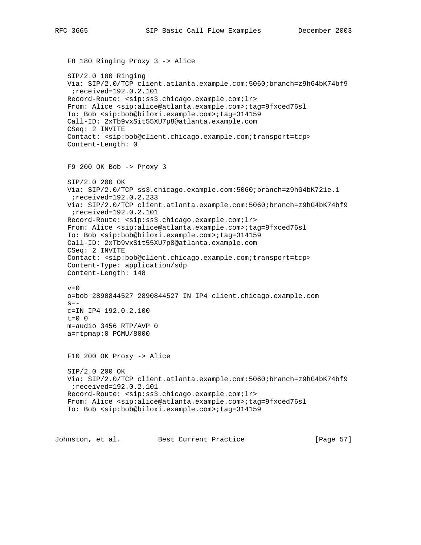F8 180 Ringing Proxy 3 -> Alice SIP/2.0 180 Ringing Via: SIP/2.0/TCP client.atlanta.example.com:5060;branch=z9hG4bK74bf9 ;received=192.0.2.101 Record-Route: <sip:ss3.chicago.example.com;lr> From: Alice <sip:alice@atlanta.example.com>;tag=9fxced76sl To: Bob <sip:bob@biloxi.example.com>;tag=314159 Call-ID: 2xTb9vxSit55XU7p8@atlanta.example.com CSeq: 2 INVITE Contact: <sip:bob@client.chicago.example.com;transport=tcp> Content-Length: 0 F9 200 OK Bob -> Proxy 3 SIP/2.0 200 OK Via: SIP/2.0/TCP ss3.chicago.example.com:5060;branch=z9hG4bK721e.1 ;received=192.0.2.233 Via: SIP/2.0/TCP client.atlanta.example.com:5060;branch=z9hG4bK74bf9 ;received=192.0.2.101 Record-Route: <sip:ss3.chicago.example.com;lr> From: Alice <sip:alice@atlanta.example.com>;tag=9fxced76sl To: Bob <sip:bob@biloxi.example.com>;tag=314159 Call-ID: 2xTb9vxSit55XU7p8@atlanta.example.com CSeq: 2 INVITE Contact: <sip:bob@client.chicago.example.com;transport=tcp> Content-Type: application/sdp Content-Length: 148  $v=0$  o=bob 2890844527 2890844527 IN IP4 client.chicago.example.com  $s=$  c=IN IP4 192.0.2.100  $t=0$  0 m=audio 3456 RTP/AVP 0 a=rtpmap:0 PCMU/8000 F10 200 OK Proxy -> Alice SIP/2.0 200 OK Via: SIP/2.0/TCP client.atlanta.example.com:5060;branch=z9hG4bK74bf9 ;received=192.0.2.101 Record-Route: <sip:ss3.chicago.example.com;lr> From: Alice <sip:alice@atlanta.example.com>;tag=9fxced76sl To: Bob <sip:bob@biloxi.example.com>;tag=314159 Johnston, et al. Best Current Practice [Page 57]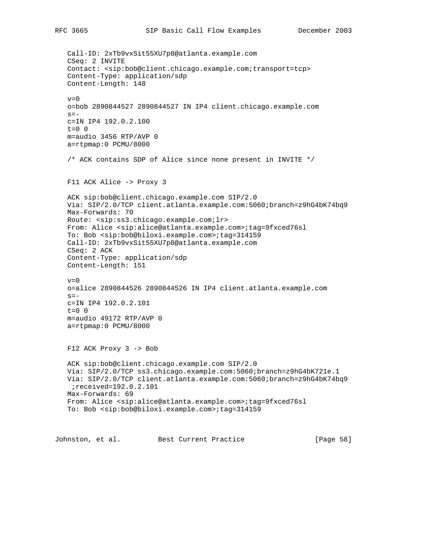Call-ID: 2xTb9vxSit55XU7p8@atlanta.example.com CSeq: 2 INVITE Contact: <sip:bob@client.chicago.example.com;transport=tcp> Content-Type: application/sdp Content-Length: 148  $v=0$  o=bob 2890844527 2890844527 IN IP4 client.chicago.example.com  $s=$  c=IN IP4 192.0.2.100  $t=0$  0 m=audio 3456 RTP/AVP 0 a=rtpmap:0 PCMU/8000 /\* ACK contains SDP of Alice since none present in INVITE \*/ F11 ACK Alice -> Proxy 3 ACK sip:bob@client.chicago.example.com SIP/2.0 Via: SIP/2.0/TCP client.atlanta.example.com:5060;branch=z9hG4bK74bq9 Max-Forwards: 70 Route: <sip:ss3.chicago.example.com;lr> From: Alice <sip:alice@atlanta.example.com>;tag=9fxced76sl To: Bob <sip:bob@biloxi.example.com>;tag=314159 Call-ID: 2xTb9vxSit55XU7p8@atlanta.example.com CSeq: 2 ACK Content-Type: application/sdp Content-Length: 151  $v=0$  o=alice 2890844526 2890844526 IN IP4 client.atlanta.example.com  $s =$  c=IN IP4 192.0.2.101 t=0 0 m=audio 49172 RTP/AVP 0 a=rtpmap:0 PCMU/8000 F12 ACK Proxy 3 -> Bob ACK sip:bob@client.chicago.example.com SIP/2.0 Via: SIP/2.0/TCP ss3.chicago.example.com:5060;branch=z9hG4bK721e.1 Via: SIP/2.0/TCP client.atlanta.example.com:5060;branch=z9hG4bK74bq9 ;received=192.0.2.101 Max-Forwards: 69 From: Alice <sip:alice@atlanta.example.com>;tag=9fxced76sl To: Bob <sip:bob@biloxi.example.com>;tag=314159

Johnston, et al. Best Current Practice [Page 58]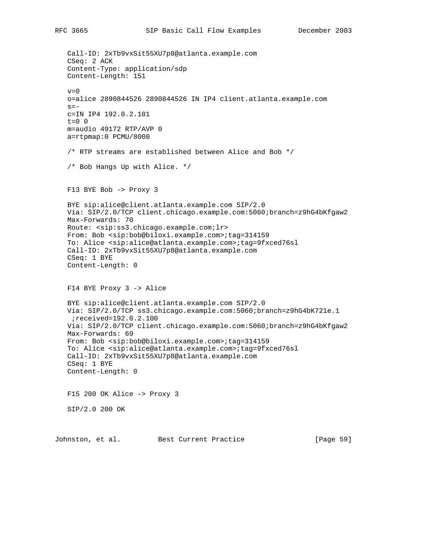Call-ID: 2xTb9vxSit55XU7p8@atlanta.example.com CSeq: 2 ACK Content-Type: application/sdp Content-Length: 151  $v=0$  o=alice 2890844526 2890844526 IN IP4 client.atlanta.example.com  $s =$  c=IN IP4 192.0.2.101  $t=0$  0 m=audio 49172 RTP/AVP 0 a=rtpmap:0 PCMU/8000 /\* RTP streams are established between Alice and Bob \*/ /\* Bob Hangs Up with Alice. \*/ F13 BYE Bob -> Proxy 3 BYE sip:alice@client.atlanta.example.com SIP/2.0 Via: SIP/2.0/TCP client.chicago.example.com:5060;branch=z9hG4bKfgaw2 Max-Forwards: 70 Route: <sip:ss3.chicago.example.com;lr> From: Bob <sip:bob@biloxi.example.com>;tag=314159 To: Alice <sip:alice@atlanta.example.com>;tag=9fxced76sl Call-ID: 2xTb9vxSit55XU7p8@atlanta.example.com CSeq: 1 BYE Content-Length: 0 F14 BYE Proxy 3 -> Alice BYE sip:alice@client.atlanta.example.com SIP/2.0 Via: SIP/2.0/TCP ss3.chicago.example.com:5060;branch=z9hG4bK721e.1 ;received=192.0.2.100 Via: SIP/2.0/TCP client.chicago.example.com:5060;branch=z9hG4bKfgaw2 Max-Forwards: 69 From: Bob <sip:bob@biloxi.example.com>;tag=314159 To: Alice <sip:alice@atlanta.example.com>;tag=9fxced76sl Call-ID: 2xTb9vxSit55XU7p8@atlanta.example.com CSeq: 1 BYE Content-Length: 0 F15 200 OK Alice -> Proxy 3 SIP/2.0 200 OK

Johnston, et al. Best Current Practice [Page 59]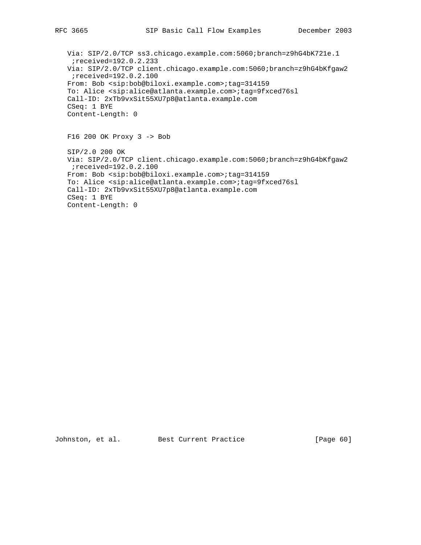Via: SIP/2.0/TCP ss3.chicago.example.com:5060;branch=z9hG4bK721e.1 ;received=192.0.2.233 Via: SIP/2.0/TCP client.chicago.example.com:5060;branch=z9hG4bKfgaw2 ;received=192.0.2.100 From: Bob <sip:bob@biloxi.example.com>;tag=314159 To: Alice <sip:alice@atlanta.example.com>;tag=9fxced76sl Call-ID: 2xTb9vxSit55XU7p8@atlanta.example.com CSeq: 1 BYE Content-Length: 0

F16 200 OK Proxy 3 -> Bob

 SIP/2.0 200 OK Via: SIP/2.0/TCP client.chicago.example.com:5060;branch=z9hG4bKfgaw2 ;received=192.0.2.100 From: Bob <sip:bob@biloxi.example.com>;tag=314159 To: Alice <sip:alice@atlanta.example.com>;tag=9fxced76sl Call-ID: 2xTb9vxSit55XU7p8@atlanta.example.com CSeq: 1 BYE Content-Length: 0

Johnston, et al. Best Current Practice [Page 60]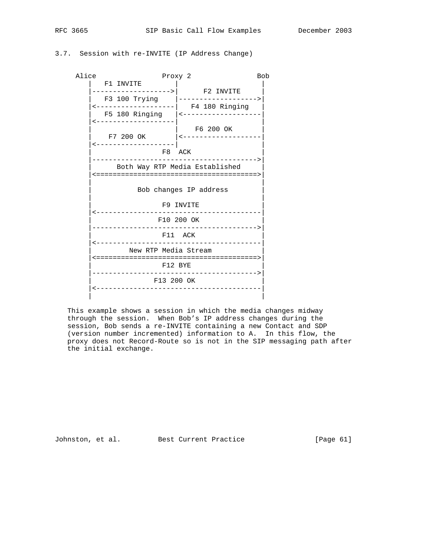## RFC 3665 SIP Basic Call Flow Examples December 2003

### 3.7. Session with re-INVITE (IP Address Change)

| Alice | Proxy 2                                                                                        |                                                                                                                  |  |  |  |
|-------|------------------------------------------------------------------------------------------------|------------------------------------------------------------------------------------------------------------------|--|--|--|
|       | F1 INVITE<br>------------------> <sup> </sup> F2 INVITE                                        | F3 100 Trying  ------------------><br><-----------------  F4 180 Ringing<br>F5 180 Ringing  <------------------- |  |  |  |
|       | <-------------------<br>------------------- <br>F8 ACK<br>------------------------------------ | F6 200 OK<br>F7 200 OK $\vert$ <-------------------                                                              |  |  |  |
|       | Both Way RTP Media Established<br>Bob changes IP address                                       |                                                                                                                  |  |  |  |
|       | F9 INVITE<br>-----------------------<br>F10 200 OK<br>F11 ACK                                  |                                                                                                                  |  |  |  |
|       | ----------------------------<br>New RTP Media Stream<br>F12 BYE                                |                                                                                                                  |  |  |  |
|       | F13 200 OK                                                                                     |                                                                                                                  |  |  |  |

 This example shows a session in which the media changes midway through the session. When Bob's IP address changes during the session, Bob sends a re-INVITE containing a new Contact and SDP (version number incremented) information to A. In this flow, the proxy does not Record-Route so is not in the SIP messaging path after the initial exchange.

Johnston, et al. Best Current Practice [Page 61]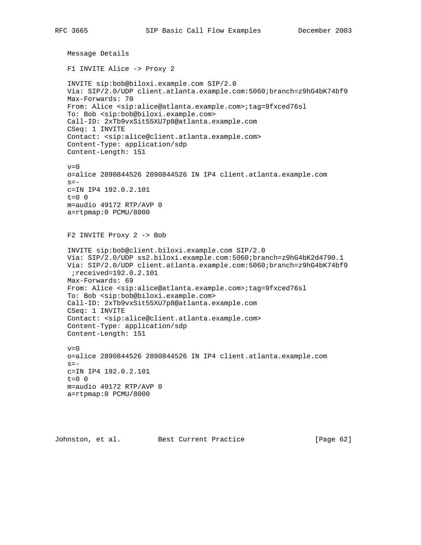```
 Message Details
 F1 INVITE Alice -> Proxy 2
 INVITE sip:bob@biloxi.example.com SIP/2.0
 Via: SIP/2.0/UDP client.atlanta.example.com:5060;branch=z9hG4bK74bf9
 Max-Forwards: 70
 From: Alice <sip:alice@atlanta.example.com>;tag=9fxced76sl
 To: Bob <sip:bob@biloxi.example.com>
 Call-ID: 2xTb9vxSit55XU7p8@atlanta.example.com
 CSeq: 1 INVITE
 Contact: <sip:alice@client.atlanta.example.com>
 Content-Type: application/sdp
 Content-Length: 151
v=0 o=alice 2890844526 2890844526 IN IP4 client.atlanta.example.com
s = - c=IN IP4 192.0.2.101
 t=0 0
 m=audio 49172 RTP/AVP 0
 a=rtpmap:0 PCMU/8000
 F2 INVITE Proxy 2 -> Bob
 INVITE sip:bob@client.biloxi.example.com SIP/2.0
 Via: SIP/2.0/UDP ss2.biloxi.example.com:5060;branch=z9hG4bK2d4790.1
 Via: SIP/2.0/UDP client.atlanta.example.com:5060;branch=z9hG4bK74bf9
  ;received=192.0.2.101
 Max-Forwards: 69
 From: Alice <sip:alice@atlanta.example.com>;tag=9fxced76sl
 To: Bob <sip:bob@biloxi.example.com>
 Call-ID: 2xTb9vxSit55XU7p8@atlanta.example.com
 CSeq: 1 INVITE
 Contact: <sip:alice@client.atlanta.example.com>
 Content-Type: application/sdp
 Content-Length: 151
v=0 o=alice 2890844526 2890844526 IN IP4 client.atlanta.example.com
s = - c=IN IP4 192.0.2.101
 t=0 0
 m=audio 49172 RTP/AVP 0
 a=rtpmap:0 PCMU/8000
```
Johnston, et al. Best Current Practice [Page 62]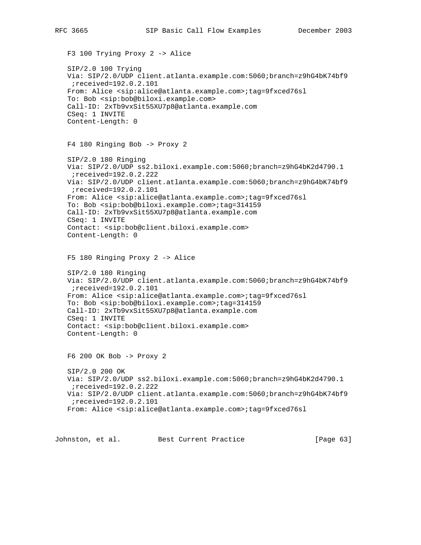F3 100 Trying Proxy 2 -> Alice SIP/2.0 100 Trying Via: SIP/2.0/UDP client.atlanta.example.com:5060;branch=z9hG4bK74bf9 ;received=192.0.2.101 From: Alice <sip:alice@atlanta.example.com>;tag=9fxced76sl To: Bob <sip:bob@biloxi.example.com> Call-ID: 2xTb9vxSit55XU7p8@atlanta.example.com CSeq: 1 INVITE Content-Length: 0 F4 180 Ringing Bob -> Proxy 2 SIP/2.0 180 Ringing Via: SIP/2.0/UDP ss2.biloxi.example.com:5060;branch=z9hG4bK2d4790.1 ;received=192.0.2.222 Via: SIP/2.0/UDP client.atlanta.example.com:5060;branch=z9hG4bK74bf9 ;received=192.0.2.101 From: Alice <sip:alice@atlanta.example.com>;tag=9fxced76sl To: Bob <sip:bob@biloxi.example.com>;tag=314159 Call-ID: 2xTb9vxSit55XU7p8@atlanta.example.com CSeq: 1 INVITE Contact: <sip:bob@client.biloxi.example.com> Content-Length: 0 F5 180 Ringing Proxy 2 -> Alice SIP/2.0 180 Ringing Via: SIP/2.0/UDP client.atlanta.example.com:5060;branch=z9hG4bK74bf9 ;received=192.0.2.101 From: Alice <sip:alice@atlanta.example.com>;tag=9fxced76sl To: Bob <sip:bob@biloxi.example.com>;tag=314159 Call-ID: 2xTb9vxSit55XU7p8@atlanta.example.com CSeq: 1 INVITE Contact: <sip:bob@client.biloxi.example.com> Content-Length: 0 F6 200 OK Bob -> Proxy 2 SIP/2.0 200 OK Via: SIP/2.0/UDP ss2.biloxi.example.com:5060;branch=z9hG4bK2d4790.1 ;received=192.0.2.222 Via: SIP/2.0/UDP client.atlanta.example.com:5060;branch=z9hG4bK74bf9 ;received=192.0.2.101 From: Alice <sip:alice@atlanta.example.com>;tag=9fxced76sl

Johnston, et al. Best Current Practice [Page 63]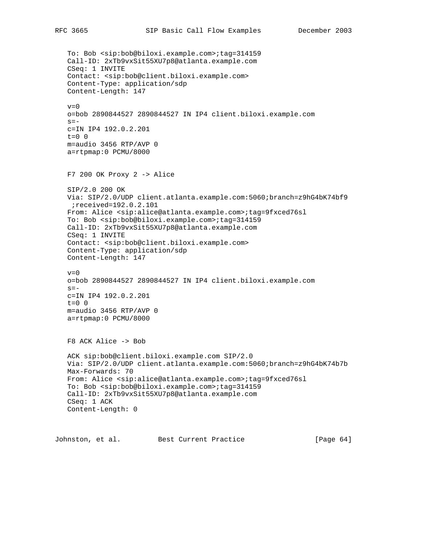To: Bob <sip:bob@biloxi.example.com>;tag=314159 Call-ID: 2xTb9vxSit55XU7p8@atlanta.example.com CSeq: 1 INVITE Contact: <sip:bob@client.biloxi.example.com> Content-Type: application/sdp Content-Length: 147  $v=0$  o=bob 2890844527 2890844527 IN IP4 client.biloxi.example.com  $s=$  c=IN IP4 192.0.2.201  $t=0$  0 m=audio 3456 RTP/AVP 0 a=rtpmap:0 PCMU/8000 F7 200 OK Proxy 2 -> Alice SIP/2.0 200 OK Via: SIP/2.0/UDP client.atlanta.example.com:5060;branch=z9hG4bK74bf9 ;received=192.0.2.101 From: Alice <sip:alice@atlanta.example.com>;tag=9fxced76sl To: Bob <sip:bob@biloxi.example.com>;tag=314159 Call-ID: 2xTb9vxSit55XU7p8@atlanta.example.com CSeq: 1 INVITE Contact: <sip:bob@client.biloxi.example.com> Content-Type: application/sdp Content-Length: 147  $v=0$  o=bob 2890844527 2890844527 IN IP4 client.biloxi.example.com  $s =$  c=IN IP4 192.0.2.201  $t=0$  0 m=audio 3456 RTP/AVP 0 a=rtpmap:0 PCMU/8000 F8 ACK Alice -> Bob ACK sip:bob@client.biloxi.example.com SIP/2.0 Via: SIP/2.0/UDP client.atlanta.example.com:5060;branch=z9hG4bK74b7b Max-Forwards: 70 From: Alice <sip:alice@atlanta.example.com>;tag=9fxced76sl To: Bob <sip:bob@biloxi.example.com>;tag=314159 Call-ID: 2xTb9vxSit55XU7p8@atlanta.example.com CSeq: 1 ACK Content-Length: 0

Johnston, et al. Best Current Practice [Page 64]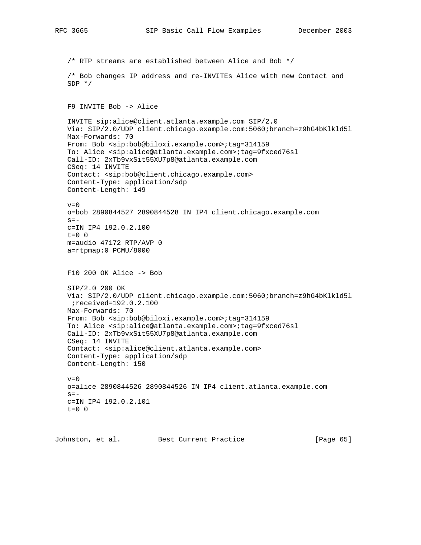/\* RTP streams are established between Alice and Bob \*/ /\* Bob changes IP address and re-INVITEs Alice with new Contact and SDP \*/ F9 INVITE Bob -> Alice INVITE sip:alice@client.atlanta.example.com SIP/2.0 Via: SIP/2.0/UDP client.chicago.example.com:5060;branch=z9hG4bKlkld5l Max-Forwards: 70 From: Bob <sip:bob@biloxi.example.com>;tag=314159 To: Alice <sip:alice@atlanta.example.com>;tag=9fxced76sl Call-ID: 2xTb9vxSit55XU7p8@atlanta.example.com CSeq: 14 INVITE Contact: <sip:bob@client.chicago.example.com> Content-Type: application/sdp Content-Length: 149  $v=0$  o=bob 2890844527 2890844528 IN IP4 client.chicago.example.com  $s=$  c=IN IP4 192.0.2.100  $t=0$  0 m=audio 47172 RTP/AVP 0 a=rtpmap:0 PCMU/8000 F10 200 OK Alice -> Bob SIP/2.0 200 OK Via: SIP/2.0/UDP client.chicago.example.com:5060;branch=z9hG4bKlkld5l ;received=192.0.2.100 Max-Forwards: 70 From: Bob <sip:bob@biloxi.example.com>;tag=314159 To: Alice <sip:alice@atlanta.example.com>;tag=9fxced76sl Call-ID: 2xTb9vxSit55XU7p8@atlanta.example.com CSeq: 14 INVITE Contact: <sip:alice@client.atlanta.example.com> Content-Type: application/sdp Content-Length: 150  $v=0$  o=alice 2890844526 2890844526 IN IP4 client.atlanta.example.com  $s=$  c=IN IP4 192.0.2.101  $t=0$  0

Johnston, et al. Best Current Practice [Page 65]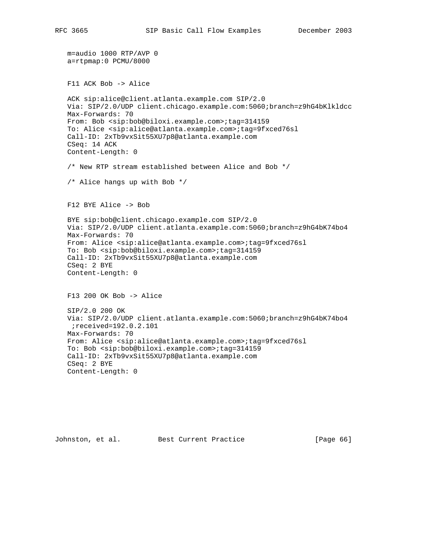```
 m=audio 1000 RTP/AVP 0
 a=rtpmap:0 PCMU/8000
 F11 ACK Bob -> Alice
 ACK sip:alice@client.atlanta.example.com SIP/2.0
 Via: SIP/2.0/UDP client.chicago.example.com:5060;branch=z9hG4bKlkldcc
 Max-Forwards: 70
 From: Bob <sip:bob@biloxi.example.com>;tag=314159
 To: Alice <sip:alice@atlanta.example.com>;tag=9fxced76sl
 Call-ID: 2xTb9vxSit55XU7p8@atlanta.example.com
 CSeq: 14 ACK
 Content-Length: 0
 /* New RTP stream established between Alice and Bob */
 /* Alice hangs up with Bob */
 F12 BYE Alice -> Bob
 BYE sip:bob@client.chicago.example.com SIP/2.0
 Via: SIP/2.0/UDP client.atlanta.example.com:5060;branch=z9hG4bK74bo4
 Max-Forwards: 70
 From: Alice <sip:alice@atlanta.example.com>;tag=9fxced76sl
 To: Bob <sip:bob@biloxi.example.com>;tag=314159
 Call-ID: 2xTb9vxSit55XU7p8@atlanta.example.com
 CSeq: 2 BYE
 Content-Length: 0
 F13 200 OK Bob -> Alice
 SIP/2.0 200 OK
 Via: SIP/2.0/UDP client.atlanta.example.com:5060;branch=z9hG4bK74bo4
 ;received=192.0.2.101
 Max-Forwards: 70
 From: Alice <sip:alice@atlanta.example.com>;tag=9fxced76sl
 To: Bob <sip:bob@biloxi.example.com>;tag=314159
 Call-ID: 2xTb9vxSit55XU7p8@atlanta.example.com
 CSeq: 2 BYE
 Content-Length: 0
```
Johnston, et al. Best Current Practice [Page 66]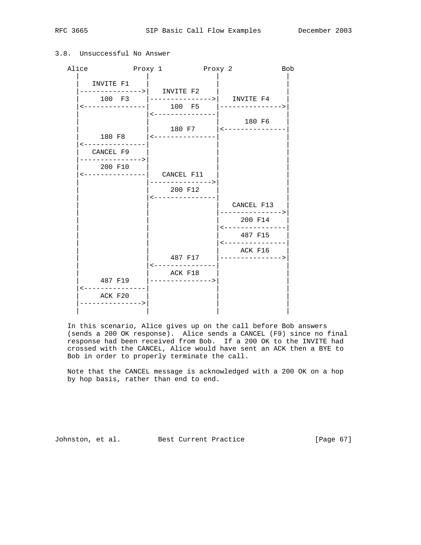| Alice                                                                                 | Proxy 1 Proxy 2                     |                                             |                                | <b>Bob</b> |
|---------------------------------------------------------------------------------------|-------------------------------------|---------------------------------------------|--------------------------------|------------|
| INVITE F1<br>--------------->  INVITE F2<br><---------------  100 F5 │--------------> | 100 F3  --------------->  INVITE F4 |                                             |                                |            |
|                                                                                       |                                     | <---------------<br>180 F7   <------------- | 180 F6                         |            |
| CANCEL F9<br>--------------->                                                         |                                     |                                             |                                |            |
| 200 F10<br>$\leftarrow$ ---------------  CANCEL F11                                   | 200 F12                             | -------------->                             |                                |            |
|                                                                                       |                                     | ----------------                            | CANCEL F13<br>---------------> |            |
|                                                                                       |                                     |                                             | 200 F14<br><---------------    |            |
|                                                                                       |                                     |                                             | 487 F15<br><---------------    |            |
|                                                                                       |                                     | 487 F17 =  ---------------->                | ACK F16                        |            |
| 487 F19<br>$\lt - - -$                                                                | ACK F18                             |                                             |                                |            |
| ACK F20<br>--------------->                                                           |                                     |                                             |                                |            |

### 3.8. Unsuccessful No Answer

 In this scenario, Alice gives up on the call before Bob answers (sends a 200 OK response). Alice sends a CANCEL (F9) since no final response had been received from Bob. If a 200 OK to the INVITE had crossed with the CANCEL, Alice would have sent an ACK then a BYE to Bob in order to properly terminate the call.

 Note that the CANCEL message is acknowledged with a 200 OK on a hop by hop basis, rather than end to end.

Johnston, et al. Best Current Practice [Page 67]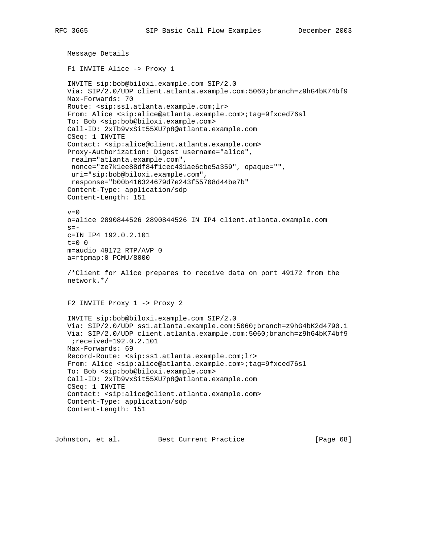```
 Message Details
 F1 INVITE Alice -> Proxy 1
 INVITE sip:bob@biloxi.example.com SIP/2.0
 Via: SIP/2.0/UDP client.atlanta.example.com:5060;branch=z9hG4bK74bf9
 Max-Forwards: 70
 Route: <sip:ss1.atlanta.example.com;lr>
 From: Alice <sip:alice@atlanta.example.com>;tag=9fxced76sl
 To: Bob <sip:bob@biloxi.example.com>
 Call-ID: 2xTb9vxSit55XU7p8@atlanta.example.com
 CSeq: 1 INVITE
 Contact: <sip:alice@client.atlanta.example.com>
 Proxy-Authorization: Digest username="alice",
  realm="atlanta.example.com",
  nonce="ze7k1ee88df84f1cec431ae6cbe5a359", opaque="",
  uri="sip:bob@biloxi.example.com",
  response="b00b416324679d7e243f55708d44be7b"
 Content-Type: application/sdp
 Content-Length: 151
v=0 o=alice 2890844526 2890844526 IN IP4 client.atlanta.example.com
s=- c=IN IP4 192.0.2.101
 t=0 0
 m=audio 49172 RTP/AVP 0
 a=rtpmap:0 PCMU/8000
 /*Client for Alice prepares to receive data on port 49172 from the
 network.*/
 F2 INVITE Proxy 1 -> Proxy 2
 INVITE sip:bob@biloxi.example.com SIP/2.0
 Via: SIP/2.0/UDP ss1.atlanta.example.com:5060;branch=z9hG4bK2d4790.1
 Via: SIP/2.0/UDP client.atlanta.example.com:5060;branch=z9hG4bK74bf9
  ;received=192.0.2.101
 Max-Forwards: 69
 Record-Route: <sip:ss1.atlanta.example.com;lr>
 From: Alice <sip:alice@atlanta.example.com>;tag=9fxced76sl
 To: Bob <sip:bob@biloxi.example.com>
 Call-ID: 2xTb9vxSit55XU7p8@atlanta.example.com
 CSeq: 1 INVITE
 Contact: <sip:alice@client.atlanta.example.com>
 Content-Type: application/sdp
 Content-Length: 151
```
Johnston, et al. Best Current Practice [Page 68]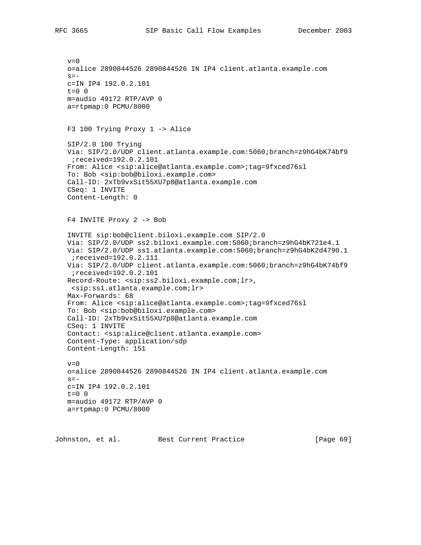```
v=0 o=alice 2890844526 2890844526 IN IP4 client.atlanta.example.com
s=- c=IN IP4 192.0.2.101
t=0 0
 m=audio 49172 RTP/AVP 0
 a=rtpmap:0 PCMU/8000
 F3 100 Trying Proxy 1 -> Alice
 SIP/2.0 100 Trying
 Via: SIP/2.0/UDP client.atlanta.example.com:5060;branch=z9hG4bK74bf9
  ;received=192.0.2.101
 From: Alice <sip:alice@atlanta.example.com>;tag=9fxced76sl
 To: Bob <sip:bob@biloxi.example.com>
 Call-ID: 2xTb9vxSit55XU7p8@atlanta.example.com
 CSeq: 1 INVITE
 Content-Length: 0
 F4 INVITE Proxy 2 -> Bob
 INVITE sip:bob@client.biloxi.example.com SIP/2.0
 Via: SIP/2.0/UDP ss2.biloxi.example.com:5060;branch=z9hG4bK721e4.1
 Via: SIP/2.0/UDP ss1.atlanta.example.com:5060;branch=z9hG4bK2d4790.1
  ;received=192.0.2.111
 Via: SIP/2.0/UDP client.atlanta.example.com:5060;branch=z9hG4bK74bf9
 ;received=192.0.2.101
 Record-Route: <sip:ss2.biloxi.example.com;lr>,
 <sip:ss1.atlanta.example.com;lr>
 Max-Forwards: 68
 From: Alice <sip:alice@atlanta.example.com>;tag=9fxced76sl
 To: Bob <sip:bob@biloxi.example.com>
 Call-ID: 2xTb9vxSit55XU7p8@atlanta.example.com
 CSeq: 1 INVITE
 Contact: <sip:alice@client.atlanta.example.com>
 Content-Type: application/sdp
 Content-Length: 151
v=0 o=alice 2890844526 2890844526 IN IP4 client.atlanta.example.com
s = - c=IN IP4 192.0.2.101
t=0 0
 m=audio 49172 RTP/AVP 0
 a=rtpmap:0 PCMU/8000
```
Johnston, et al. Best Current Practice [Page 69]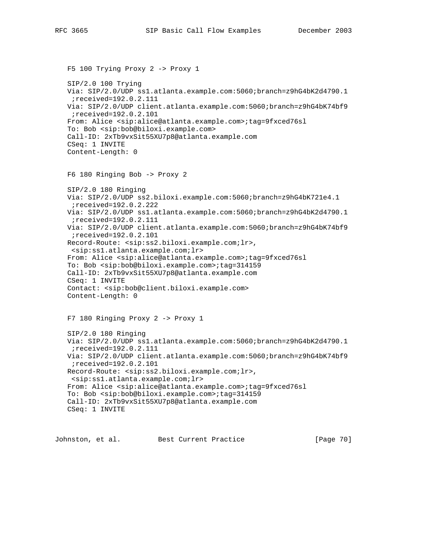```
 F5 100 Trying Proxy 2 -> Proxy 1
 SIP/2.0 100 Trying
 Via: SIP/2.0/UDP ss1.atlanta.example.com:5060;branch=z9hG4bK2d4790.1
  ;received=192.0.2.111
 Via: SIP/2.0/UDP client.atlanta.example.com:5060;branch=z9hG4bK74bf9
  ;received=192.0.2.101
 From: Alice <sip:alice@atlanta.example.com>;tag=9fxced76sl
 To: Bob <sip:bob@biloxi.example.com>
 Call-ID: 2xTb9vxSit55XU7p8@atlanta.example.com
 CSeq: 1 INVITE
 Content-Length: 0
 F6 180 Ringing Bob -> Proxy 2
 SIP/2.0 180 Ringing
 Via: SIP/2.0/UDP ss2.biloxi.example.com:5060;branch=z9hG4bK721e4.1
  ;received=192.0.2.222
 Via: SIP/2.0/UDP ss1.atlanta.example.com:5060;branch=z9hG4bK2d4790.1
  ;received=192.0.2.111
 Via: SIP/2.0/UDP client.atlanta.example.com:5060;branch=z9hG4bK74bf9
  ;received=192.0.2.101
 Record-Route: <sip:ss2.biloxi.example.com;lr>,
 <sip:ss1.atlanta.example.com;lr>
 From: Alice <sip:alice@atlanta.example.com>;tag=9fxced76sl
 To: Bob <sip:bob@biloxi.example.com>;tag=314159
 Call-ID: 2xTb9vxSit55XU7p8@atlanta.example.com
 CSeq: 1 INVITE
 Contact: <sip:bob@client.biloxi.example.com>
 Content-Length: 0
 F7 180 Ringing Proxy 2 -> Proxy 1
 SIP/2.0 180 Ringing
 Via: SIP/2.0/UDP ss1.atlanta.example.com:5060;branch=z9hG4bK2d4790.1
  ;received=192.0.2.111
 Via: SIP/2.0/UDP client.atlanta.example.com:5060;branch=z9hG4bK74bf9
  ;received=192.0.2.101
 Record-Route: <sip:ss2.biloxi.example.com;lr>,
  <sip:ss1.atlanta.example.com;lr>
 From: Alice <sip:alice@atlanta.example.com>;tag=9fxced76sl
 To: Bob <sip:bob@biloxi.example.com>;tag=314159
 Call-ID: 2xTb9vxSit55XU7p8@atlanta.example.com
 CSeq: 1 INVITE
```
Johnston, et al. Best Current Practice [Page 70]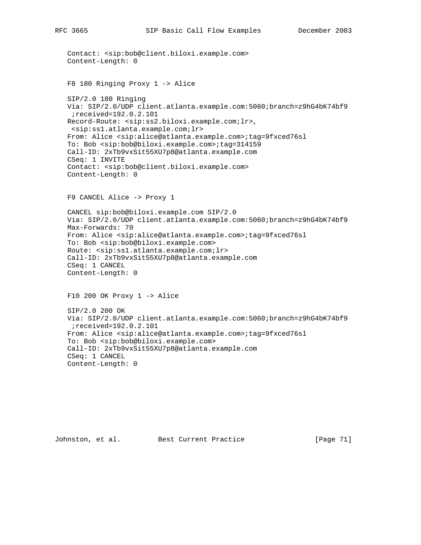```
 Contact: <sip:bob@client.biloxi.example.com>
 Content-Length: 0
 F8 180 Ringing Proxy 1 -> Alice
 SIP/2.0 180 Ringing
 Via: SIP/2.0/UDP client.atlanta.example.com:5060;branch=z9hG4bK74bf9
  ;received=192.0.2.101
 Record-Route: <sip:ss2.biloxi.example.com;lr>,
 <sip:ss1.atlanta.example.com;lr>
 From: Alice <sip:alice@atlanta.example.com>;tag=9fxced76sl
 To: Bob <sip:bob@biloxi.example.com>;tag=314159
 Call-ID: 2xTb9vxSit55XU7p8@atlanta.example.com
 CSeq: 1 INVITE
 Contact: <sip:bob@client.biloxi.example.com>
 Content-Length: 0
 F9 CANCEL Alice -> Proxy 1
 CANCEL sip:bob@biloxi.example.com SIP/2.0
 Via: SIP/2.0/UDP client.atlanta.example.com:5060;branch=z9hG4bK74bf9
 Max-Forwards: 70
 From: Alice <sip:alice@atlanta.example.com>;tag=9fxced76sl
 To: Bob <sip:bob@biloxi.example.com>
 Route: <sip:ss1.atlanta.example.com;lr>
 Call-ID: 2xTb9vxSit55XU7p8@atlanta.example.com
 CSeq: 1 CANCEL
 Content-Length: 0
 F10 200 OK Proxy 1 -> Alice
 SIP/2.0 200 OK
 Via: SIP/2.0/UDP client.atlanta.example.com:5060;branch=z9hG4bK74bf9
 ;received=192.0.2.101
 From: Alice <sip:alice@atlanta.example.com>;tag=9fxced76sl
 To: Bob <sip:bob@biloxi.example.com>
 Call-ID: 2xTb9vxSit55XU7p8@atlanta.example.com
 CSeq: 1 CANCEL
 Content-Length: 0
```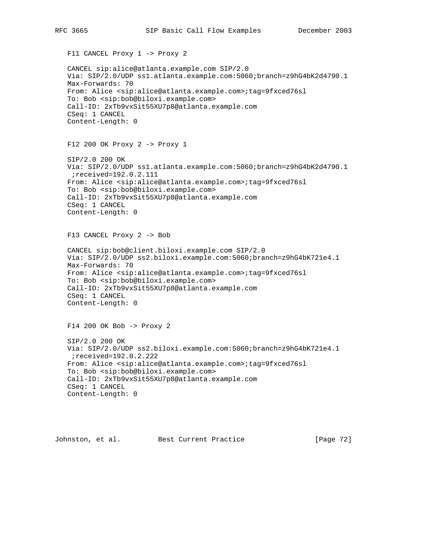F11 CANCEL Proxy 1 -> Proxy 2 CANCEL sip:alice@atlanta.example.com SIP/2.0 Via: SIP/2.0/UDP ss1.atlanta.example.com:5060;branch=z9hG4bK2d4790.1 Max-Forwards: 70 From: Alice <sip:alice@atlanta.example.com>;tag=9fxced76sl To: Bob <sip:bob@biloxi.example.com> Call-ID: 2xTb9vxSit55XU7p8@atlanta.example.com CSeq: 1 CANCEL Content-Length: 0 F12 200 OK Proxy 2 -> Proxy 1 SIP/2.0 200 OK Via: SIP/2.0/UDP ss1.atlanta.example.com:5060;branch=z9hG4bK2d4790.1 ;received=192.0.2.111 From: Alice <sip:alice@atlanta.example.com>;tag=9fxced76sl To: Bob <sip:bob@biloxi.example.com> Call-ID: 2xTb9vxSit55XU7p8@atlanta.example.com CSeq: 1 CANCEL Content-Length: 0 F13 CANCEL Proxy 2 -> Bob CANCEL sip:bob@client.biloxi.example.com SIP/2.0 Via: SIP/2.0/UDP ss2.biloxi.example.com:5060;branch=z9hG4bK721e4.1 Max-Forwards: 70 From: Alice <sip:alice@atlanta.example.com>;tag=9fxced76sl To: Bob <sip:bob@biloxi.example.com> Call-ID: 2xTb9vxSit55XU7p8@atlanta.example.com CSeq: 1 CANCEL Content-Length: 0 F14 200 OK Bob -> Proxy 2 SIP/2.0 200 OK Via: SIP/2.0/UDP ss2.biloxi.example.com:5060;branch=z9hG4bK721e4.1 ;received=192.0.2.222

From: Alice <sip:alice@atlanta.example.com>;tag=9fxced76sl

To: Bob <sip:bob@biloxi.example.com>

 Call-ID: 2xTb9vxSit55XU7p8@atlanta.example.com CSeq: 1 CANCEL

```
 Content-Length: 0
```
Johnston, et al. Best Current Practice [Page 72]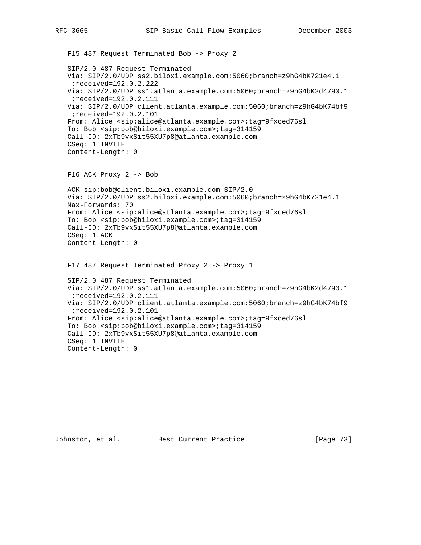F15 487 Request Terminated Bob -> Proxy 2 SIP/2.0 487 Request Terminated Via: SIP/2.0/UDP ss2.biloxi.example.com:5060;branch=z9hG4bK721e4.1 ;received=192.0.2.222 Via: SIP/2.0/UDP ss1.atlanta.example.com:5060;branch=z9hG4bK2d4790.1 ;received=192.0.2.111 Via: SIP/2.0/UDP client.atlanta.example.com:5060;branch=z9hG4bK74bf9 ;received=192.0.2.101 From: Alice <sip:alice@atlanta.example.com>;tag=9fxced76sl To: Bob <sip:bob@biloxi.example.com>;tag=314159 Call-ID: 2xTb9vxSit55XU7p8@atlanta.example.com CSeq: 1 INVITE Content-Length: 0 F16 ACK Proxy 2 -> Bob ACK sip:bob@client.biloxi.example.com SIP/2.0 Via: SIP/2.0/UDP ss2.biloxi.example.com:5060;branch=z9hG4bK721e4.1 Max-Forwards: 70 From: Alice <sip:alice@atlanta.example.com>;tag=9fxced76sl To: Bob <sip:bob@biloxi.example.com>;tag=314159 Call-ID: 2xTb9vxSit55XU7p8@atlanta.example.com CSeq: 1 ACK Content-Length: 0 F17 487 Request Terminated Proxy 2 -> Proxy 1 SIP/2.0 487 Request Terminated Via: SIP/2.0/UDP ss1.atlanta.example.com:5060;branch=z9hG4bK2d4790.1 ;received=192.0.2.111 Via: SIP/2.0/UDP client.atlanta.example.com:5060;branch=z9hG4bK74bf9 ;received=192.0.2.101 From: Alice <sip:alice@atlanta.example.com>;tag=9fxced76sl To: Bob <sip:bob@biloxi.example.com>;tag=314159 Call-ID: 2xTb9vxSit55XU7p8@atlanta.example.com CSeq: 1 INVITE Content-Length: 0

Johnston, et al. Best Current Practice [Page 73]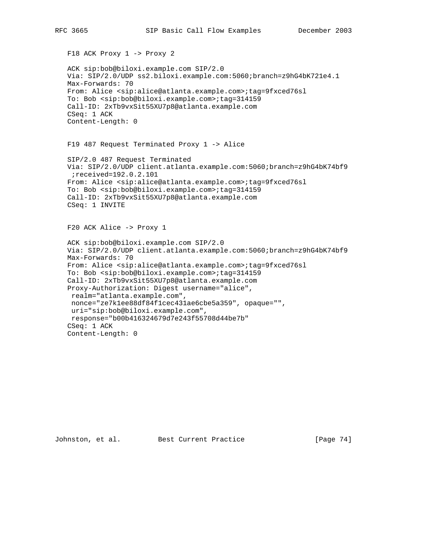```
 F18 ACK Proxy 1 -> Proxy 2
 ACK sip:bob@biloxi.example.com SIP/2.0
 Via: SIP/2.0/UDP ss2.biloxi.example.com:5060;branch=z9hG4bK721e4.1
 Max-Forwards: 70
 From: Alice <sip:alice@atlanta.example.com>;tag=9fxced76sl
 To: Bob <sip:bob@biloxi.example.com>;tag=314159
 Call-ID: 2xTb9vxSit55XU7p8@atlanta.example.com
 CSeq: 1 ACK
 Content-Length: 0
 F19 487 Request Terminated Proxy 1 -> Alice
 SIP/2.0 487 Request Terminated
 Via: SIP/2.0/UDP client.atlanta.example.com:5060;branch=z9hG4bK74bf9
 ;received=192.0.2.101
 From: Alice <sip:alice@atlanta.example.com>;tag=9fxced76sl
 To: Bob <sip:bob@biloxi.example.com>;tag=314159
 Call-ID: 2xTb9vxSit55XU7p8@atlanta.example.com
 CSeq: 1 INVITE
 F20 ACK Alice -> Proxy 1
 ACK sip:bob@biloxi.example.com SIP/2.0
 Via: SIP/2.0/UDP client.atlanta.example.com:5060;branch=z9hG4bK74bf9
 Max-Forwards: 70
 From: Alice <sip:alice@atlanta.example.com>;tag=9fxced76sl
 To: Bob <sip:bob@biloxi.example.com>;tag=314159
 Call-ID: 2xTb9vxSit55XU7p8@atlanta.example.com
 Proxy-Authorization: Digest username="alice",
 realm="atlanta.example.com",
 nonce="ze7k1ee88df84f1cec431ae6cbe5a359", opaque="",
 uri="sip:bob@biloxi.example.com",
 response="b00b416324679d7e243f55708d44be7b"
 CSeq: 1 ACK
 Content-Length: 0
```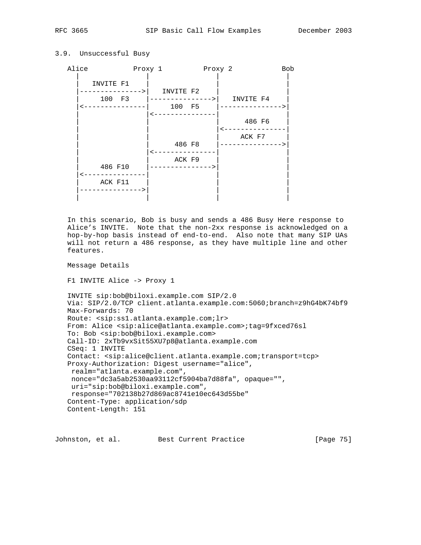3.9. Unsuccessful Busy

# Alice Proxy 1 Proxy 2 Bob | | | | INVITE F1 -------------->| INVITE F2 | 100 F3 |--------------->| INVITE F4 | |<---------------| 100 F5 |--------------->| | <--------------

 | | | 486 F6 | | | |<---------------| ACK F7 486 F8 | ---------------> | <---------------ACK F9 | 486 F10 |--------------->| |  $\leftarrow$  ---------------ACK F11 |--------------->| | | | | | |

 In this scenario, Bob is busy and sends a 486 Busy Here response to Alice's INVITE. Note that the non-2xx response is acknowledged on a hop-by-hop basis instead of end-to-end. Also note that many SIP UAs will not return a 486 response, as they have multiple line and other features.

Message Details

F1 INVITE Alice -> Proxy 1

```
 INVITE sip:bob@biloxi.example.com SIP/2.0
 Via: SIP/2.0/TCP client.atlanta.example.com:5060;branch=z9hG4bK74bf9
 Max-Forwards: 70
 Route: <sip:ss1.atlanta.example.com;lr>
 From: Alice <sip:alice@atlanta.example.com>;tag=9fxced76sl
 To: Bob <sip:bob@biloxi.example.com>
 Call-ID: 2xTb9vxSit55XU7p8@atlanta.example.com
 CSeq: 1 INVITE
 Contact: <sip:alice@client.atlanta.example.com;transport=tcp>
 Proxy-Authorization: Digest username="alice",
 realm="atlanta.example.com",
 nonce="dc3a5ab2530aa93112cf5904ba7d88fa", opaque="",
 uri="sip:bob@biloxi.example.com",
 response="702138b27d869ac8741e10ec643d55be"
 Content-Type: application/sdp
 Content-Length: 151
```
Johnston, et al. Best Current Practice [Page 75]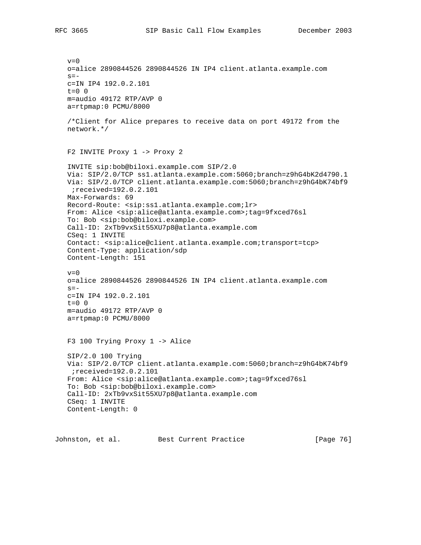$v=0$  o=alice 2890844526 2890844526 IN IP4 client.atlanta.example.com  $s=$  c=IN IP4 192.0.2.101  $t=0$  0 m=audio 49172 RTP/AVP 0 a=rtpmap:0 PCMU/8000 /\*Client for Alice prepares to receive data on port 49172 from the network.\*/ F2 INVITE Proxy 1 -> Proxy 2 INVITE sip:bob@biloxi.example.com SIP/2.0 Via: SIP/2.0/TCP ss1.atlanta.example.com:5060;branch=z9hG4bK2d4790.1 Via: SIP/2.0/TCP client.atlanta.example.com:5060;branch=z9hG4bK74bf9 ;received=192.0.2.101 Max-Forwards: 69 Record-Route: <sip:ss1.atlanta.example.com;lr> From: Alice <sip:alice@atlanta.example.com>;tag=9fxced76sl To: Bob <sip:bob@biloxi.example.com> Call-ID: 2xTb9vxSit55XU7p8@atlanta.example.com CSeq: 1 INVITE Contact: <sip:alice@client.atlanta.example.com;transport=tcp> Content-Type: application/sdp Content-Length: 151  $v=0$  o=alice 2890844526 2890844526 IN IP4 client.atlanta.example.com  $s =$  c=IN IP4 192.0.2.101  $t=0$  0 m=audio 49172 RTP/AVP 0 a=rtpmap:0 PCMU/8000 F3 100 Trying Proxy 1 -> Alice SIP/2.0 100 Trying Via: SIP/2.0/TCP client.atlanta.example.com:5060;branch=z9hG4bK74bf9 ;received=192.0.2.101 From: Alice <sip:alice@atlanta.example.com>;tag=9fxced76sl To: Bob <sip:bob@biloxi.example.com> Call-ID: 2xTb9vxSit55XU7p8@atlanta.example.com CSeq: 1 INVITE Content-Length: 0

Johnston, et al. Best Current Practice [Page 76]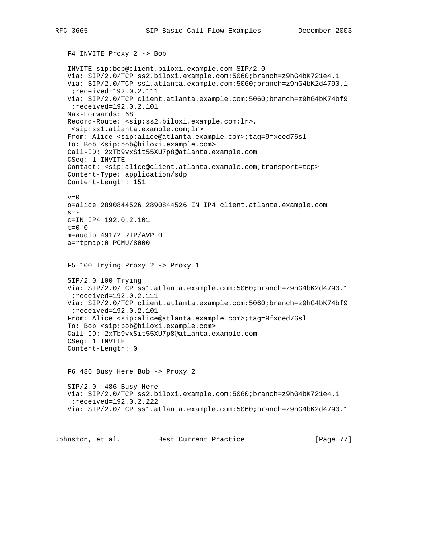```
 F4 INVITE Proxy 2 -> Bob
    INVITE sip:bob@client.biloxi.example.com SIP/2.0
   Via: SIP/2.0/TCP ss2.biloxi.example.com:5060;branch=z9hG4bK721e4.1
   Via: SIP/2.0/TCP ss1.atlanta.example.com:5060;branch=z9hG4bK2d4790.1
    ;received=192.0.2.111
   Via: SIP/2.0/TCP client.atlanta.example.com:5060;branch=z9hG4bK74bf9
    ;received=192.0.2.101
   Max-Forwards: 68
   Record-Route: <sip:ss2.biloxi.example.com;lr>,
    <sip:ss1.atlanta.example.com;lr>
   From: Alice <sip:alice@atlanta.example.com>;tag=9fxced76sl
   To: Bob <sip:bob@biloxi.example.com>
    Call-ID: 2xTb9vxSit55XU7p8@atlanta.example.com
    CSeq: 1 INVITE
   Contact: <sip:alice@client.atlanta.example.com;transport=tcp>
   Content-Type: application/sdp
   Content-Length: 151
  v=0 o=alice 2890844526 2890844526 IN IP4 client.atlanta.example.com
  s=- c=IN IP4 192.0.2.101
  t=0 0
   m=audio 49172 RTP/AVP 0
   a=rtpmap:0 PCMU/8000
   F5 100 Trying Proxy 2 -> Proxy 1
   SIP/2.0 100 Trying
   Via: SIP/2.0/TCP ss1.atlanta.example.com:5060;branch=z9hG4bK2d4790.1
    ;received=192.0.2.111
   Via: SIP/2.0/TCP client.atlanta.example.com:5060;branch=z9hG4bK74bf9
    ;received=192.0.2.101
   From: Alice <sip:alice@atlanta.example.com>;tag=9fxced76sl
   To: Bob <sip:bob@biloxi.example.com>
    Call-ID: 2xTb9vxSit55XU7p8@atlanta.example.com
   CSeq: 1 INVITE
   Content-Length: 0
   F6 486 Busy Here Bob -> Proxy 2
   SIP/2.0 486 Busy Here
   Via: SIP/2.0/TCP ss2.biloxi.example.com:5060;branch=z9hG4bK721e4.1
    ;received=192.0.2.222
   Via: SIP/2.0/TCP ss1.atlanta.example.com:5060;branch=z9hG4bK2d4790.1
Johnston, et al. Best Current Practice [Page 77]
```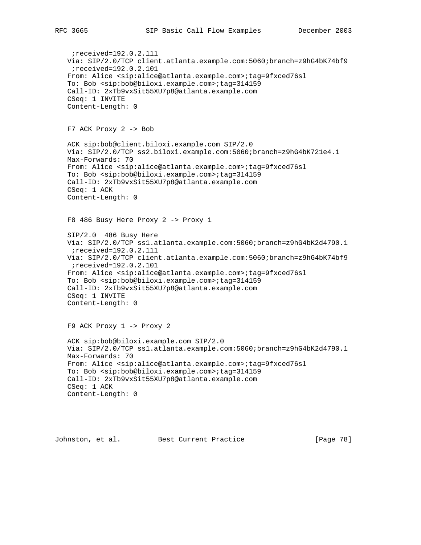```
 ;received=192.0.2.111
 Via: SIP/2.0/TCP client.atlanta.example.com:5060;branch=z9hG4bK74bf9
  ;received=192.0.2.101
 From: Alice <sip:alice@atlanta.example.com>;tag=9fxced76sl
 To: Bob <sip:bob@biloxi.example.com>;tag=314159
 Call-ID: 2xTb9vxSit55XU7p8@atlanta.example.com
 CSeq: 1 INVITE
 Content-Length: 0
 F7 ACK Proxy 2 -> Bob
 ACK sip:bob@client.biloxi.example.com SIP/2.0
 Via: SIP/2.0/TCP ss2.biloxi.example.com:5060;branch=z9hG4bK721e4.1
 Max-Forwards: 70
 From: Alice <sip:alice@atlanta.example.com>;tag=9fxced76sl
 To: Bob <sip:bob@biloxi.example.com>;tag=314159
 Call-ID: 2xTb9vxSit55XU7p8@atlanta.example.com
 CSeq: 1 ACK
 Content-Length: 0
 F8 486 Busy Here Proxy 2 -> Proxy 1
 SIP/2.0 486 Busy Here
 Via: SIP/2.0/TCP ss1.atlanta.example.com:5060;branch=z9hG4bK2d4790.1
  ;received=192.0.2.111
 Via: SIP/2.0/TCP client.atlanta.example.com:5060;branch=z9hG4bK74bf9
  ;received=192.0.2.101
 From: Alice <sip:alice@atlanta.example.com>;tag=9fxced76sl
 To: Bob <sip:bob@biloxi.example.com>;tag=314159
 Call-ID: 2xTb9vxSit55XU7p8@atlanta.example.com
 CSeq: 1 INVITE
 Content-Length: 0
 F9 ACK Proxy 1 -> Proxy 2
 ACK sip:bob@biloxi.example.com SIP/2.0
 Via: SIP/2.0/TCP ss1.atlanta.example.com:5060;branch=z9hG4bK2d4790.1
 Max-Forwards: 70
 From: Alice <sip:alice@atlanta.example.com>;tag=9fxced76sl
 To: Bob <sip:bob@biloxi.example.com>;tag=314159
 Call-ID: 2xTb9vxSit55XU7p8@atlanta.example.com
 CSeq: 1 ACK
 Content-Length: 0
```
Johnston, et al. Best Current Practice [Page 78]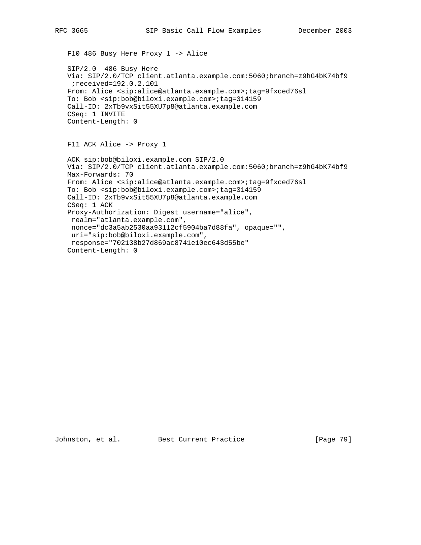F10 486 Busy Here Proxy 1 -> Alice

 SIP/2.0 486 Busy Here Via: SIP/2.0/TCP client.atlanta.example.com:5060;branch=z9hG4bK74bf9 ;received=192.0.2.101 From: Alice <sip:alice@atlanta.example.com>;tag=9fxced76sl To: Bob <sip:bob@biloxi.example.com>;tag=314159 Call-ID: 2xTb9vxSit55XU7p8@atlanta.example.com CSeq: 1 INVITE Content-Length: 0

F11 ACK Alice -> Proxy 1

 ACK sip:bob@biloxi.example.com SIP/2.0 Via: SIP/2.0/TCP client.atlanta.example.com:5060;branch=z9hG4bK74bf9 Max-Forwards: 70 From: Alice <sip:alice@atlanta.example.com>;tag=9fxced76sl To: Bob <sip:bob@biloxi.example.com>;tag=314159 Call-ID: 2xTb9vxSit55XU7p8@atlanta.example.com CSeq: 1 ACK Proxy-Authorization: Digest username="alice", realm="atlanta.example.com", nonce="dc3a5ab2530aa93112cf5904ba7d88fa", opaque="", uri="sip:bob@biloxi.example.com", response="702138b27d869ac8741e10ec643d55be" Content-Length: 0

Johnston, et al. Best Current Practice [Page 79]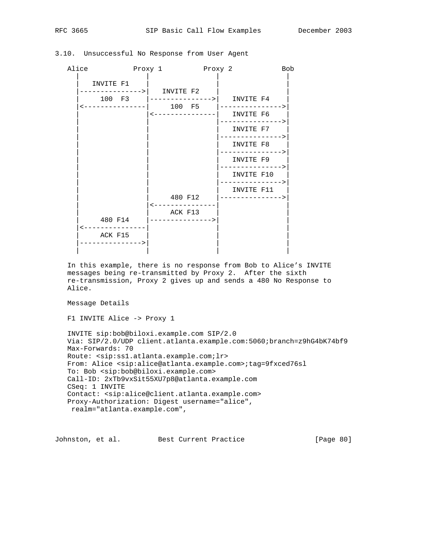| Alice                       | Proxy 1 Proxy 2            |                                                                      | <b>Bob</b> |
|-----------------------------|----------------------------|----------------------------------------------------------------------|------------|
| INVITE F1                   |                            |                                                                      |            |
| 100 F3                      | -------------->  INVITE F2 | $ ----------$ INVITE F4<br><---------------  100 F5  --------------> |            |
|                             |                            | <---------------  INVITE F6<br>--------------->                      |            |
|                             |                            | INVITE F7<br>--------------->                                        |            |
|                             |                            | INVITE F8<br>-------------->                                         |            |
|                             |                            | INVITE F9<br>-------------->                                         |            |
|                             |                            | INVITE F10<br>. _ _ _ _ _ _ _ _ _ _ _ _ _ >                          |            |
|                             | 480 F12                    | INVITE F11<br>----------------                                       |            |
|                             | ACK F13                    |                                                                      |            |
| 480 F14                     | -------------->            |                                                                      |            |
| ACK F15<br>---------------> |                            |                                                                      |            |

# 3.10. Unsuccessful No Response from User Agent

 In this example, there is no response from Bob to Alice's INVITE messages being re-transmitted by Proxy 2. After the sixth re-transmission, Proxy 2 gives up and sends a 480 No Response to Alice.

Message Details

F1 INVITE Alice -> Proxy 1

 INVITE sip:bob@biloxi.example.com SIP/2.0 Via: SIP/2.0/UDP client.atlanta.example.com:5060;branch=z9hG4bK74bf9 Max-Forwards: 70 Route: <sip:ss1.atlanta.example.com;lr> From: Alice <sip:alice@atlanta.example.com>;tag=9fxced76sl To: Bob <sip:bob@biloxi.example.com> Call-ID: 2xTb9vxSit55XU7p8@atlanta.example.com CSeq: 1 INVITE Contact: <sip:alice@client.atlanta.example.com> Proxy-Authorization: Digest username="alice", realm="atlanta.example.com",

Johnston, et al. Best Current Practice [Page 80]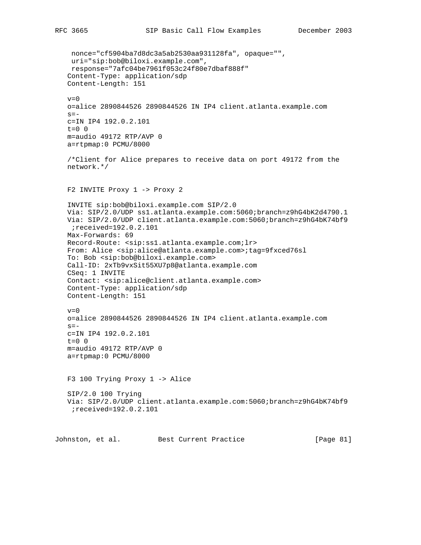nonce="cf5904ba7d8dc3a5ab2530aa931128fa", opaque="", uri="sip:bob@biloxi.example.com", response="7afc04be7961f053c24f80e7dbaf888f" Content-Type: application/sdp Content-Length: 151  $v=0$  o=alice 2890844526 2890844526 IN IP4 client.atlanta.example.com  $s =$  c=IN IP4 192.0.2.101  $t=0$  0 m=audio 49172 RTP/AVP 0 a=rtpmap:0 PCMU/8000 /\*Client for Alice prepares to receive data on port 49172 from the network.\*/ F2 INVITE Proxy 1 -> Proxy 2 INVITE sip:bob@biloxi.example.com SIP/2.0 Via: SIP/2.0/UDP ss1.atlanta.example.com:5060;branch=z9hG4bK2d4790.1 Via: SIP/2.0/UDP client.atlanta.example.com:5060;branch=z9hG4bK74bf9 ;received=192.0.2.101 Max-Forwards: 69 Record-Route: <sip:ss1.atlanta.example.com;lr> From: Alice <sip:alice@atlanta.example.com>;tag=9fxced76sl To: Bob <sip:bob@biloxi.example.com> Call-ID: 2xTb9vxSit55XU7p8@atlanta.example.com CSeq: 1 INVITE Contact: <sip:alice@client.atlanta.example.com> Content-Type: application/sdp Content-Length: 151  $v=0$  o=alice 2890844526 2890844526 IN IP4 client.atlanta.example.com  $s=$  c=IN IP4 192.0.2.101  $t=0$  0 m=audio 49172 RTP/AVP 0 a=rtpmap:0 PCMU/8000 F3 100 Trying Proxy 1 -> Alice SIP/2.0 100 Trying Via: SIP/2.0/UDP client.atlanta.example.com:5060;branch=z9hG4bK74bf9 ;received=192.0.2.101 Johnston, et al. Best Current Practice [Page 81]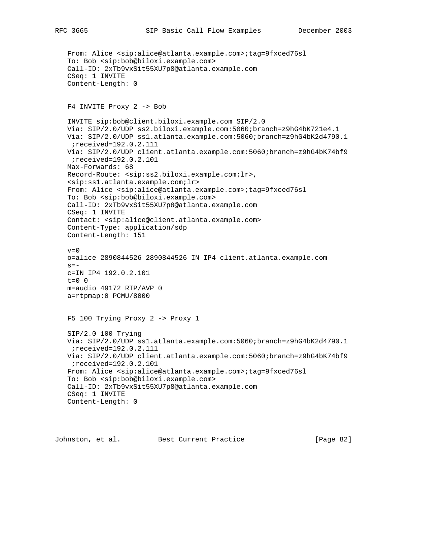```
 From: Alice <sip:alice@atlanta.example.com>;tag=9fxced76sl
 To: Bob <sip:bob@biloxi.example.com>
 Call-ID: 2xTb9vxSit55XU7p8@atlanta.example.com
 CSeq: 1 INVITE
 Content-Length: 0
 F4 INVITE Proxy 2 -> Bob
 INVITE sip:bob@client.biloxi.example.com SIP/2.0
 Via: SIP/2.0/UDP ss2.biloxi.example.com:5060;branch=z9hG4bK721e4.1
 Via: SIP/2.0/UDP ss1.atlanta.example.com:5060;branch=z9hG4bK2d4790.1
  ;received=192.0.2.111
 Via: SIP/2.0/UDP client.atlanta.example.com:5060;branch=z9hG4bK74bf9
  ;received=192.0.2.101
 Max-Forwards: 68
 Record-Route: <sip:ss2.biloxi.example.com;lr>,
 <sip:ss1.atlanta.example.com;lr>
 From: Alice <sip:alice@atlanta.example.com>;tag=9fxced76sl
 To: Bob <sip:bob@biloxi.example.com>
 Call-ID: 2xTb9vxSit55XU7p8@atlanta.example.com
 CSeq: 1 INVITE
 Contact: <sip:alice@client.atlanta.example.com>
 Content-Type: application/sdp
 Content-Length: 151
v=0 o=alice 2890844526 2890844526 IN IP4 client.atlanta.example.com
s = - c=IN IP4 192.0.2.101
t=0 0
 m=audio 49172 RTP/AVP 0
 a=rtpmap:0 PCMU/8000
 F5 100 Trying Proxy 2 -> Proxy 1
 SIP/2.0 100 Trying
 Via: SIP/2.0/UDP ss1.atlanta.example.com:5060;branch=z9hG4bK2d4790.1
  ;received=192.0.2.111
 Via: SIP/2.0/UDP client.atlanta.example.com:5060;branch=z9hG4bK74bf9
 ;received=192.0.2.101
 From: Alice <sip:alice@atlanta.example.com>;tag=9fxced76sl
 To: Bob <sip:bob@biloxi.example.com>
 Call-ID: 2xTb9vxSit55XU7p8@atlanta.example.com
 CSeq: 1 INVITE
 Content-Length: 0
```
Johnston, et al. Best Current Practice [Page 82]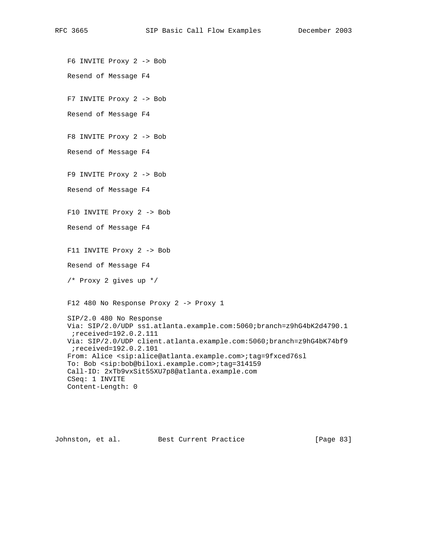F6 INVITE Proxy 2 -> Bob Resend of Message F4 F7 INVITE Proxy 2 -> Bob Resend of Message F4 F8 INVITE Proxy 2 -> Bob Resend of Message F4 F9 INVITE Proxy 2 -> Bob Resend of Message F4 F10 INVITE Proxy 2 -> Bob Resend of Message F4 F11 INVITE Proxy 2 -> Bob Resend of Message F4 /\* Proxy 2 gives up \*/ F12 480 No Response Proxy 2 -> Proxy 1 SIP/2.0 480 No Response Via: SIP/2.0/UDP ss1.atlanta.example.com:5060;branch=z9hG4bK2d4790.1 ;received=192.0.2.111 Via: SIP/2.0/UDP client.atlanta.example.com:5060;branch=z9hG4bK74bf9 ;received=192.0.2.101 From: Alice <sip:alice@atlanta.example.com>;tag=9fxced76sl To: Bob <sip:bob@biloxi.example.com>;tag=314159 Call-ID: 2xTb9vxSit55XU7p8@atlanta.example.com CSeq: 1 INVITE Content-Length: 0

Johnston, et al. Best Current Practice [Page 83]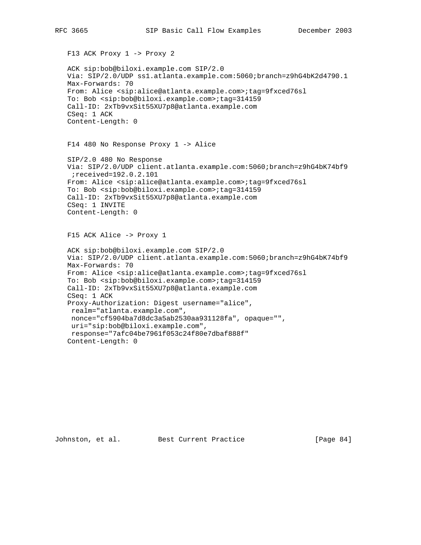F13 ACK Proxy 1 -> Proxy 2 ACK sip:bob@biloxi.example.com SIP/2.0 Via: SIP/2.0/UDP ss1.atlanta.example.com:5060;branch=z9hG4bK2d4790.1 Max-Forwards: 70 From: Alice <sip:alice@atlanta.example.com>;tag=9fxced76sl To: Bob <sip:bob@biloxi.example.com>;tag=314159 Call-ID: 2xTb9vxSit55XU7p8@atlanta.example.com CSeq: 1 ACK Content-Length: 0 F14 480 No Response Proxy 1 -> Alice SIP/2.0 480 No Response Via: SIP/2.0/UDP client.atlanta.example.com:5060;branch=z9hG4bK74bf9 ;received=192.0.2.101 From: Alice <sip:alice@atlanta.example.com>;tag=9fxced76sl To: Bob <sip:bob@biloxi.example.com>;tag=314159 Call-ID: 2xTb9vxSit55XU7p8@atlanta.example.com CSeq: 1 INVITE Content-Length: 0 F15 ACK Alice -> Proxy 1 ACK sip:bob@biloxi.example.com SIP/2.0 Via: SIP/2.0/UDP client.atlanta.example.com:5060;branch=z9hG4bK74bf9 Max-Forwards: 70 From: Alice <sip:alice@atlanta.example.com>;tag=9fxced76sl To: Bob <sip:bob@biloxi.example.com>;tag=314159 Call-ID: 2xTb9vxSit55XU7p8@atlanta.example.com CSeq: 1 ACK Proxy-Authorization: Digest username="alice", realm="atlanta.example.com", nonce="cf5904ba7d8dc3a5ab2530aa931128fa", opaque="", uri="sip:bob@biloxi.example.com",

Johnston, et al. Best Current Practice [Page 84]

Content-Length: 0

response="7afc04be7961f053c24f80e7dbaf888f"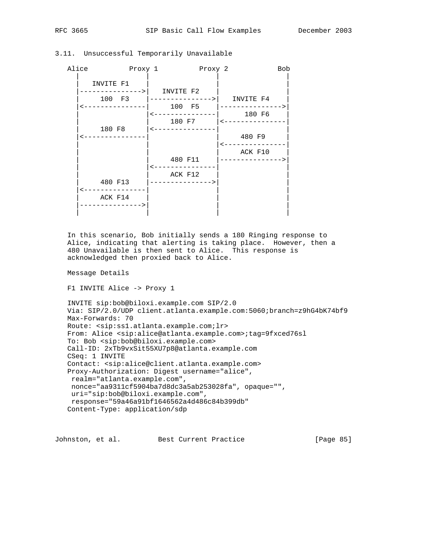| Alice | Proxy 1                                    | Proxy 2                                                |                                        | <b>Bob</b> |
|-------|--------------------------------------------|--------------------------------------------------------|----------------------------------------|------------|
|       | INVITE F1<br>-------> <br>100 F3<br>180 F8 | INVITE F2<br>  ________________)  <br>100 F5<br>180 F7 | INVITE F4<br>180 F6<br>480 F9          |            |
|       | 480 F13<br>ACK F14                         | 480 F11<br>ACK F12<br>-------------->                  | ACK F10<br>. _ _ _ _ _ _ _ _ _ _ _ _ _ |            |

3.11. Unsuccessful Temporarily Unavailable

 In this scenario, Bob initially sends a 180 Ringing response to Alice, indicating that alerting is taking place. However, then a 480 Unavailable is then sent to Alice. This response is acknowledged then proxied back to Alice.

Message Details

F1 INVITE Alice -> Proxy 1

 INVITE sip:bob@biloxi.example.com SIP/2.0 Via: SIP/2.0/UDP client.atlanta.example.com:5060;branch=z9hG4bK74bf9 Max-Forwards: 70 Route: <sip:ss1.atlanta.example.com;lr> From: Alice <sip:alice@atlanta.example.com>;tag=9fxced76sl To: Bob <sip:bob@biloxi.example.com> Call-ID: 2xTb9vxSit55XU7p8@atlanta.example.com CSeq: 1 INVITE Contact: <sip:alice@client.atlanta.example.com> Proxy-Authorization: Digest username="alice", realm="atlanta.example.com", nonce="aa9311cf5904ba7d8dc3a5ab253028fa", opaque="", uri="sip:bob@biloxi.example.com", response="59a46a91bf1646562a4d486c84b399db" Content-Type: application/sdp

Johnston, et al. Best Current Practice [Page 85]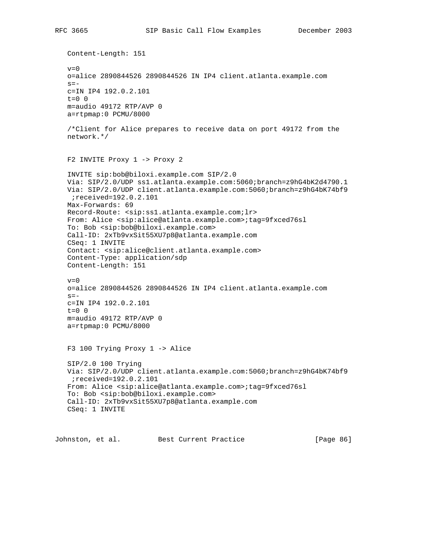Content-Length: 151  $v=0$  o=alice 2890844526 2890844526 IN IP4 client.atlanta.example.com  $s =$  c=IN IP4 192.0.2.101  $t=0$  0 m=audio 49172 RTP/AVP 0 a=rtpmap:0 PCMU/8000 /\*Client for Alice prepares to receive data on port 49172 from the network.\*/ F2 INVITE Proxy 1 -> Proxy 2 INVITE sip:bob@biloxi.example.com SIP/2.0 Via: SIP/2.0/UDP ss1.atlanta.example.com:5060;branch=z9hG4bK2d4790.1 Via: SIP/2.0/UDP client.atlanta.example.com:5060;branch=z9hG4bK74bf9 ;received=192.0.2.101 Max-Forwards: 69 Record-Route: <sip:ss1.atlanta.example.com;lr> From: Alice <sip:alice@atlanta.example.com>;tag=9fxced76sl To: Bob <sip:bob@biloxi.example.com> Call-ID: 2xTb9vxSit55XU7p8@atlanta.example.com CSeq: 1 INVITE Contact: <sip:alice@client.atlanta.example.com> Content-Type: application/sdp Content-Length: 151  $v=0$  o=alice 2890844526 2890844526 IN IP4 client.atlanta.example.com  $s =$  c=IN IP4 192.0.2.101 t=0 0 m=audio 49172 RTP/AVP 0 a=rtpmap:0 PCMU/8000 F3 100 Trying Proxy 1 -> Alice SIP/2.0 100 Trying Via: SIP/2.0/UDP client.atlanta.example.com:5060;branch=z9hG4bK74bf9 ;received=192.0.2.101 From: Alice <sip:alice@atlanta.example.com>;tag=9fxced76sl To: Bob <sip:bob@biloxi.example.com> Call-ID: 2xTb9vxSit55XU7p8@atlanta.example.com CSeq: 1 INVITE

Johnston, et al. Best Current Practice [Page 86]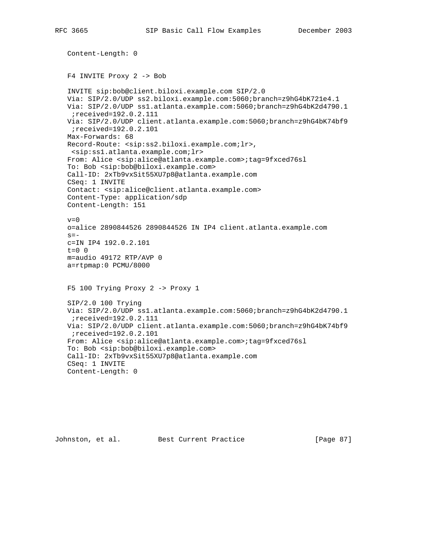```
 Content-Length: 0
 F4 INVITE Proxy 2 -> Bob
 INVITE sip:bob@client.biloxi.example.com SIP/2.0
 Via: SIP/2.0/UDP ss2.biloxi.example.com:5060;branch=z9hG4bK721e4.1
 Via: SIP/2.0/UDP ss1.atlanta.example.com:5060;branch=z9hG4bK2d4790.1
  ;received=192.0.2.111
 Via: SIP/2.0/UDP client.atlanta.example.com:5060;branch=z9hG4bK74bf9
 ;received=192.0.2.101
 Max-Forwards: 68
 Record-Route: <sip:ss2.biloxi.example.com;lr>,
  <sip:ss1.atlanta.example.com;lr>
 From: Alice <sip:alice@atlanta.example.com>;tag=9fxced76sl
 To: Bob <sip:bob@biloxi.example.com>
 Call-ID: 2xTb9vxSit55XU7p8@atlanta.example.com
 CSeq: 1 INVITE
 Contact: <sip:alice@client.atlanta.example.com>
 Content-Type: application/sdp
 Content-Length: 151
v=0 o=alice 2890844526 2890844526 IN IP4 client.atlanta.example.com
s=- c=IN IP4 192.0.2.101
t=0 0
 m=audio 49172 RTP/AVP 0
 a=rtpmap:0 PCMU/8000
 F5 100 Trying Proxy 2 -> Proxy 1
 SIP/2.0 100 Trying
 Via: SIP/2.0/UDP ss1.atlanta.example.com:5060;branch=z9hG4bK2d4790.1
  ;received=192.0.2.111
 Via: SIP/2.0/UDP client.atlanta.example.com:5060;branch=z9hG4bK74bf9
  ;received=192.0.2.101
 From: Alice <sip:alice@atlanta.example.com>;tag=9fxced76sl
 To: Bob <sip:bob@biloxi.example.com>
 Call-ID: 2xTb9vxSit55XU7p8@atlanta.example.com
 CSeq: 1 INVITE
 Content-Length: 0
```

```
Johnston, et al. Best Current Practice [Page 87]
```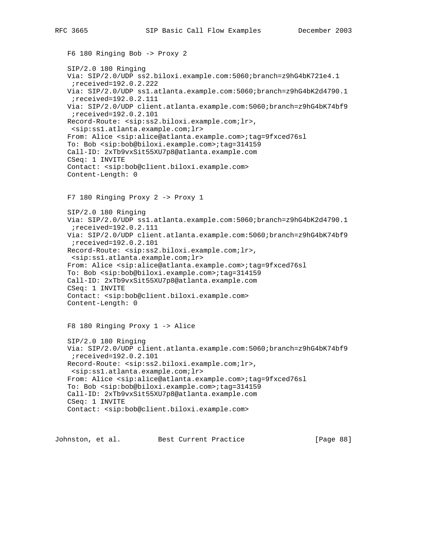```
 F6 180 Ringing Bob -> Proxy 2
 SIP/2.0 180 Ringing
 Via: SIP/2.0/UDP ss2.biloxi.example.com:5060;branch=z9hG4bK721e4.1
  ;received=192.0.2.222
 Via: SIP/2.0/UDP ss1.atlanta.example.com:5060;branch=z9hG4bK2d4790.1
  ;received=192.0.2.111
 Via: SIP/2.0/UDP client.atlanta.example.com:5060;branch=z9hG4bK74bf9
  ;received=192.0.2.101
 Record-Route: <sip:ss2.biloxi.example.com;lr>,
  <sip:ss1.atlanta.example.com;lr>
 From: Alice <sip:alice@atlanta.example.com>;tag=9fxced76sl
 To: Bob <sip:bob@biloxi.example.com>;tag=314159
 Call-ID: 2xTb9vxSit55XU7p8@atlanta.example.com
 CSeq: 1 INVITE
 Contact: <sip:bob@client.biloxi.example.com>
 Content-Length: 0
 F7 180 Ringing Proxy 2 -> Proxy 1
 SIP/2.0 180 Ringing
 Via: SIP/2.0/UDP ss1.atlanta.example.com:5060;branch=z9hG4bK2d4790.1
 ;received=192.0.2.111
 Via: SIP/2.0/UDP client.atlanta.example.com:5060;branch=z9hG4bK74bf9
  ;received=192.0.2.101
 Record-Route: <sip:ss2.biloxi.example.com;lr>,
 <sip:ss1.atlanta.example.com;lr>
 From: Alice <sip:alice@atlanta.example.com>;tag=9fxced76sl
 To: Bob <sip:bob@biloxi.example.com>;tag=314159
 Call-ID: 2xTb9vxSit55XU7p8@atlanta.example.com
 CSeq: 1 INVITE
 Contact: <sip:bob@client.biloxi.example.com>
 Content-Length: 0
 F8 180 Ringing Proxy 1 -> Alice
 SIP/2.0 180 Ringing
 Via: SIP/2.0/UDP client.atlanta.example.com:5060;branch=z9hG4bK74bf9
 ;received=192.0.2.101
 Record-Route: <sip:ss2.biloxi.example.com;lr>,
  <sip:ss1.atlanta.example.com;lr>
 From: Alice <sip:alice@atlanta.example.com>;tag=9fxced76sl
 To: Bob <sip:bob@biloxi.example.com>;tag=314159
 Call-ID: 2xTb9vxSit55XU7p8@atlanta.example.com
 CSeq: 1 INVITE
 Contact: <sip:bob@client.biloxi.example.com>
```
Johnston, et al. Best Current Practice [Page 88]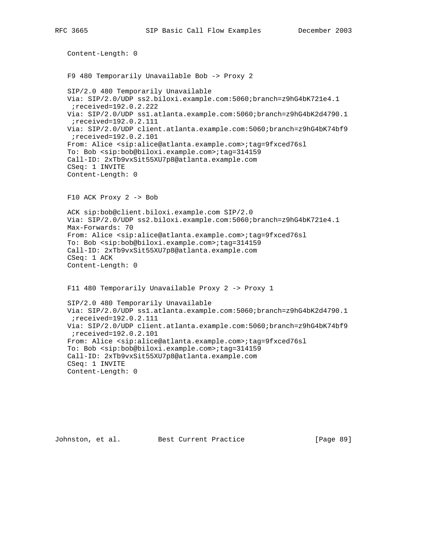```
 Content-Length: 0
 F9 480 Temporarily Unavailable Bob -> Proxy 2
 SIP/2.0 480 Temporarily Unavailable
 Via: SIP/2.0/UDP ss2.biloxi.example.com:5060;branch=z9hG4bK721e4.1
  ;received=192.0.2.222
 Via: SIP/2.0/UDP ss1.atlanta.example.com:5060;branch=z9hG4bK2d4790.1
  ;received=192.0.2.111
 Via: SIP/2.0/UDP client.atlanta.example.com:5060;branch=z9hG4bK74bf9
  ;received=192.0.2.101
 From: Alice <sip:alice@atlanta.example.com>;tag=9fxced76sl
 To: Bob <sip:bob@biloxi.example.com>;tag=314159
 Call-ID: 2xTb9vxSit55XU7p8@atlanta.example.com
 CSeq: 1 INVITE
 Content-Length: 0
 F10 ACK Proxy 2 -> Bob
 ACK sip:bob@client.biloxi.example.com SIP/2.0
 Via: SIP/2.0/UDP ss2.biloxi.example.com:5060;branch=z9hG4bK721e4.1
 Max-Forwards: 70
 From: Alice <sip:alice@atlanta.example.com>;tag=9fxced76sl
 To: Bob <sip:bob@biloxi.example.com>;tag=314159
 Call-ID: 2xTb9vxSit55XU7p8@atlanta.example.com
 CSeq: 1 ACK
 Content-Length: 0
 F11 480 Temporarily Unavailable Proxy 2 -> Proxy 1
 SIP/2.0 480 Temporarily Unavailable
 Via: SIP/2.0/UDP ss1.atlanta.example.com:5060;branch=z9hG4bK2d4790.1
  ;received=192.0.2.111
 Via: SIP/2.0/UDP client.atlanta.example.com:5060;branch=z9hG4bK74bf9
  ;received=192.0.2.101
 From: Alice <sip:alice@atlanta.example.com>;tag=9fxced76sl
 To: Bob <sip:bob@biloxi.example.com>;tag=314159
 Call-ID: 2xTb9vxSit55XU7p8@atlanta.example.com
 CSeq: 1 INVITE
 Content-Length: 0
```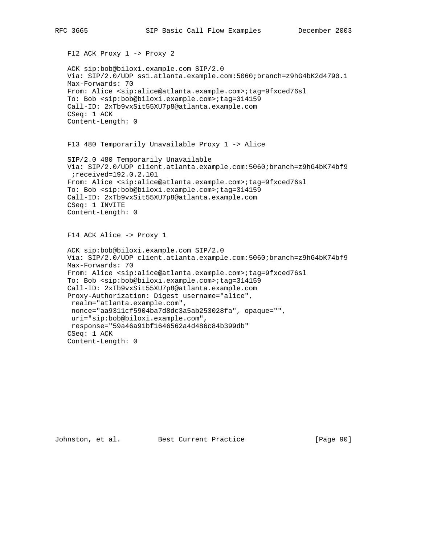```
 F12 ACK Proxy 1 -> Proxy 2
 ACK sip:bob@biloxi.example.com SIP/2.0
 Via: SIP/2.0/UDP ss1.atlanta.example.com:5060;branch=z9hG4bK2d4790.1
 Max-Forwards: 70
 From: Alice <sip:alice@atlanta.example.com>;tag=9fxced76sl
 To: Bob <sip:bob@biloxi.example.com>;tag=314159
 Call-ID: 2xTb9vxSit55XU7p8@atlanta.example.com
 CSeq: 1 ACK
 Content-Length: 0
 F13 480 Temporarily Unavailable Proxy 1 -> Alice
 SIP/2.0 480 Temporarily Unavailable
 Via: SIP/2.0/UDP client.atlanta.example.com:5060;branch=z9hG4bK74bf9
 ;received=192.0.2.101
 From: Alice <sip:alice@atlanta.example.com>;tag=9fxced76sl
 To: Bob <sip:bob@biloxi.example.com>;tag=314159
 Call-ID: 2xTb9vxSit55XU7p8@atlanta.example.com
 CSeq: 1 INVITE
 Content-Length: 0
 F14 ACK Alice -> Proxy 1
 ACK sip:bob@biloxi.example.com SIP/2.0
 Via: SIP/2.0/UDP client.atlanta.example.com:5060;branch=z9hG4bK74bf9
 Max-Forwards: 70
 From: Alice <sip:alice@atlanta.example.com>;tag=9fxced76sl
 To: Bob <sip:bob@biloxi.example.com>;tag=314159
 Call-ID: 2xTb9vxSit55XU7p8@atlanta.example.com
 Proxy-Authorization: Digest username="alice",
 realm="atlanta.example.com",
 nonce="aa9311cf5904ba7d8dc3a5ab253028fa", opaque="",
 uri="sip:bob@biloxi.example.com",
 response="59a46a91bf1646562a4d486c84b399db"
 CSeq: 1 ACK
```
Content-Length: 0

Johnston, et al. Best Current Practice [Page 90]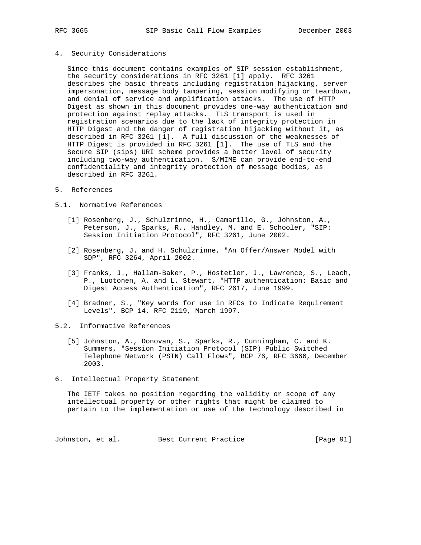### 4. Security Considerations

 Since this document contains examples of SIP session establishment, the security considerations in RFC 3261 [1] apply. RFC 3261 describes the basic threats including registration hijacking, server impersonation, message body tampering, session modifying or teardown, and denial of service and amplification attacks. The use of HTTP Digest as shown in this document provides one-way authentication and protection against replay attacks. TLS transport is used in registration scenarios due to the lack of integrity protection in HTTP Digest and the danger of registration hijacking without it, as described in RFC 3261 [1]. A full discussion of the weaknesses of HTTP Digest is provided in RFC 3261 [1]. The use of TLS and the Secure SIP (sips) URI scheme provides a better level of security including two-way authentication. S/MIME can provide end-to-end confidentiality and integrity protection of message bodies, as described in RFC 3261.

### 5. References

#### 5.1. Normative References

- [1] Rosenberg, J., Schulzrinne, H., Camarillo, G., Johnston, A., Peterson, J., Sparks, R., Handley, M. and E. Schooler, "SIP: Session Initiation Protocol", RFC 3261, June 2002.
- [2] Rosenberg, J. and H. Schulzrinne, "An Offer/Answer Model with SDP", RFC 3264, April 2002.
- [3] Franks, J., Hallam-Baker, P., Hostetler, J., Lawrence, S., Leach, P., Luotonen, A. and L. Stewart, "HTTP authentication: Basic and Digest Access Authentication", RFC 2617, June 1999.
- [4] Bradner, S., "Key words for use in RFCs to Indicate Requirement Levels", BCP 14, RFC 2119, March 1997.

#### 5.2. Informative References

- [5] Johnston, A., Donovan, S., Sparks, R., Cunningham, C. and K. Summers, "Session Initiation Protocol (SIP) Public Switched Telephone Network (PSTN) Call Flows", BCP 76, RFC 3666, December 2003.
- 6. Intellectual Property Statement

 The IETF takes no position regarding the validity or scope of any intellectual property or other rights that might be claimed to pertain to the implementation or use of the technology described in

Johnston, et al. Best Current Practice [Page 91]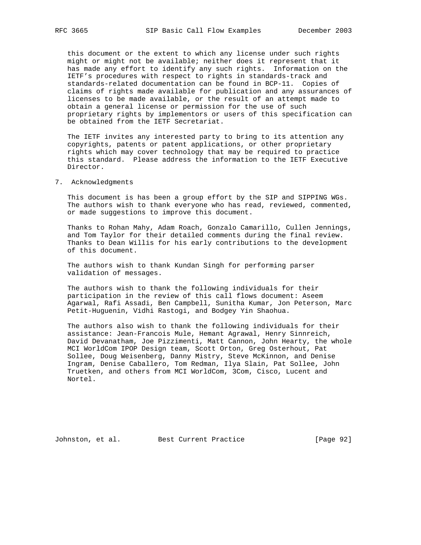this document or the extent to which any license under such rights might or might not be available; neither does it represent that it has made any effort to identify any such rights. Information on the IETF's procedures with respect to rights in standards-track and standards-related documentation can be found in BCP-11. Copies of claims of rights made available for publication and any assurances of licenses to be made available, or the result of an attempt made to obtain a general license or permission for the use of such proprietary rights by implementors or users of this specification can be obtained from the IETF Secretariat.

 The IETF invites any interested party to bring to its attention any copyrights, patents or patent applications, or other proprietary rights which may cover technology that may be required to practice this standard. Please address the information to the IETF Executive Director.

7. Acknowledgments

 This document is has been a group effort by the SIP and SIPPING WGs. The authors wish to thank everyone who has read, reviewed, commented, or made suggestions to improve this document.

 Thanks to Rohan Mahy, Adam Roach, Gonzalo Camarillo, Cullen Jennings, and Tom Taylor for their detailed comments during the final review. Thanks to Dean Willis for his early contributions to the development of this document.

 The authors wish to thank Kundan Singh for performing parser validation of messages.

 The authors wish to thank the following individuals for their participation in the review of this call flows document: Aseem Agarwal, Rafi Assadi, Ben Campbell, Sunitha Kumar, Jon Peterson, Marc Petit-Huguenin, Vidhi Rastogi, and Bodgey Yin Shaohua.

 The authors also wish to thank the following individuals for their assistance: Jean-Francois Mule, Hemant Agrawal, Henry Sinnreich, David Devanatham, Joe Pizzimenti, Matt Cannon, John Hearty, the whole MCI WorldCom IPOP Design team, Scott Orton, Greg Osterhout, Pat Sollee, Doug Weisenberg, Danny Mistry, Steve McKinnon, and Denise Ingram, Denise Caballero, Tom Redman, Ilya Slain, Pat Sollee, John Truetken, and others from MCI WorldCom, 3Com, Cisco, Lucent and Nortel.

Johnston, et al. Best Current Practice [Page 92]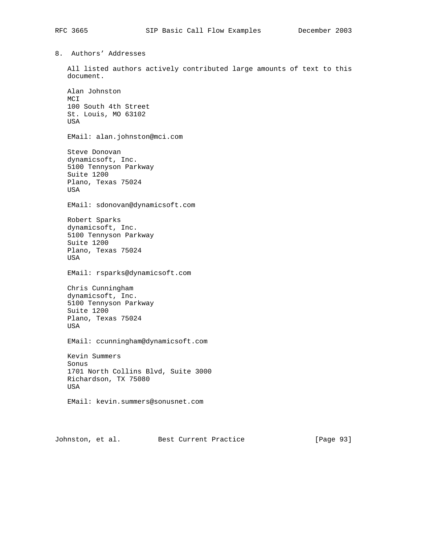8. Authors' Addresses

 All listed authors actively contributed large amounts of text to this document.

 Alan Johnston MCI 100 South 4th Street St. Louis, MO 63102 USA EMail: alan.johnston@mci.com Steve Donovan dynamicsoft, Inc. 5100 Tennyson Parkway Suite 1200 Plano, Texas 75024 USA EMail: sdonovan@dynamicsoft.com Robert Sparks dynamicsoft, Inc. 5100 Tennyson Parkway Suite 1200 Plano, Texas 75024 USA EMail: rsparks@dynamicsoft.com Chris Cunningham dynamicsoft, Inc. 5100 Tennyson Parkway Suite 1200 Plano, Texas 75024 USA EMail: ccunningham@dynamicsoft.com Kevin Summers Sonus 1701 North Collins Blvd, Suite 3000 Richardson, TX 75080 USA EMail: kevin.summers@sonusnet.com

Johnston, et al. Best Current Practice [Page 93]